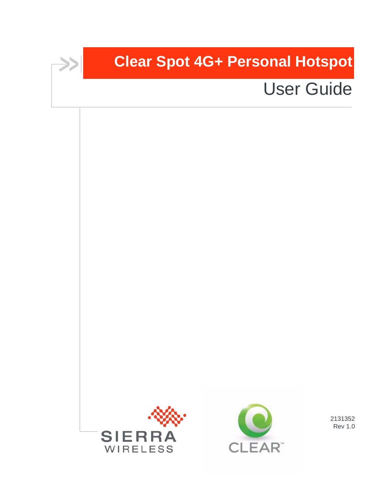# **Clear Spot 4G+ Personal Hotspot**

# User Guide





2131352 Rev 1.0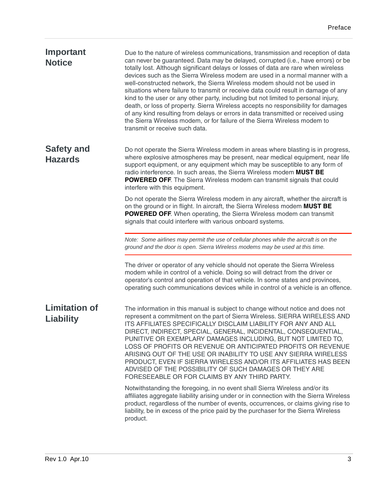| Important<br><b>Notice</b>               | Due to the nature of wireless communications, transmission and reception of data<br>can never be guaranteed. Data may be delayed, corrupted (i.e., have errors) or be<br>totally lost. Although significant delays or losses of data are rare when wireless<br>devices such as the Sierra Wireless modem are used in a normal manner with a<br>well-constructed network, the Sierra Wireless modem should not be used in<br>situations where failure to transmit or receive data could result in damage of any<br>kind to the user or any other party, including but not limited to personal injury,<br>death, or loss of property. Sierra Wireless accepts no responsibility for damages<br>of any kind resulting from delays or errors in data transmitted or received using<br>the Sierra Wireless modem, or for failure of the Sierra Wireless modem to<br>transmit or receive such data. |
|------------------------------------------|-----------------------------------------------------------------------------------------------------------------------------------------------------------------------------------------------------------------------------------------------------------------------------------------------------------------------------------------------------------------------------------------------------------------------------------------------------------------------------------------------------------------------------------------------------------------------------------------------------------------------------------------------------------------------------------------------------------------------------------------------------------------------------------------------------------------------------------------------------------------------------------------------|
| <b>Safety and</b><br><b>Hazards</b>      | Do not operate the Sierra Wireless modem in areas where blasting is in progress,<br>where explosive atmospheres may be present, near medical equipment, near life<br>support equipment, or any equipment which may be susceptible to any form of<br>radio interference. In such areas, the Sierra Wireless modem MUST BE<br><b>POWERED OFF.</b> The Sierra Wireless modem can transmit signals that could<br>interfere with this equipment.                                                                                                                                                                                                                                                                                                                                                                                                                                                   |
|                                          | Do not operate the Sierra Wireless modem in any aircraft, whether the aircraft is<br>on the ground or in flight. In aircraft, the Sierra Wireless modem MUST BE<br><b>POWERED OFF.</b> When operating, the Sierra Wireless modem can transmit<br>signals that could interfere with various onboard systems.                                                                                                                                                                                                                                                                                                                                                                                                                                                                                                                                                                                   |
|                                          | Note: Some airlines may permit the use of cellular phones while the aircraft is on the<br>ground and the door is open. Sierra Wireless modems may be used at this time.                                                                                                                                                                                                                                                                                                                                                                                                                                                                                                                                                                                                                                                                                                                       |
|                                          | The driver or operator of any vehicle should not operate the Sierra Wireless<br>modem while in control of a vehicle. Doing so will detract from the driver or<br>operator's control and operation of that vehicle. In some states and provinces,<br>operating such communications devices while in control of a vehicle is an offence.                                                                                                                                                                                                                                                                                                                                                                                                                                                                                                                                                        |
| <b>Limitation of</b><br><b>Liability</b> | The information in this manual is subject to change without notice and does not<br>represent a commitment on the part of Sierra Wireless. SIERRA WIRELESS AND<br>ITS AFFILIATES SPECIFICALLY DISCLAIM LIABILITY FOR ANY AND ALL<br>DIRECT, INDIRECT, SPECIAL, GENERAL, INCIDENTAL, CONSEQUENTIAL,<br>PUNITIVE OR EXEMPLARY DAMAGES INCLUDING, BUT NOT LIMITED TO,<br>LOSS OF PROFITS OR REVENUE OR ANTICIPATED PROFITS OR REVENUE<br>ARISING OUT OF THE USE OR INABILITY TO USE ANY SIERRA WIRELESS<br>PRODUCT, EVEN IF SIERRA WIRELESS AND/OR ITS AFFILIATES HAS BEEN<br>ADVISED OF THE POSSIBILITY OF SUCH DAMAGES OR THEY ARE<br>FORESEEABLE OR FOR CLAIMS BY ANY THIRD PARTY.                                                                                                                                                                                                             |
|                                          | Notwithstanding the foregoing, in no event shall Sierra Wireless and/or its<br>affiliates aggregate liability arising under or in connection with the Sierra Wireless<br>product, regardless of the number of events, occurrences, or claims giving rise to<br>liability, be in excess of the price paid by the purchaser for the Sierra Wireless<br>product.                                                                                                                                                                                                                                                                                                                                                                                                                                                                                                                                 |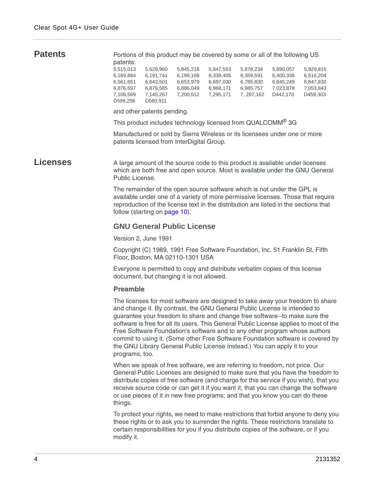**Patents** Portions of this product may be covered by some or all of the following US patents:

| 5.629.960 | 5.845.216 | 5.847.553 | 5.878.234 | 5.890.057 | 5.929.815 |
|-----------|-----------|-----------|-----------|-----------|-----------|
| 6,191,741 | 6.199.168 | 6.339.405 | 6.359.591 | 6.400.336 | 6.516.204 |
| 6.643.501 | 6.653.979 | 6.697.030 | 6.785.830 | 6,845,249 | 6.847.830 |
| 6.879.585 | 6.886.049 | 6.968.171 | 6.985.757 | 7.023.878 | 7.053.843 |
| 7,145,267 | 7.200.512 | 7.295.171 | 7.287.162 | D442.170  | D459.303  |
| D560.911  |           |           |           |           |           |
|           |           |           |           |           |           |

and other patents pending.

This product includes technology licensed from QUALCOMM® 3G

Manufactured or sold by Sierra Wireless or its licensees under one or more patents licensed from InterDigital Group.

**Licenses** A large amount of the source code to this product is available under licenses which are both free and open source. Most is available under the GNU General Public License.

> The remainder of the open source software which is not under the GPL is available under one of a variety of more permissive licenses. Those that require reproduction of the license text in the distribution are listed in the sections that follow (starting on [page 10](#page-9-0)).

#### **GNU General Public License**

Version 2, June 1991

Copyright (C) 1989, 1991 Free Software Foundation, Inc. 51 Franklin St, Fifth Floor, Boston, MA 02110-1301 USA

Everyone is permitted to copy and distribute verbatim copies of this license document, but changing it is not allowed.

#### **Preamble**

The licenses for most software are designed to take away your freedom to share and change it. By contrast, the GNU General Public License is intended to guarantee your freedom to share and change free software--to make sure the software is free for all its users. This General Public License applies to most of the Free Software Foundation's software and to any other program whose authors commit to using it. (Some other Free Software Foundation software is covered by the GNU Library General Public License instead.) You can apply it to your programs, too.

When we speak of free software, we are referring to freedom, not price. Our General Public Licenses are designed to make sure that you have the freedom to distribute copies of free software (and charge for this service if you wish), that you receive source code or can get it if you want it, that you can change the software or use pieces of it in new free programs; and that you know you can do these things.

To protect your rights, we need to make restrictions that forbid anyone to deny you these rights or to ask you to surrender the rights. These restrictions translate to certain responsibilities for you if you distribute copies of the software, or if you modify it.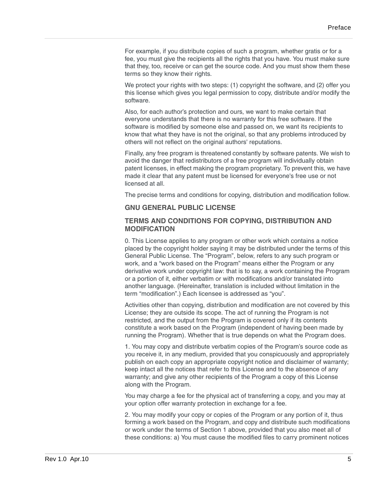For example, if you distribute copies of such a program, whether gratis or for a fee, you must give the recipients all the rights that you have. You must make sure that they, too, receive or can get the source code. And you must show them these terms so they know their rights.

We protect your rights with two steps: (1) copyright the software, and (2) offer you this license which gives you legal permission to copy, distribute and/or modify the software.

Also, for each author's protection and ours, we want to make certain that everyone understands that there is no warranty for this free software. If the software is modified by someone else and passed on, we want its recipients to know that what they have is not the original, so that any problems introduced by others will not reflect on the original authors' reputations.

Finally, any free program is threatened constantly by software patents. We wish to avoid the danger that redistributors of a free program will individually obtain patent licenses, in effect making the program proprietary. To prevent this, we have made it clear that any patent must be licensed for everyone's free use or not licensed at all.

The precise terms and conditions for copying, distribution and modification follow.

#### **GNU GENERAL PUBLIC LICENSE**

#### **TERMS AND CONDITIONS FOR COPYING, DISTRIBUTION AND MODIFICATION**

0. This License applies to any program or other work which contains a notice placed by the copyright holder saying it may be distributed under the terms of this General Public License. The "Program", below, refers to any such program or work, and a "work based on the Program" means either the Program or any derivative work under copyright law: that is to say, a work containing the Program or a portion of it, either verbatim or with modifications and/or translated into another language. (Hereinafter, translation is included without limitation in the term "modification".) Each licensee is addressed as "you".

Activities other than copying, distribution and modification are not covered by this License; they are outside its scope. The act of running the Program is not restricted, and the output from the Program is covered only if its contents constitute a work based on the Program (independent of having been made by running the Program). Whether that is true depends on what the Program does.

1. You may copy and distribute verbatim copies of the Program's source code as you receive it, in any medium, provided that you conspicuously and appropriately publish on each copy an appropriate copyright notice and disclaimer of warranty; keep intact all the notices that refer to this License and to the absence of any warranty; and give any other recipients of the Program a copy of this License along with the Program.

You may charge a fee for the physical act of transferring a copy, and you may at your option offer warranty protection in exchange for a fee.

2. You may modify your copy or copies of the Program or any portion of it, thus forming a work based on the Program, and copy and distribute such modifications or work under the terms of Section 1 above, provided that you also meet all of these conditions: a) You must cause the modified files to carry prominent notices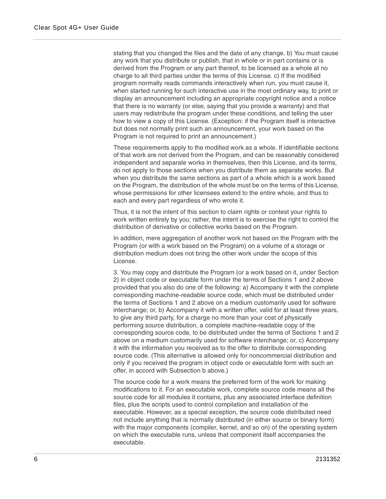stating that you changed the files and the date of any change. b) You must cause any work that you distribute or publish, that in whole or in part contains or is derived from the Program or any part thereof, to be licensed as a whole at no charge to all third parties under the terms of this License. c) If the modified program normally reads commands interactively when run, you must cause it, when started running for such interactive use in the most ordinary way, to print or display an announcement including an appropriate copyright notice and a notice that there is no warranty (or else, saying that you provide a warranty) and that users may redistribute the program under these conditions, and telling the user how to view a copy of this License. (Exception: if the Program itself is interactive but does not normally print such an announcement, your work based on the Program is not required to print an announcement.)

These requirements apply to the modified work as a whole. If identifiable sections of that work are not derived from the Program, and can be reasonably considered independent and separate works in themselves, then this License, and its terms, do not apply to those sections when you distribute them as separate works. But when you distribute the same sections as part of a whole which is a work based on the Program, the distribution of the whole must be on the terms of this License, whose permissions for other licensees extend to the entire whole, and thus to each and every part regardless of who wrote it.

Thus, it is not the intent of this section to claim rights or contest your rights to work written entirely by you; rather, the intent is to exercise the right to control the distribution of derivative or collective works based on the Program.

In addition, mere aggregation of another work not based on the Program with the Program (or with a work based on the Program) on a volume of a storage or distribution medium does not bring the other work under the scope of this License.

3. You may copy and distribute the Program (or a work based on it, under Section 2) in object code or executable form under the terms of Sections 1 and 2 above provided that you also do one of the following: a) Accompany it with the complete corresponding machine-readable source code, which must be distributed under the terms of Sections 1 and 2 above on a medium customarily used for software interchange; or, b) Accompany it with a written offer, valid for at least three years, to give any third party, for a charge no more than your cost of physically performing source distribution, a complete machine-readable copy of the corresponding source code, to be distributed under the terms of Sections 1 and 2 above on a medium customarily used for software interchange; or, c) Accompany it with the information you received as to the offer to distribute corresponding source code. (This alternative is allowed only for noncommercial distribution and only if you received the program in object code or executable form with such an offer, in accord with Subsection b above.)

The source code for a work means the preferred form of the work for making modifications to it. For an executable work, complete source code means all the source code for all modules it contains, plus any associated interface definition files, plus the scripts used to control compilation and installation of the executable. However, as a special exception, the source code distributed need not include anything that is normally distributed (in either source or binary form) with the major components (compiler, kernel, and so on) of the operating system on which the executable runs, unless that component itself accompanies the executable.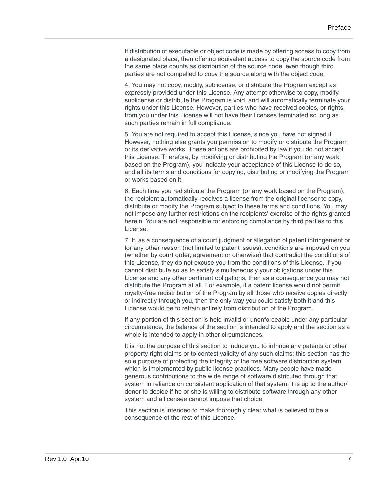If distribution of executable or object code is made by offering access to copy from a designated place, then offering equivalent access to copy the source code from the same place counts as distribution of the source code, even though third parties are not compelled to copy the source along with the object code.

4. You may not copy, modify, sublicense, or distribute the Program except as expressly provided under this License. Any attempt otherwise to copy, modify, sublicense or distribute the Program is void, and will automatically terminate your rights under this License. However, parties who have received copies, or rights, from you under this License will not have their licenses terminated so long as such parties remain in full compliance.

5. You are not required to accept this License, since you have not signed it. However, nothing else grants you permission to modify or distribute the Program or its derivative works. These actions are prohibited by law if you do not accept this License. Therefore, by modifying or distributing the Program (or any work based on the Program), you indicate your acceptance of this License to do so, and all its terms and conditions for copying, distributing or modifying the Program or works based on it.

6. Each time you redistribute the Program (or any work based on the Program), the recipient automatically receives a license from the original licensor to copy, distribute or modify the Program subject to these terms and conditions. You may not impose any further restrictions on the recipients' exercise of the rights granted herein. You are not responsible for enforcing compliance by third parties to this License.

7. If, as a consequence of a court judgment or allegation of patent infringement or for any other reason (not limited to patent issues), conditions are imposed on you (whether by court order, agreement or otherwise) that contradict the conditions of this License, they do not excuse you from the conditions of this License. If you cannot distribute so as to satisfy simultaneously your obligations under this License and any other pertinent obligations, then as a consequence you may not distribute the Program at all. For example, if a patent license would not permit royalty-free redistribution of the Program by all those who receive copies directly or indirectly through you, then the only way you could satisfy both it and this License would be to refrain entirely from distribution of the Program.

If any portion of this section is held invalid or unenforceable under any particular circumstance, the balance of the section is intended to apply and the section as a whole is intended to apply in other circumstances.

It is not the purpose of this section to induce you to infringe any patents or other property right claims or to contest validity of any such claims; this section has the sole purpose of protecting the integrity of the free software distribution system, which is implemented by public license practices. Many people have made generous contributions to the wide range of software distributed through that system in reliance on consistent application of that system; it is up to the author/ donor to decide if he or she is willing to distribute software through any other system and a licensee cannot impose that choice.

This section is intended to make thoroughly clear what is believed to be a consequence of the rest of this License.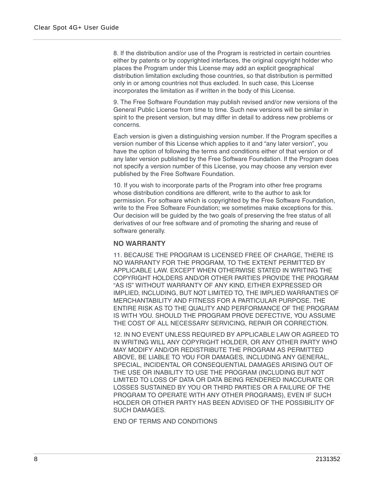8. If the distribution and/or use of the Program is restricted in certain countries either by patents or by copyrighted interfaces, the original copyright holder who places the Program under this License may add an explicit geographical distribution limitation excluding those countries, so that distribution is permitted only in or among countries not thus excluded. In such case, this License incorporates the limitation as if written in the body of this License.

9. The Free Software Foundation may publish revised and/or new versions of the General Public License from time to time. Such new versions will be similar in spirit to the present version, but may differ in detail to address new problems or concerns.

Each version is given a distinguishing version number. If the Program specifies a version number of this License which applies to it and "any later version", you have the option of following the terms and conditions either of that version or of any later version published by the Free Software Foundation. If the Program does not specify a version number of this License, you may choose any version ever published by the Free Software Foundation.

10. If you wish to incorporate parts of the Program into other free programs whose distribution conditions are different, write to the author to ask for permission. For software which is copyrighted by the Free Software Foundation, write to the Free Software Foundation; we sometimes make exceptions for this. Our decision will be guided by the two goals of preserving the free status of all derivatives of our free software and of promoting the sharing and reuse of software generally.

#### **NO WARRANTY**

11. BECAUSE THE PROGRAM IS LICENSED FREE OF CHARGE, THERE IS NO WARRANTY FOR THE PROGRAM, TO THE EXTENT PERMITTED BY APPLICABLE LAW. EXCEPT WHEN OTHERWISE STATED IN WRITING THE COPYRIGHT HOLDERS AND/OR OTHER PARTIES PROVIDE THE PROGRAM "AS IS" WITHOUT WARRANTY OF ANY KIND, EITHER EXPRESSED OR IMPLIED, INCLUDING, BUT NOT LIMITED TO, THE IMPLIED WARRANTIES OF MERCHANTABILITY AND FITNESS FOR A PARTICULAR PURPOSE. THE ENTIRE RISK AS TO THE QUALITY AND PERFORMANCE OF THE PROGRAM IS WITH YOU. SHOULD THE PROGRAM PROVE DEFECTIVE, YOU ASSUME THE COST OF ALL NECESSARY SERVICING, REPAIR OR CORRECTION.

12. IN NO EVENT UNLESS REQUIRED BY APPLICABLE LAW OR AGREED TO IN WRITING WILL ANY COPYRIGHT HOLDER, OR ANY OTHER PARTY WHO MAY MODIFY AND/OR REDISTRIBUTE THE PROGRAM AS PERMITTED ABOVE, BE LIABLE TO YOU FOR DAMAGES, INCLUDING ANY GENERAL, SPECIAL, INCIDENTAL OR CONSEQUENTIAL DAMAGES ARISING OUT OF THE USE OR INABILITY TO USE THE PROGRAM (INCLUDING BUT NOT LIMITED TO LOSS OF DATA OR DATA BEING RENDERED INACCURATE OR LOSSES SUSTAINED BY YOU OR THIRD PARTIES OR A FAILURE OF THE PROGRAM TO OPERATE WITH ANY OTHER PROGRAMS), EVEN IF SUCH HOLDER OR OTHER PARTY HAS BEEN ADVISED OF THE POSSIBILITY OF SUCH DAMAGES.

END OF TERMS AND CONDITIONS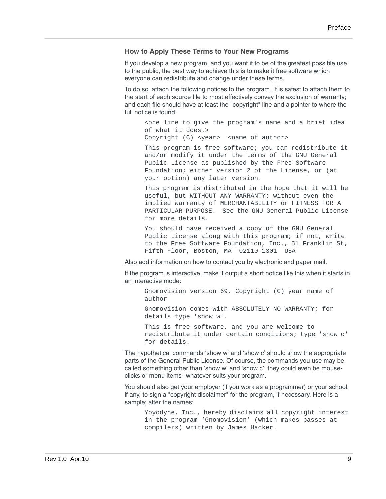#### **How to Apply These Terms to Your New Programs**

If you develop a new program, and you want it to be of the greatest possible use to the public, the best way to achieve this is to make it free software which everyone can redistribute and change under these terms.

To do so, attach the following notices to the program. It is safest to attach them to the start of each source file to most effectively convey the exclusion of warranty; and each file should have at least the "copyright" line and a pointer to where the full notice is found.

<one line to give the program's name and a brief idea of what it does.>

Copyright (C) <year> <name of author>

This program is free software; you can redistribute it and/or modify it under the terms of the GNU General Public License as published by the Free Software Foundation; either version 2 of the License, or (at your option) any later version.

This program is distributed in the hope that it will be useful, but WITHOUT ANY WARRANTY; without even the implied warranty of MERCHANTABILITY or FITNESS FOR A PARTICULAR PURPOSE. See the GNU General Public License for more details.

You should have received a copy of the GNU General Public License along with this program; if not, write to the Free Software Foundation, Inc., 51 Franklin St, Fifth Floor, Boston, MA 02110-1301 USA

Also add information on how to contact you by electronic and paper mail.

If the program is interactive, make it output a short notice like this when it starts in an interactive mode:

Gnomovision version 69, Copyright (C) year name of author Gnomovision comes with ABSOLUTELY NO WARRANTY; for details type 'show w'. This is free software, and you are welcome to

redistribute it under certain conditions; type 'show c' for details.

The hypothetical commands 'show w' and 'show c' should show the appropriate parts of the General Public License. Of course, the commands you use may be called something other than 'show w' and 'show c'; they could even be mouseclicks or menu items--whatever suits your program.

You should also get your employer (if you work as a programmer) or your school, if any, to sign a "copyright disclaimer" for the program, if necessary. Here is a sample; alter the names:

Yoyodyne, Inc., hereby disclaims all copyright interest in the program 'Gnomovision' (which makes passes at compilers) written by James Hacker.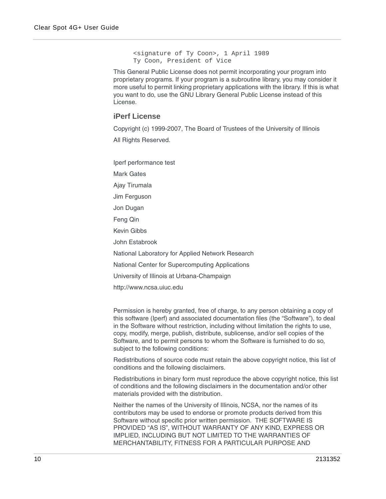<signature of Ty Coon>, 1 April 1989 Ty Coon, President of Vice

This General Public License does not permit incorporating your program into proprietary programs. If your program is a subroutine library, you may consider it more useful to permit linking proprietary applications with the library. If this is what you want to do, use the GNU Library General Public License instead of this License.

#### <span id="page-9-0"></span>**iPerf License**

Copyright (c) 1999-2007, The Board of Trustees of the University of Illinois All Rights Reserved.

Iperf performance test Mark Gates Ajay Tirumala Jim Ferguson Jon Dugan Feng Qin Kevin Gibbs John Estabrook National Laboratory for Applied Network Research National Center for Supercomputing Applications University of Illinois at Urbana-Champaign http://www.ncsa.uiuc.edu

Permission is hereby granted, free of charge, to any person obtaining a copy of this software (Iperf) and associated documentation files (the "Software"), to deal in the Software without restriction, including without limitation the rights to use, copy, modify, merge, publish, distribute, sublicense, and/or sell copies of the Software, and to permit persons to whom the Software is furnished to do so, subject to the following conditions:

Redistributions of source code must retain the above copyright notice, this list of conditions and the following disclaimers.

Redistributions in binary form must reproduce the above copyright notice, this list of conditions and the following disclaimers in the documentation and/or other materials provided with the distribution.

Neither the names of the University of Illinois, NCSA, nor the names of its contributors may be used to endorse or promote products derived from this Software without specific prior written permission. THE SOFTWARE IS PROVIDED "AS IS", WITHOUT WARRANTY OF ANY KIND, EXPRESS OR IMPLIED, INCLUDING BUT NOT LIMITED TO THE WARRANTIES OF MERCHANTABILITY, FITNESS FOR A PARTICULAR PURPOSE AND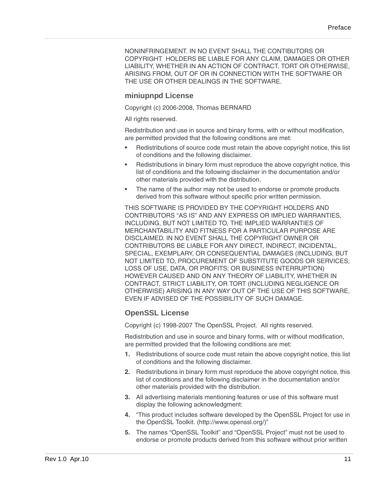NONINFRINGEMENT. IN NO EVENT SHALL THE CONTIBUTORS OR COPYRIGHT HOLDERS BE LIABLE FOR ANY CLAIM, DAMAGES OR OTHER LIABILITY, WHETHER IN AN ACTION OF CONTRACT, TORT OR OTHERWISE, ARISING FROM, OUT OF OR IN CONNECTION WITH THE SOFTWARE OR THE USE OR OTHER DEALINGS IN THE SOFTWARE.

#### **miniupnpd License**

Copyright (c) 2006-2008, Thomas BERNARD

All rights reserved.

Redistribution and use in source and binary forms, with or without modification, are permitted provided that the following conditions are met:

- **•** Redistributions of source code must retain the above copyright notice, this list of conditions and the following disclaimer.
- **•** Redistributions in binary form must reproduce the above copyright notice, this list of conditions and the following disclaimer in the documentation and/or other materials provided with the distribution.
- **•** The name of the author may not be used to endorse or promote products derived from this software without specific prior written permission.

THIS SOFTWARE IS PROVIDED BY THE COPYRIGHT HOLDERS AND CONTRIBUTORS "AS IS" AND ANY EXPRESS OR IMPLIED WARRANTIES, INCLUDING, BUT NOT LIMITED TO, THE IMPLIED WARRANTIES OF MERCHANTABILITY AND FITNESS FOR A PARTICULAR PURPOSE ARE DISCLAIMED. IN NO EVENT SHALL THE COPYRIGHT OWNER OR CONTRIBUTORS BE LIABLE FOR ANY DIRECT, INDIRECT, INCIDENTAL, SPECIAL, EXEMPLARY, OR CONSEQUENTIAL DAMAGES (INCLUDING, BUT NOT LIMITED TO, PROCUREMENT OF SUBSTITUTE GOODS OR SERVICES; LOSS OF USE, DATA, OR PROFITS; OR BUSINESS INTERRUPTION) HOWEVER CAUSED AND ON ANY THEORY OF LIABILITY, WHETHER IN CONTRACT, STRICT LIABILITY, OR TORT (INCLUDING NEGLIGENCE OR OTHERWISE) ARISING IN ANY WAY OUT OF THE USE OF THIS SOFTWARE, EVEN IF ADVISED OF THE POSSIBILITY OF SUCH DAMAGE.

### **OpenSSL License**

Copyright (c) 1998-2007 The OpenSSL Project. All rights reserved.

Redistribution and use in source and binary forms, with or without modification, are permitted provided that the following conditions are met:

- **1.** Redistributions of source code must retain the above copyright notice, this list of conditions and the following disclaimer.
- **2.** Redistributions in binary form must reproduce the above copyright notice, this list of conditions and the following disclaimer in the documentation and/or other materials provided with the distribution.
- **3.** All advertising materials mentioning features or use of this software must display the following acknowledgment:
- **4.** "This product includes software developed by the OpenSSL Project for use in the OpenSSL Toolkit. (http://www.openssl.org/)"
- **5.** The names "OpenSSL Toolkit" and "OpenSSL Project" must not be used to endorse or promote products derived from this software without prior written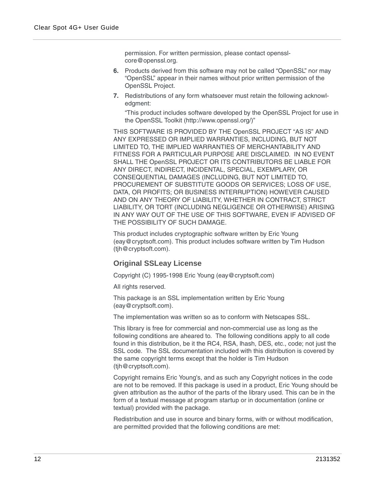permission. For written permission, please contact opensslcore@openssl.org.

- **6.** Products derived from this software may not be called "OpenSSL" nor may "OpenSSL" appear in their names without prior written permission of the OpenSSL Project.
- **7.** Redistributions of any form whatsoever must retain the following acknowledgment:

"This product includes software developed by the OpenSSL Project for use in the OpenSSL Toolkit (http://www.openssl.org/)"

THIS SOFTWARE IS PROVIDED BY THE OpenSSL PROJECT "AS IS" AND ANY EXPRESSED OR IMPLIED WARRANTIES, INCLUDING, BUT NOT LIMITED TO, THE IMPLIED WARRANTIES OF MERCHANTABILITY AND FITNESS FOR A PARTICULAR PURPOSE ARE DISCLAIMED. IN NO EVENT SHALL THE OpenSSL PROJECT OR ITS CONTRIBUTORS BE LIABLE FOR ANY DIRECT, INDIRECT, INCIDENTAL, SPECIAL, EXEMPLARY, OR CONSEQUENTIAL DAMAGES (INCLUDING, BUT NOT LIMITED TO, PROCUREMENT OF SUBSTITUTE GOODS OR SERVICES; LOSS OF USE, DATA, OR PROFITS; OR BUSINESS INTERRUPTION) HOWEVER CAUSED AND ON ANY THEORY OF LIABILITY, WHETHER IN CONTRACT, STRICT LIABILITY, OR TORT (INCLUDING NEGLIGENCE OR OTHERWISE) ARISING IN ANY WAY OUT OF THE USE OF THIS SOFTWARE, EVEN IF ADVISED OF THE POSSIBILITY OF SUCH DAMAGE.

This product includes cryptographic software written by Eric Young (eay@cryptsoft.com). This product includes software written by Tim Hudson (tjh@cryptsoft.com).

### **Original SSLeay License**

Copyright (C) 1995-1998 Eric Young (eay@cryptsoft.com)

All rights reserved.

This package is an SSL implementation written by Eric Young (eay@cryptsoft.com).

The implementation was written so as to conform with Netscapes SSL.

This library is free for commercial and non-commercial use as long as the following conditions are aheared to. The following conditions apply to all code found in this distribution, be it the RC4, RSA, lhash, DES, etc., code; not just the SSL code. The SSL documentation included with this distribution is covered by the same copyright terms except that the holder is Tim Hudson (tjh@cryptsoft.com).

Copyright remains Eric Young's, and as such any Copyright notices in the code are not to be removed. If this package is used in a product, Eric Young should be given attribution as the author of the parts of the library used. This can be in the form of a textual message at program startup or in documentation (online or textual) provided with the package.

Redistribution and use in source and binary forms, with or without modification, are permitted provided that the following conditions are met: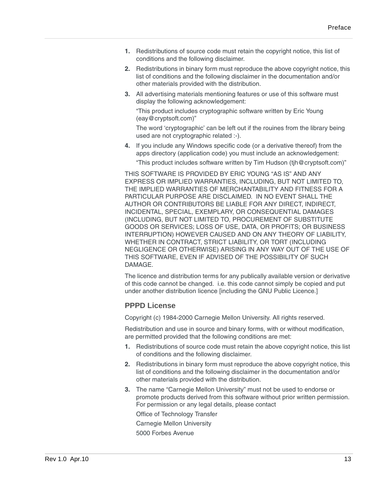- **1.** Redistributions of source code must retain the copyright notice, this list of conditions and the following disclaimer.
- **2.** Redistributions in binary form must reproduce the above copyright notice, this list of conditions and the following disclaimer in the documentation and/or other materials provided with the distribution.
- **3.** All advertising materials mentioning features or use of this software must display the following acknowledgement:

"This product includes cryptographic software written by Eric Young (eay@cryptsoft.com)"

The word 'cryptographic' can be left out if the rouines from the library being used are not cryptographic related :-).

**4.** If you include any Windows specific code (or a derivative thereof) from the apps directory (application code) you must include an acknowledgement:

"This product includes software written by Tim Hudson (tjh@cryptsoft.com)"

THIS SOFTWARE IS PROVIDED BY ERIC YOUNG "AS IS" AND ANY EXPRESS OR IMPLIED WARRANTIES, INCLUDING, BUT NOT LIMITED TO, THE IMPLIED WARRANTIES OF MERCHANTABILITY AND FITNESS FOR A PARTICULAR PURPOSE ARE DISCLAIMED. IN NO EVENT SHALL THE AUTHOR OR CONTRIBUTORS BE LIABLE FOR ANY DIRECT, INDIRECT, INCIDENTAL, SPECIAL, EXEMPLARY, OR CONSEQUENTIAL DAMAGES (INCLUDING, BUT NOT LIMITED TO, PROCUREMENT OF SUBSTITUTE GOODS OR SERVICES; LOSS OF USE, DATA, OR PROFITS; OR BUSINESS INTERRUPTION) HOWEVER CAUSED AND ON ANY THEORY OF LIABILITY, WHETHER IN CONTRACT, STRICT LIABILITY, OR TORT (INCLUDING NEGLIGENCE OR OTHERWISE) ARISING IN ANY WAY OUT OF THE USE OF THIS SOFTWARE, EVEN IF ADVISED OF THE POSSIBILITY OF SUCH DAMAGE.

The licence and distribution terms for any publically available version or derivative of this code cannot be changed. i.e. this code cannot simply be copied and put under another distribution licence [including the GNU Public Licence.]

#### **PPPD License**

Copyright (c) 1984-2000 Carnegie Mellon University. All rights reserved.

Redistribution and use in source and binary forms, with or without modification, are permitted provided that the following conditions are met:

- **1.** Redistributions of source code must retain the above copyright notice, this list of conditions and the following disclaimer.
- **2.** Redistributions in binary form must reproduce the above copyright notice, this list of conditions and the following disclaimer in the documentation and/or other materials provided with the distribution.
- **3.** The name "Carnegie Mellon University" must not be used to endorse or promote products derived from this software without prior written permission. For permission or any legal details, please contact

Office of Technology Transfer

Carnegie Mellon University

5000 Forbes Avenue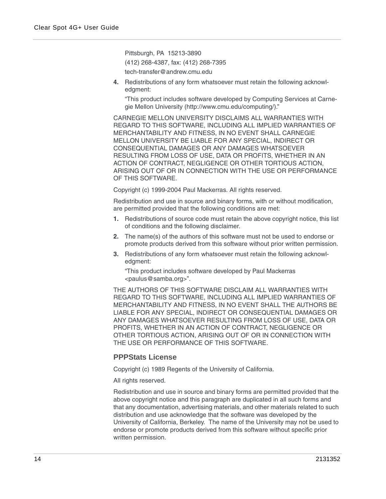Pittsburgh, PA 15213-3890 (412) 268-4387, fax: (412) 268-7395 tech-transfer@andrew.cmu.edu

**4.** Redistributions of any form whatsoever must retain the following acknowledgment:

"This product includes software developed by Computing Services at Carnegie Mellon University (http://www.cmu.edu/computing/)."

CARNEGIE MELLON UNIVERSITY DISCLAIMS ALL WARRANTIES WITH REGARD TO THIS SOFTWARE, INCLUDING ALL IMPLIED WARRANTIES OF MERCHANTABILITY AND FITNESS, IN NO EVENT SHALL CARNEGIE MELLON UNIVERSITY BE LIABLE FOR ANY SPECIAL, INDIRECT OR CONSEQUENTIAL DAMAGES OR ANY DAMAGES WHATSOEVER RESULTING FROM LOSS OF USE, DATA OR PROFITS, WHETHER IN AN ACTION OF CONTRACT, NEGLIGENCE OR OTHER TORTIOUS ACTION, ARISING OUT OF OR IN CONNECTION WITH THE USE OR PERFORMANCE OF THIS SOFTWARE.

Copyright (c) 1999-2004 Paul Mackerras. All rights reserved.

Redistribution and use in source and binary forms, with or without modification, are permitted provided that the following conditions are met:

- **1.** Redistributions of source code must retain the above copyright notice, this list of conditions and the following disclaimer.
- **2.** The name(s) of the authors of this software must not be used to endorse or promote products derived from this software without prior written permission.
- **3.** Redistributions of any form whatsoever must retain the following acknowledgment:

"This product includes software developed by Paul Mackerras <paulus@samba.org>".

THE AUTHORS OF THIS SOFTWARE DISCLAIM ALL WARRANTIES WITH REGARD TO THIS SOFTWARE, INCLUDING ALL IMPLIED WARRANTIES OF MERCHANTABILITY AND FITNESS, IN NO EVENT SHALL THE AUTHORS BE LIABLE FOR ANY SPECIAL, INDIRECT OR CONSEQUENTIAL DAMAGES OR ANY DAMAGES WHATSOEVER RESULTING FROM LOSS OF USE, DATA OR PROFITS, WHETHER IN AN ACTION OF CONTRACT, NEGLIGENCE OR OTHER TORTIOUS ACTION, ARISING OUT OF OR IN CONNECTION WITH THE USE OR PERFORMANCE OF THIS SOFTWARE.

#### **PPPStats License**

Copyright (c) 1989 Regents of the University of California.

All rights reserved.

Redistribution and use in source and binary forms are permitted provided that the above copyright notice and this paragraph are duplicated in all such forms and that any documentation, advertising materials, and other materials related to such distribution and use acknowledge that the software was developed by the University of California, Berkeley. The name of the University may not be used to endorse or promote products derived from this software without specific prior written permission.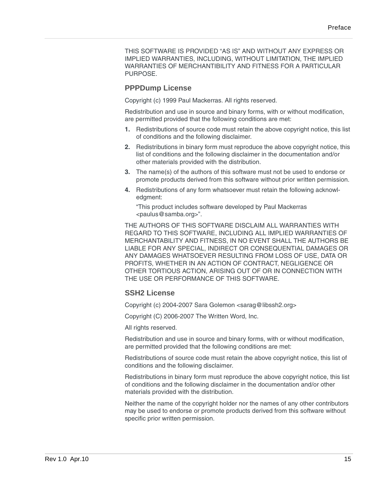THIS SOFTWARE IS PROVIDED "AS IS" AND WITHOUT ANY EXPRESS OR IMPLIED WARRANTIES, INCLUDING, WITHOUT LIMITATION, THE IMPLIED WARRANTIES OF MERCHANTIBILITY AND FITNESS FOR A PARTICULAR PURPOSE.

#### **PPPDump License**

Copyright (c) 1999 Paul Mackerras. All rights reserved.

Redistribution and use in source and binary forms, with or without modification, are permitted provided that the following conditions are met:

- **1.** Redistributions of source code must retain the above copyright notice, this list of conditions and the following disclaimer.
- **2.** Redistributions in binary form must reproduce the above copyright notice, this list of conditions and the following disclaimer in the documentation and/or other materials provided with the distribution.
- **3.** The name(s) of the authors of this software must not be used to endorse or promote products derived from this software without prior written permission.
- **4.** Redistributions of any form whatsoever must retain the following acknowledgment:

"This product includes software developed by Paul Mackerras <paulus@samba.org>".

THE AUTHORS OF THIS SOFTWARE DISCLAIM ALL WARRANTIES WITH REGARD TO THIS SOFTWARE, INCLUDING ALL IMPLIED WARRANTIES OF MERCHANTABILITY AND FITNESS, IN NO EVENT SHALL THE AUTHORS BE LIABLE FOR ANY SPECIAL, INDIRECT OR CONSEQUENTIAL DAMAGES OR ANY DAMAGES WHATSOEVER RESULTING FROM LOSS OF USE, DATA OR PROFITS, WHETHER IN AN ACTION OF CONTRACT, NEGLIGENCE OR OTHER TORTIOUS ACTION, ARISING OUT OF OR IN CONNECTION WITH THE USE OR PERFORMANCE OF THIS SOFTWARE.

#### **SSH2 License**

Copyright (c) 2004-2007 Sara Golemon <sarag@libssh2.org>

Copyright (C) 2006-2007 The Written Word, Inc.

All rights reserved.

Redistribution and use in source and binary forms, with or without modification, are permitted provided that the following conditions are met:

Redistributions of source code must retain the above copyright notice, this list of conditions and the following disclaimer.

Redistributions in binary form must reproduce the above copyright notice, this list of conditions and the following disclaimer in the documentation and/or other materials provided with the distribution.

Neither the name of the copyright holder nor the names of any other contributors may be used to endorse or promote products derived from this software without specific prior written permission.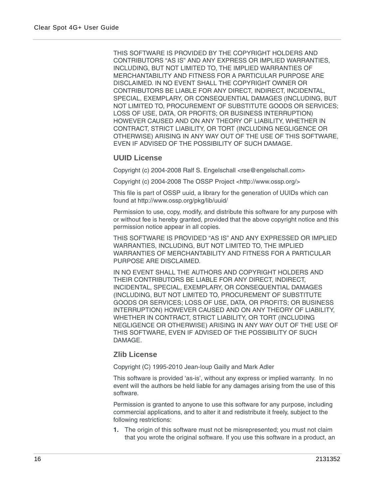THIS SOFTWARE IS PROVIDED BY THE COPYRIGHT HOLDERS AND CONTRIBUTORS "AS IS" AND ANY EXPRESS OR IMPLIED WARRANTIES, INCLUDING, BUT NOT LIMITED TO, THE IMPLIED WARRANTIES OF MERCHANTABILITY AND FITNESS FOR A PARTICULAR PURPOSE ARE DISCLAIMED. IN NO EVENT SHALL THE COPYRIGHT OWNER OR CONTRIBUTORS BE LIABLE FOR ANY DIRECT, INDIRECT, INCIDENTAL, SPECIAL, EXEMPLARY, OR CONSEQUENTIAL DAMAGES (INCLUDING, BUT NOT LIMITED TO, PROCUREMENT OF SUBSTITUTE GOODS OR SERVICES; LOSS OF USE, DATA, OR PROFITS; OR BUSINESS INTERRUPTION) HOWEVER CAUSED AND ON ANY THEORY OF LIABILITY, WHETHER IN CONTRACT, STRICT LIABILITY, OR TORT (INCLUDING NEGLIGENCE OR OTHERWISE) ARISING IN ANY WAY OUT OF THE USE OF THIS SOFTWARE, EVEN IF ADVISED OF THE POSSIBILITY OF SUCH DAMAGE.

#### **UUID License**

Copyright (c) 2004-2008 Ralf S. Engelschall <rse@engelschall.com>

Copyright (c) 2004-2008 The OSSP Project <http://www.ossp.org/>

This file is part of OSSP uuid, a library for the generation of UUIDs which can found at http://www.ossp.org/pkg/lib/uuid/

Permission to use, copy, modify, and distribute this software for any purpose with or without fee is hereby granted, provided that the above copyright notice and this permission notice appear in all copies.

THIS SOFTWARE IS PROVIDED "AS IS" AND ANY EXPRESSED OR IMPLIED WARRANTIES, INCLUDING, BUT NOT LIMITED TO, THE IMPLIED WARRANTIES OF MERCHANTABILITY AND FITNESS FOR A PARTICULAR PURPOSE ARE DISCLAIMED.

IN NO EVENT SHALL THE AUTHORS AND COPYRIGHT HOLDERS AND THEIR CONTRIBUTORS BE LIABLE FOR ANY DIRECT, INDIRECT, INCIDENTAL, SPECIAL, EXEMPLARY, OR CONSEQUENTIAL DAMAGES (INCLUDING, BUT NOT LIMITED TO, PROCUREMENT OF SUBSTITUTE GOODS OR SERVICES; LOSS OF USE, DATA, OR PROFITS; OR BUSINESS INTERRUPTION) HOWEVER CAUSED AND ON ANY THEORY OF LIABILITY, WHETHER IN CONTRACT, STRICT LIABILITY, OR TORT (INCLUDING NEGLIGENCE OR OTHERWISE) ARISING IN ANY WAY OUT OF THE USE OF THIS SOFTWARE, EVEN IF ADVISED OF THE POSSIBILITY OF SUCH DAMAGE.

#### **Zlib License**

Copyright (C) 1995-2010 Jean-loup Gailly and Mark Adler

This software is provided 'as-is', without any express or implied warranty. In no event will the authors be held liable for any damages arising from the use of this software.

Permission is granted to anyone to use this software for any purpose, including commercial applications, and to alter it and redistribute it freely, subject to the following restrictions:

**1.** The origin of this software must not be misrepresented; you must not claim that you wrote the original software. If you use this software in a product, an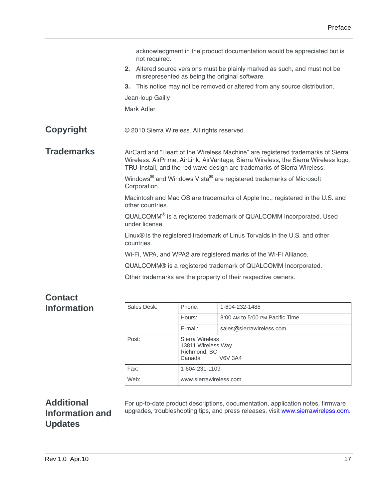|                   |                | acknowledgment in the product documentation would be appreciated but is<br>not required.                                                                                                                                                          |
|-------------------|----------------|---------------------------------------------------------------------------------------------------------------------------------------------------------------------------------------------------------------------------------------------------|
|                   |                | 2. Altered source versions must be plainly marked as such, and must not be<br>misrepresented as being the original software.                                                                                                                      |
|                   | 3 <sub>1</sub> | This notice may not be removed or altered from any source distribution.                                                                                                                                                                           |
|                   |                | Jean-loup Gailly                                                                                                                                                                                                                                  |
|                   |                | Mark Adler                                                                                                                                                                                                                                        |
|                   |                |                                                                                                                                                                                                                                                   |
| <b>Copyright</b>  |                | © 2010 Sierra Wireless. All rights reserved.                                                                                                                                                                                                      |
|                   |                |                                                                                                                                                                                                                                                   |
| <b>Trademarks</b> |                | AirCard and "Heart of the Wireless Machine" are registered trademarks of Sierra<br>Wireless. AirPrime, AirLink, AirVantage, Sierra Wireless, the Sierra Wireless logo,<br>TRU-Install, and the red wave design are trademarks of Sierra Wireless. |
|                   |                | Windows <sup>®</sup> and Windows Vista <sup>®</sup> are registered trademarks of Microsoft<br>Corporation.                                                                                                                                        |
|                   |                | Macintosh and Mac OS are trademarks of Apple Inc., registered in the U.S. and<br>other countries.                                                                                                                                                 |
|                   |                | QUALCOMM® is a registered trademark of QUALCOMM Incorporated. Used<br>under license.                                                                                                                                                              |
|                   |                | Linux <sup>®</sup> is the registered trademark of Linus Torvalds in the U.S. and other<br>countries.                                                                                                                                              |
|                   |                | Wi-Fi, WPA, and WPA2 are registered marks of the Wi-Fi Alliance.                                                                                                                                                                                  |
|                   |                | QUALCOMM® is a registered trademark of QUALCOMM Incorporated.                                                                                                                                                                                     |
|                   |                | Other trademarks are the property of their respective owners.                                                                                                                                                                                     |
|                   |                |                                                                                                                                                                                                                                                   |
|                   |                |                                                                                                                                                                                                                                                   |

## **Contact Information**

| Sales Desk: | Phone:                                                                            | 1-604-232-1488                  |  |
|-------------|-----------------------------------------------------------------------------------|---------------------------------|--|
|             | Hours:                                                                            | 8:00 AM to 5:00 PM Pacific Time |  |
|             | E-mail:                                                                           | sales@sierrawireless.com        |  |
| Post:       | Sierra Wireless<br>13811 Wireless Way<br>Richmond, BC<br>Canada<br><b>V6V 3A4</b> |                                 |  |
| Fax:        | 1-604-231-1109                                                                    |                                 |  |
| Web:        | www.sierrawireless.com                                                            |                                 |  |

## **Additional Information and Updates**

For up-to-date product descriptions, documentation, application notes, firmware upgrades, troubleshooting tips, and press releases, visit [www.sierrawireless.com.](http://www.sierrawireless.com/)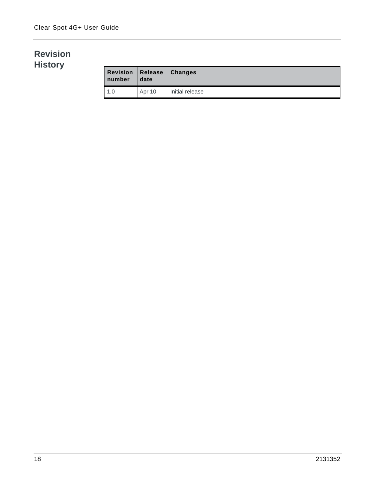## **Revision History**

| <b>Revision Release</b><br>number | date   | <b>Changes</b>  |
|-----------------------------------|--------|-----------------|
| 1.0                               | Apr 10 | Initial release |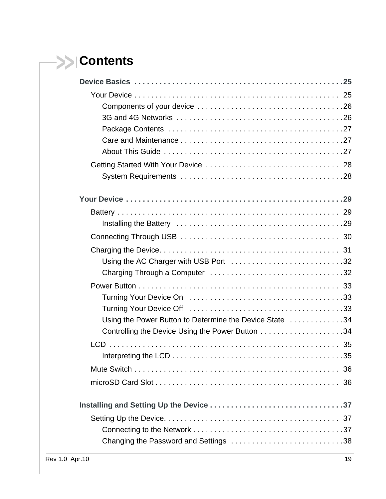# **Contents**

| Using the AC Charger with USB Port 32                   |  |
|---------------------------------------------------------|--|
|                                                         |  |
|                                                         |  |
|                                                         |  |
|                                                         |  |
| Using the Power Button to Determine the Device State 34 |  |
|                                                         |  |
|                                                         |  |
|                                                         |  |
|                                                         |  |
|                                                         |  |
|                                                         |  |
|                                                         |  |
|                                                         |  |
| Changing the Password and Settings 38                   |  |
|                                                         |  |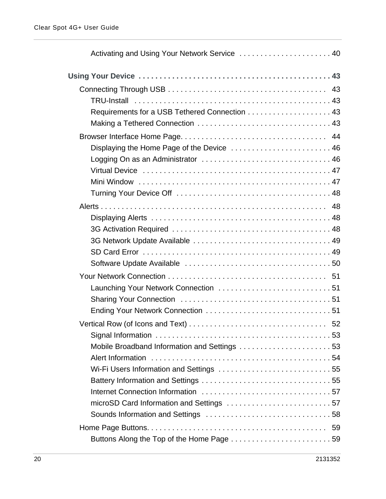| Activating and Using Your Network Service  40 |  |
|-----------------------------------------------|--|
|                                               |  |
|                                               |  |
|                                               |  |
| Requirements for a USB Tethered Connection 43 |  |
|                                               |  |
|                                               |  |
| Displaying the Home Page of the Device  46    |  |
| Logging On as an Administrator  46            |  |
|                                               |  |
|                                               |  |
|                                               |  |
|                                               |  |
|                                               |  |
|                                               |  |
|                                               |  |
|                                               |  |
|                                               |  |
|                                               |  |
| Launching Your Network Connection  51         |  |
|                                               |  |
|                                               |  |
|                                               |  |
|                                               |  |
| Mobile Broadband Information and Settings 53  |  |
|                                               |  |
|                                               |  |
|                                               |  |
|                                               |  |
|                                               |  |
|                                               |  |
|                                               |  |
| Buttons Along the Top of the Home Page 59     |  |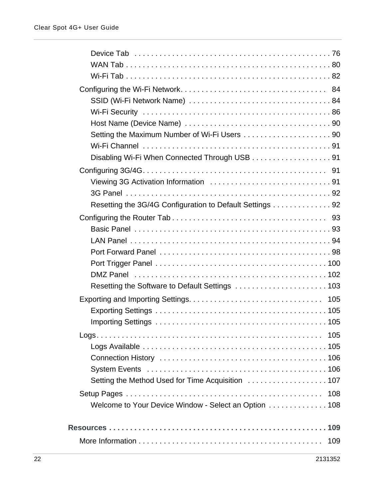| Disabling Wi-Fi When Connected Through USB 91            |
|----------------------------------------------------------|
|                                                          |
|                                                          |
|                                                          |
| Resetting the 3G/4G Configuration to Default Settings 92 |
|                                                          |
|                                                          |
|                                                          |
|                                                          |
|                                                          |
|                                                          |
|                                                          |
|                                                          |
|                                                          |
|                                                          |
|                                                          |
|                                                          |
|                                                          |
|                                                          |
|                                                          |
|                                                          |
| Welcome to Your Device Window - Select an Option 108     |
|                                                          |
|                                                          |
| 109                                                      |
|                                                          |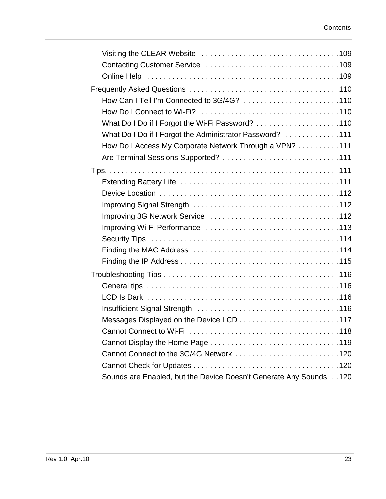| How Can I Tell I'm Connected to 3G/4G? 110                         |
|--------------------------------------------------------------------|
|                                                                    |
| What Do I Do if I Forgot the Wi-Fi Password? 110                   |
| What Do I Do if I Forgot the Administrator Password? 111           |
| How Do I Access My Corporate Network Through a VPN? 111            |
| Are Terminal Sessions Supported? 111                               |
|                                                                    |
|                                                                    |
|                                                                    |
|                                                                    |
|                                                                    |
|                                                                    |
|                                                                    |
|                                                                    |
|                                                                    |
|                                                                    |
|                                                                    |
|                                                                    |
|                                                                    |
|                                                                    |
|                                                                    |
|                                                                    |
| Cannot Connect to the 3G/4G Network 120                            |
|                                                                    |
| Sounds are Enabled, but the Device Doesn't Generate Any Sounds 120 |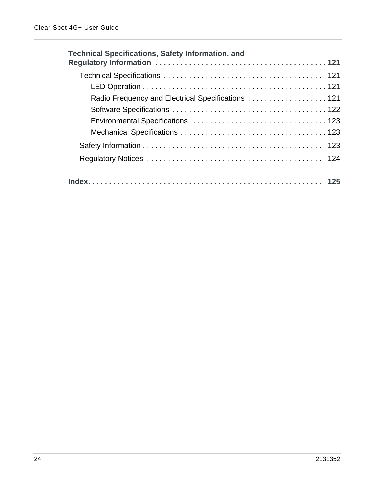| <b>Technical Specifications, Safety Information, and</b> |
|----------------------------------------------------------|
|                                                          |
|                                                          |
| Radio Frequency and Electrical Specifications 121        |
|                                                          |
|                                                          |
|                                                          |
|                                                          |
|                                                          |
|                                                          |
|                                                          |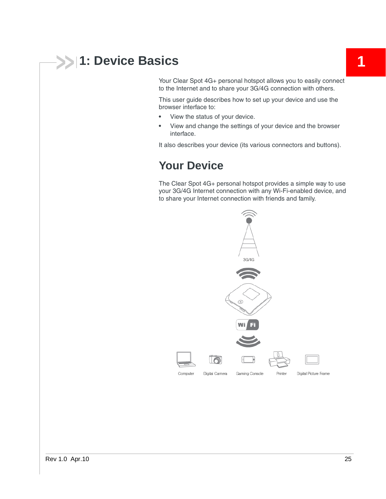# <span id="page-24-0"></span>**1: Device Basics 1: Device Basics**

Your Clear Spot 4G+ personal hotspot allows you to easily connect to the Internet and to share your 3G/4G connection with others.

This user guide describes how to set up your device and use the browser interface to:

- **•** View the status of your device.
- **•** View and change the settings of your device and the browser interface.

It also describes your device (its various connectors and buttons).

## <span id="page-24-1"></span>**Your Device**

The Clear Spot 4G+ personal hotspot provides a simple way to use your 3G/4G Internet connection with any Wi-Fi-enabled device, and to share your Internet connection with friends and family.

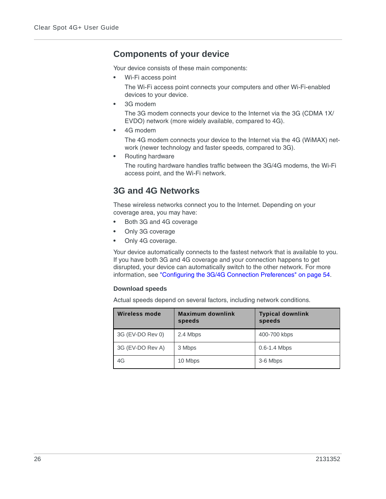## <span id="page-25-0"></span>**Components of your device**

Your device consists of these main components:

**•** Wi-Fi access point

The Wi-Fi access point connects your computers and other Wi-Fi-enabled devices to your device.

**•** 3G modem

The 3G modem connects your device to the Internet via the 3G (CDMA 1X/ EVDO) network (more widely available, compared to 4G).

**•** 4G modem

The 4G modem connects your device to the Internet via the 4G (WiMAX) network (newer technology and faster speeds, compared to 3G).

**•** Routing hardware

The routing hardware handles traffic between the 3G/4G modems, the Wi-Fi access point, and the Wi-Fi network.

## <span id="page-25-1"></span>**3G and 4G Networks**

These wireless networks connect you to the Internet. Depending on your coverage area, you may have:

- **•** Both 3G and 4G coverage
- **•** Only 3G coverage
- **•** Only 4G coverage.

Your device automatically connects to the fastest network that is available to you. If you have both 3G and 4G coverage and your connection happens to get disrupted, your device can automatically switch to the other network. For more information, see ["Configuring the 3G/4G Connection Preferences" on page 54.](#page-53-1)

#### **Download speeds**

Actual speeds depend on several factors, including network conditions.

| Wireless mode    | <b>Maximum downlink</b><br>speeds | <b>Typical downlink</b><br>speeds |
|------------------|-----------------------------------|-----------------------------------|
| 3G (EV-DO Rev 0) | 2.4 Mbps                          | 400-700 kbps                      |
| 3G (EV-DO Rev A) | 3 Mbps                            | $0.6 - 1.4$ Mbps                  |
| 4G               | 10 Mbps                           | 3-6 Mbps                          |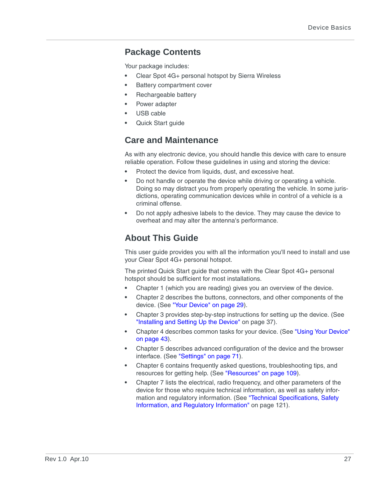### <span id="page-26-0"></span>**Package Contents**

Your package includes:

- **•** Clear Spot 4G+ personal hotspot by Sierra Wireless
- **•** Battery compartment cover
- **•** Rechargeable battery
- **•** Power adapter
- **•** USB cable
- **•** Quick Start guide

## <span id="page-26-1"></span>**Care and Maintenance**

As with any electronic device, you should handle this device with care to ensure reliable operation. Follow these guidelines in using and storing the device:

- **•** Protect the device from liquids, dust, and excessive heat.
- **•** Do not handle or operate the device while driving or operating a vehicle. Doing so may distract you from properly operating the vehicle. In some jurisdictions, operating communication devices while in control of a vehicle is a criminal offense.
- **•** Do not apply adhesive labels to the device. They may cause the device to overheat and may alter the antenna's performance.

## <span id="page-26-2"></span>**About This Guide**

This user guide provides you with all the information you'll need to install and use your Clear Spot 4G+ personal hotspot.

The printed Quick Start guide that comes with the Clear Spot 4G+ personal hotspot should be sufficient for most installations.

- **•** Chapter 1 (which you are reading) gives you an overview of the device.
- **•** Chapter 2 describes the buttons, connectors, and other components of the device. (See ["Your Device" on page 29\)](#page-28-3).
- **•** Chapter 3 provides step-by-step instructions for setting up the device. (See ["Installing and Setting Up the Device" on page 37\)](#page-36-3).
- **•** Chapter 4 describes common tasks for your device. (See ["Using Your Device"](#page-42-5)  [on page 43](#page-42-5)).
- **•** Chapter 5 describes advanced configuration of the device and the browser interface. (See ["Settings" on page 71\)](#page-70-6).
- **•** Chapter 6 contains frequently asked questions, troubleshooting tips, and resources for getting help. (See ["Resources" on page 109\)](#page-108-5).
- **•** Chapter 7 lists the electrical, radio frequency, and other parameters of the device for those who require technical information, as well as safety information and regulatory information. (See ["Technical Specifications, Safety](#page-120-4)  [Information, and Regulatory Information" on page 121](#page-120-4)).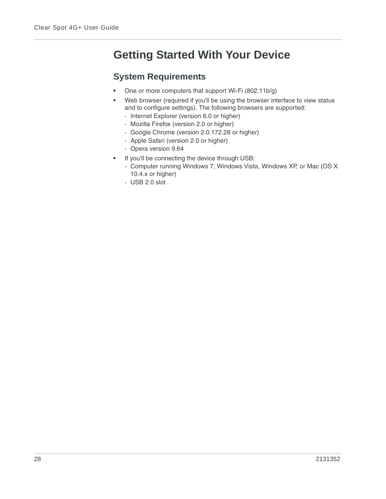# <span id="page-27-0"></span>**Getting Started With Your Device**

## <span id="page-27-1"></span>**System Requirements**

- **•** One or more computers that support Wi-Fi (802.11b/g)
- **•** Web browser (required if you'll be using the browser interface to view status and to configure settings). The following browsers are supported:
	- **·** Internet Explorer (version 6.0 or higher)
	- **·** Mozilla Firefox (version 2.0 or higher)
	- **·** Google Chrome (version 2.0.172.28 or higher)
	- **·** Apple Safari (version 2.0 or higher)
	- **·** Opera version 9.64
- **•** If you'll be connecting the device through USB:
	- **·** Computer running Windows 7, Windows Vista, Windows XP, or Mac (OS X 10.4.x or higher)
	- **·** USB 2.0 slot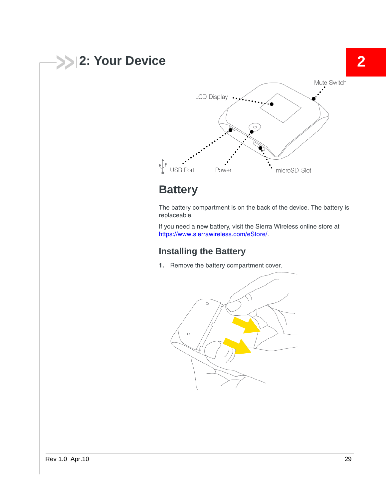<span id="page-28-3"></span><span id="page-28-0"></span>

# <span id="page-28-1"></span>**Battery**

The battery compartment is on the back of the device. The battery is replaceable.

If you need a new battery, visit the Sierra Wireless online store at <https://www.sierrawireless.com/eStore/>.

## <span id="page-28-2"></span>**Installing the Battery**

**1.** Remove the battery compartment cover.

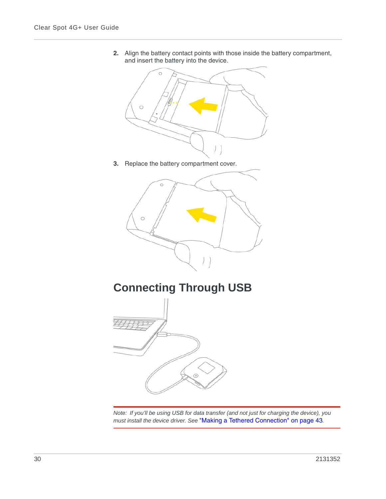



**3.** Replace the battery compartment cover.



<span id="page-29-0"></span>**Connecting Through USB**



*Note: If you'll be using USB for data transfer (and not just for charging the device), you must install the device driver. See* ["Making a Tethered Connection" on page 43](#page-42-6)*.*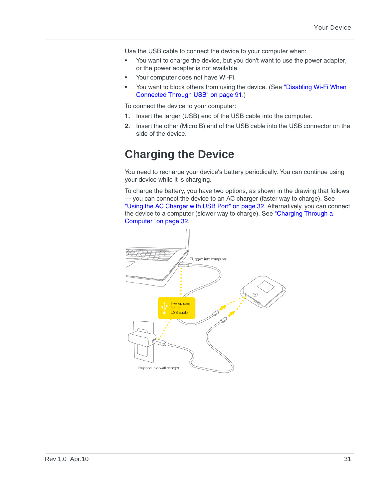Use the USB cable to connect the device to your computer when:

- **•** You want to charge the device, but you don't want to use the power adapter, or the power adapter is not available.
- **•** Your computer does not have Wi-Fi.
- **•** You want to block others from using the device. (See ["Disabling Wi-Fi When](#page-90-4)  [Connected Through USB" on page 91](#page-90-4).)

To connect the device to your computer:

- **1.** Insert the larger (USB) end of the USB cable into the computer.
- **2.** Insert the other (Micro B) end of the USB cable into the USB connector on the side of the device.

# <span id="page-30-0"></span>**Charging the Device**

You need to recharge your device's battery periodically. You can continue using your device while it is charging.

<span id="page-30-1"></span>To charge the battery, you have two options, as shown in the drawing that follows — you can connect the device to an AC charger (faster way to charge). See ["Using the AC Charger with USB Port" on page 32.](#page-31-0) Alternatively, you can connect the device to a computer (slower way to charge). See "Charging Through a [Computer" on page 32](#page-31-1).

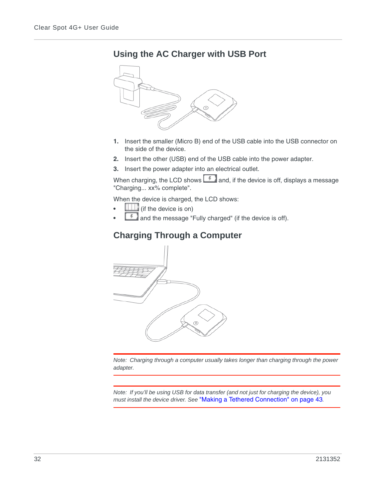## <span id="page-31-0"></span>**Using the AC Charger with USB Port**



- **1.** Insert the smaller (Micro B) end of the USB cable into the USB connector on the side of the device.
- **2.** Insert the other (USB) end of the USB cable into the power adapter.
- **3.** Insert the power adapter into an electrical outlet.

When charging, the LCD shows  $\Box$  and, if the device is off, displays a message "Charging... xx% complete".

When the device is charged, the LCD shows:

- **•** (if the device is on)
- **•** and the message "Fully charged" (if the device is off).

## <span id="page-31-1"></span>**Charging Through a Computer**



*Note: Charging through a computer usually takes longer than charging through the power adapter.*

*Note: If you'll be using USB for data transfer (and not just for charging the device), you must install the device driver. See* ["Making a Tethered Connection" on page 43](#page-42-6)*.*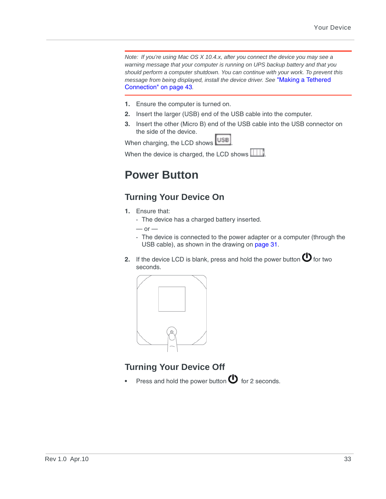*Note: If you're using Mac OS X 10.4.x, after you connect the device you may see a warning message that your computer is running on UPS backup battery and that you should perform a computer shutdown. You can continue with your work. To prevent this message from being displayed, install the device driver. See* ["Making a Tethered](#page-42-6)  [Connection" on page 43](#page-42-6)*.*

- **1.** Ensure the computer is turned on.
- **2.** Insert the larger (USB) end of the USB cable into the computer.
- **3.** Insert the other (Micro B) end of the USB cable into the USB connector on the side of the device.

When charging, the LCD shows USB

When the device is charged, the LCD shows  $\boxed{111}$ .

# <span id="page-32-0"></span>**Power Button**

## <span id="page-32-1"></span>**Turning Your Device On**

- **1.** Ensure that:
	- **·** The device has a charged battery inserted.

 $-$  or  $-$ 

- **·** The device is connected to the power adapter or a computer (through the USB cable), as shown in the drawing on [page 31](#page-30-1).
- **2.** If the device LCD is blank, press and hold the power button  $\bigcirc$  for two seconds.



## <span id="page-32-2"></span>**Turning Your Device Off**

Press and hold the power button  $\Phi$  for 2 seconds.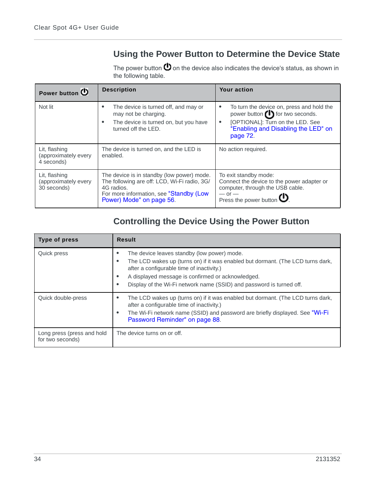## <span id="page-33-0"></span>**Using the Power Button to Determine the Device State**

The power button  $\bigcirc$  on the device also indicates the device's status, as shown in the following table.

| Power button (                                       | <b>Description</b>                                                                                                                                                              | <b>Your action</b>                                                                                                                                                                      |
|------------------------------------------------------|---------------------------------------------------------------------------------------------------------------------------------------------------------------------------------|-----------------------------------------------------------------------------------------------------------------------------------------------------------------------------------------|
| Not lit                                              | The device is turned off, and may or<br>may not be charging.<br>The device is turned on, but you have<br>turned off the LED.                                                    | To turn the device on, press and hold the<br>٠<br>power button (1) for two seconds.<br>[OPTIONAL]: Turn on the LED. See<br>$\bullet$<br>"Enabling and Disabling the LED" on<br>page 72. |
| Lit, flashing<br>(approximately every<br>4 seconds)  | The device is turned on, and the LED is<br>enabled.                                                                                                                             | No action required.                                                                                                                                                                     |
| Lit, flashing<br>(approximately every<br>30 seconds) | The device is in standby (low power) mode.<br>The following are off: LCD, Wi-Fi radio, 3G/<br>4G radios.<br>For more information, see "Standby (Low<br>Power) Mode" on page 56. | To exit standby mode:<br>Connect the device to the power adapter or<br>computer, through the USB cable.<br>$-$ or $-$<br>Press the power button $\mathbf{U}$ .                          |

## <span id="page-33-1"></span>**Controlling the Device Using the Power Button**

| Type of press                                  | <b>Result</b>                                                                                                                                                                                                                                                                                                                                |
|------------------------------------------------|----------------------------------------------------------------------------------------------------------------------------------------------------------------------------------------------------------------------------------------------------------------------------------------------------------------------------------------------|
| Quick press                                    | The device leaves standby (low power) mode.<br>٠<br>The LCD wakes up (turns on) if it was enabled but dormant. (The LCD turns dark,<br>$\bullet$<br>after a configurable time of inactivity.)<br>A displayed message is confirmed or acknowledged.<br>٠<br>Display of the Wi-Fi network name (SSID) and password is turned off.<br>$\bullet$ |
| Quick double-press                             | The LCD wakes up (turns on) if it was enabled but dormant. (The LCD turns dark,<br>٠<br>after a configurable time of inactivity.)<br>The Wi-Fi network name (SSID) and password are briefly displayed. See "Wi-Fi<br>٠<br>Password Reminder" on page 88.                                                                                     |
| Long press (press and hold<br>for two seconds) | The device turns on or off.                                                                                                                                                                                                                                                                                                                  |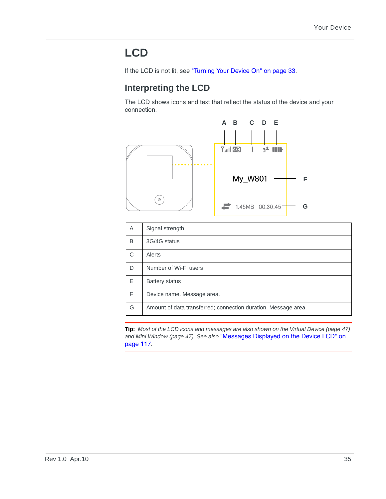# <span id="page-34-0"></span>**LCD**

If the LCD is not lit, see ["Turning Your Device On" on page 33.](#page-32-1)

## <span id="page-34-1"></span>**Interpreting the LCD**

The LCD shows icons and text that reflect the status of the device and your connection.



| A            | Signal strength                                                |  |
|--------------|----------------------------------------------------------------|--|
| B            | 3G/4G status                                                   |  |
| $\mathsf{C}$ | Alerts                                                         |  |
| D            | Number of Wi-Fi users                                          |  |
| E            | Battery status                                                 |  |
| F            | Device name. Message area.                                     |  |
| G            | Amount of data transferred; connection duration. Message area. |  |

**Tip:** *Most of the LCD icons and messages are also shown on the Virtual Device [\(page 47\)](#page-46-2) and Mini Window ([page 47](#page-46-3)). See also* ["Messages Displayed on the Device LCD" on](#page-116-1)  [page 117](#page-116-1)*.*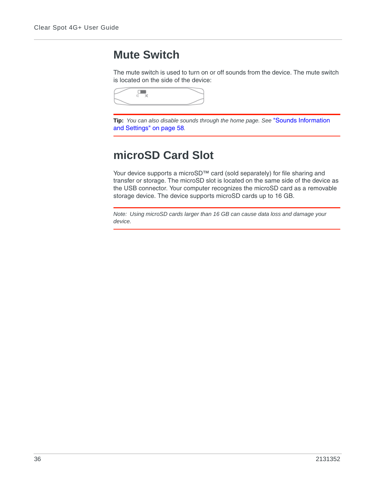## <span id="page-35-0"></span>**Mute Switch**

The mute switch is used to turn on or off sounds from the device. The mute switch is located on the side of the device:



**Tip:** *You can also disable sounds through the home page. See* ["Sounds Information](#page-57-1)  [and Settings" on page 58](#page-57-1)*.*

# <span id="page-35-1"></span>**microSD Card Slot**

Your device supports a microSD™ card (sold separately) for file sharing and transfer or storage. The microSD slot is located on the same side of the device as the USB connector. Your computer recognizes the microSD card as a removable storage device. The device supports microSD cards up to 16 GB.

*Note: Using microSD cards larger than 16 GB can cause data loss and damage your device.*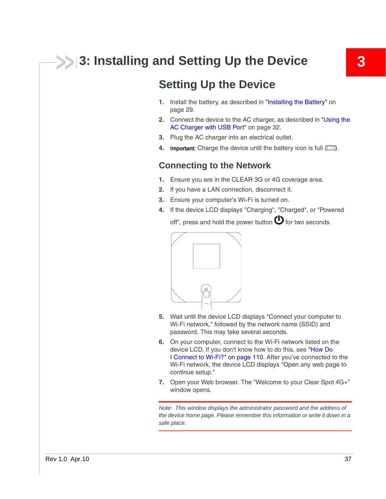# **3: Installing and Setting Up the Device 3**

## <span id="page-36-0"></span>**Setting Up the Device**

- **1.** Install the battery, as described in ["Installing the Battery" on](#page-28-0)  [page 29](#page-28-0).
- **2.** Connect the device to the AC charger, as described in ["Using the](#page-31-0)  [AC Charger with USB Port" on page 32.](#page-31-0)
- **3.** Plug the AC charger into an electrical outlet.
- **4.** Important: Charge the device until the battery icon is full ( $\Box\Box$ ).

## **Connecting to the Network**

- **1.** Ensure you are in the CLEAR 3G or 4G coverage area.
- **2.** If you have a LAN connection, disconnect it.
- **3.** Ensure your computer's Wi-Fi is turned on.
- **4.** If the device LCD displays "Charging", "Charged", or "Powered off", press and hold the power button  $\mathbf \Theta$  for two seconds.



- **5.** Wait until the device LCD displays "Connect your computer to Wi-Fi network," followed by the network name (SSID) and password. This may take several seconds.
- **6.** On your computer, connect to the Wi-Fi network listed on the device LCD. If you don't know how to do this, see ["How Do](#page-109-0)  [I Connect to Wi-Fi?" on page 110](#page-109-0). After you've connected to the Wi-Fi network, the device LCD displays "Open any web page to continue setup."
- **7.** Open your Web browser. The "Welcome to your Clear Spot 4G+" window opens.

*Note: This window displays the administrator password and the address of the device home page. Please remember this information or write it down in a safe place.*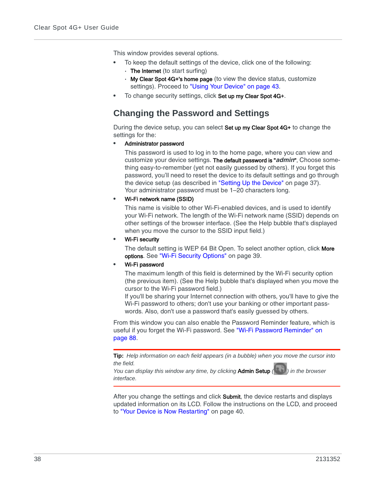This window provides several options.

- **•** To keep the default settings of the device, click one of the following:
	- **·** The Internet (to start surfing)
	- **·** My Clear Spot 4G+'s home page (to view the device status, customize settings). Proceed to ["Using Your Device" on page 43](#page-42-0).
- **•** To change security settings, click Set up my Clear Spot 4G+.

## **Changing the Password and Settings**

During the device setup, you can select Set up my Clear Spot 4G+ to change the settings for the:

**•** Administrator password

This password is used to log in to the home page, where you can view and customize your device settings. The default password is "*admin*". Choose something easy-to-remember (yet not easily guessed by others). If you forget this password, you'll need to reset the device to its default settings and go through the device setup (as described in ["Setting Up the Device" on page 37\)](#page-36-0). Your administrator password must be 1–20 characters long.

**•** Wi-Fi network name (SSID)

This name is visible to other Wi-Fi-enabled devices, and is used to identify your Wi-Fi network. The length of the Wi-Fi network name (SSID) depends on other settings of the browser interface. (See the Help bubble that's displayed when you move the cursor to the SSID input field.)

**•** Wi-Fi security

The default setting is WEP 64 Bit Open. To select another option, click More options. See ["Wi-Fi Security Options" on page 39](#page-38-0).

**•** Wi-Fi password

The maximum length of this field is determined by the Wi-Fi security option (the previous item). (See the Help bubble that's displayed when you move the cursor to the Wi-Fi password field.)

If you'll be sharing your Internet connection with others, you'll have to give the Wi-Fi password to others; don't use your banking or other important passwords. Also, don't use a password that's easily guessed by others.

From this window you can also enable the Password Reminder feature, which is useful if you forget the Wi-Fi password. See ["Wi-Fi Password Reminder" on](#page-87-0)  [page 88](#page-87-0).

**Tip:** *Help information on each field appears (in a bubble) when you move the cursor into the field.*

*You can display this window any time, by clicking* Admin Setup *( ) in the browser interface.*

After you change the settings and click **Submit**, the device restarts and displays updated information on its LCD. Follow the instructions on the LCD, and proceed to ["Your Device is Now Restarting" on page 40](#page-39-0).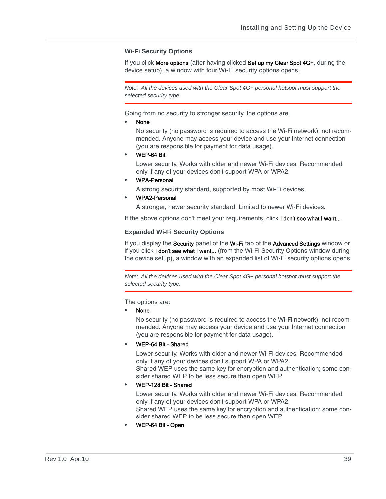#### <span id="page-38-0"></span>**Wi-Fi Security Options**

If you click More options (after having clicked Set up my Clear Spot 4G+, during the device setup), a window with four Wi-Fi security options opens.

*Note: All the devices used with the Clear Spot 4G+ personal hotspot must support the selected security type.* 

Going from no security to stronger security, the options are:

**•** None

No security (no password is required to access the Wi-Fi network); not recommended. Anyone may access your device and use your Internet connection (you are responsible for payment for data usage).

**•** WEP-64 Bit

Lower security. Works with older and newer Wi-Fi devices. Recommended only if any of your devices don't support WPA or WPA2.

**•** WPA-Personal

A strong security standard, supported by most Wi-Fi devices.

**•** WPA2-Personal

A stronger, newer security standard. Limited to newer Wi-Fi devices.

If the above options don't meet your requirements, click I don't see what I want....

#### **Expanded Wi-Fi Security Options**

If you display the Security panel of the Wi-Fi tab of the Advanced Settings window or if you click **I don't see what I want...** (from the Wi-Fi Security Options window during the device setup), a window with an expanded list of Wi-Fi security options opens.

*Note: All the devices used with the Clear Spot 4G+ personal hotspot must support the selected security type.* 

The options are:

**•** None

No security (no password is required to access the Wi-Fi network); not recommended. Anyone may access your device and use your Internet connection (you are responsible for payment for data usage).

**•** WEP-64 Bit - Shared

Lower security. Works with older and newer Wi-Fi devices. Recommended only if any of your devices don't support WPA or WPA2.

Shared WEP uses the same key for encryption and authentication; some consider shared WEP to be less secure than open WEP.

#### **•** WEP-128 Bit - Shared

Lower security. Works with older and newer Wi-Fi devices. Recommended only if any of your devices don't support WPA or WPA2. Shared WEP uses the same key for encryption and authentication; some consider shared WEP to be less secure than open WEP.

**•** WEP-64 Bit - Open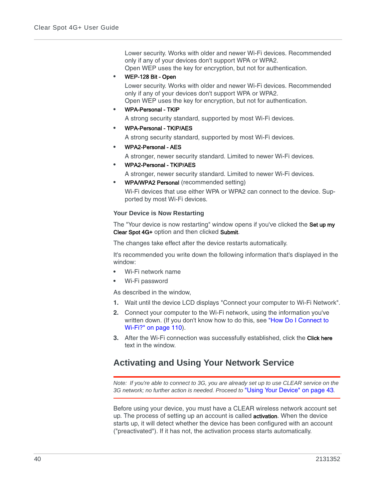Lower security. Works with older and newer Wi-Fi devices. Recommended only if any of your devices don't support WPA or WPA2. Open WEP uses the key for encryption, but not for authentication.

**•** WEP-128 Bit - Open

Lower security. Works with older and newer Wi-Fi devices. Recommended only if any of your devices don't support WPA or WPA2. Open WEP uses the key for encryption, but not for authentication.

**•** WPA-Personal - TKIP

A strong security standard, supported by most Wi-Fi devices.

**•** WPA-Personal - TKIP/AES

A strong security standard, supported by most Wi-Fi devices.

**•** WPA2-Personal - AES

A stronger, newer security standard. Limited to newer Wi-Fi devices.

- **•** WPA2-Personal TKIP/AES
	- A stronger, newer security standard. Limited to newer Wi-Fi devices.
- **•** WPA/WPA2 Personal (recommended setting) Wi-Fi devices that use either WPA or WPA2 can connect to the device. Supported by most Wi-Fi devices.

#### <span id="page-39-0"></span>**Your Device is Now Restarting**

The "Your device is now restarting" window opens if you've clicked the Set up my Clear Spot 4G+ option and then clicked Submit.

The changes take effect after the device restarts automatically.

It's recommended you write down the following information that's displayed in the window:

- **•** Wi-Fi network name
- **•** Wi-Fi password

As described in the window,

- **1.** Wait until the device LCD displays "Connect your computer to Wi-Fi Network".
- **2.** Connect your computer to the Wi-Fi network, using the information you've written down. (If you don't know how to do this, see "How Do I Connect to [Wi-Fi?" on page 110\)](#page-109-0).
- **3.** After the Wi-Fi connection was successfully established, click the **Click here** text in the window.

## **Activating and Using Your Network Service**

*Note: If you're able to connect to 3G, you are already set up to use CLEAR service on the 3G network; no further action is needed. Proceed to* ["Using Your Device" on page 43](#page-42-0)*.*

Before using your device, you must have a CLEAR wireless network account set up. The process of setting up an account is called activation. When the device starts up, it will detect whether the device has been configured with an account ("preactivated"). If it has not, the activation process starts automatically.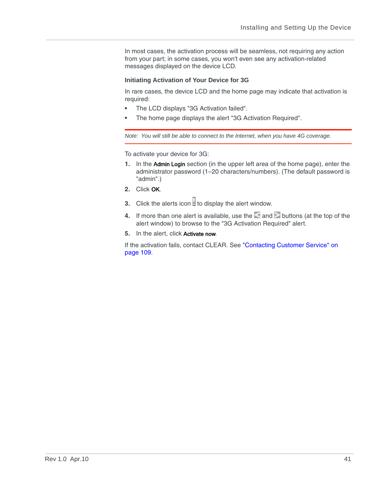In most cases, the activation process will be seamless, not requiring any action from your part; in some cases, you won't even see any activation-related messages displayed on the device LCD.

#### **Initiating Activation of Your Device for 3G**

In rare cases, the device LCD and the home page may indicate that activation is required:

- **•** The LCD displays "3G Activation failed".
- **•** The home page displays the alert "3G Activation Required".

*Note: You will still be able to connect to the Internet, when you have 4G coverage.*

To activate your device for 3G:

- **1.** In the Admin Login section (in the upper left area of the home page), enter the administrator password (1–20 characters/numbers). (The default password is "admin".)
- **2.** Click OK.
- **3.** Click the alerts icon  $\mathbf{I}$  to display the alert window.
- **4.** If more than one alert is available, use the and buttons (at the top of the alert window) to browse to the "3G Activation Required" alert.
- **5.** In the alert, click Activate now.

If the activation fails, contact CLEAR. See ["Contacting Customer Service" on](#page-108-0)  [page 109.](#page-108-0)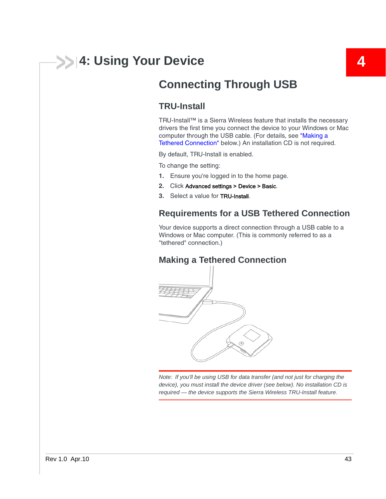# <span id="page-42-0"></span>**4: Using Your Device 4**

## **TRU-Install**

TRU-Install™ is a Sierra Wireless feature that installs the necessary drivers the first time you connect the device to your Windows or Mac computer through the USB cable. (For details, see ["Making a](#page-42-1)  [Tethered Connection"](#page-42-1) below.) An installation CD is not required.

By default, TRU-Install is enabled.

To change the setting:

- **1.** Ensure you're logged in to the home page.
- **2.** Click Advanced settings > Device > Basic.
- **3.** Select a value for TRU-Install.

### **Requirements for a USB Tethered Connection**

Your device supports a direct connection through a USB cable to a Windows or Mac computer. (This is commonly referred to as a "tethered" connection.)

## <span id="page-42-1"></span>**Making a Tethered Connection**



*Note: If you'll be using USB for data transfer (and not just for charging the device), you must install the device driver (see below). No installation CD is required — the device supports the Sierra Wireless TRU-Install feature.*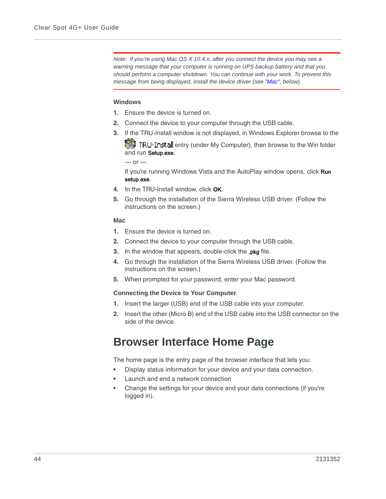*Note: If you're using Mac OS X 10.4.x, after you connect the device you may see a warning message that your computer is running on UPS backup battery and that you should perform a computer shutdown. You can continue with your work. To prevent this message from being displayed, install the device driver (see ["Mac",](#page-43-0) below).*

#### **Windows**

- **1.** Ensure the device is turned on.
- **2.** Connect the device to your computer through the USB cable.
- **3.** If the TRU-Install window is not displayed, in Windows Explorer browse to the

**Foll TRU-Install** entry (under My Computer), then browse to the Win folder and run Setup.exe.

 $-$  or  $-$ 

If you're running Windows Vista and the AutoPlay window opens, click Run setup.exe.

- **4.** In the TRU-Install window, click OK.
- **5.** Go through the installation of the Sierra Wireless USB driver. (Follow the instructions on the screen.)

#### <span id="page-43-0"></span>**Mac**

- **1.** Ensure the device is turned on.
- **2.** Connect the device to your computer through the USB cable.
- **3.** In the window that appears, double-click the .pkg file.
- **4.** Go through the installation of the Sierra Wireless USB driver. (Follow the instructions on the screen.)
- **5.** When prompted for your password, enter your Mac password.

#### **Connecting the Device to Your Computer**

- **1.** Insert the larger (USB) end of the USB cable into your computer.
- **2.** Insert the other (Micro B) end of the USB cable into the USB connector on the side of the device.

## **Browser Interface Home Page**

The home page is the entry page of the browser interface that lets you:

- **•** Display status information for your device and your data connection.
- **•** Launch and end a network connection
- **•** Change the settings for your device and your data connections (if you're logged in).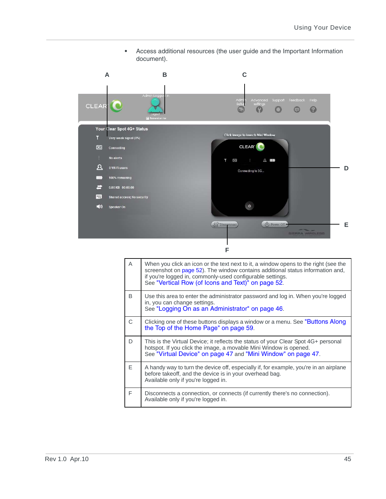**•** Access additional resources (the user guide and the Important Information document).



| A  | When you click an icon or the text next to it, a window opens to the right (see the<br>screenshot on page 52). The window contains additional status information and,<br>if you're logged in, commonly-used configurable settings.<br>See "Vertical Row (of Icons and Text)" on page 52. |
|----|------------------------------------------------------------------------------------------------------------------------------------------------------------------------------------------------------------------------------------------------------------------------------------------|
| B. | Use this area to enter the administrator password and log in. When you're logged<br>in, you can change settings.<br>See "Logging On as an Administrator" on page 46.                                                                                                                     |
| C. | Clicking one of these buttons displays a window or a menu. See "Buttons Along"<br>the Top of the Home Page" on page 59.                                                                                                                                                                  |
| D. | This is the Virtual Device; it reflects the status of your Clear Spot 4G+ personal<br>hotspot. If you click the image, a movable Mini Window is opened.<br>See "Virtual Device" on page 47 and "Mini Window" on page 47.                                                                 |
| F  | A handy way to turn the device off, especially if, for example, you're in an airplane<br>before takeoff, and the device is in your overhead bag.<br>Available only if you're logged in.                                                                                                  |
| F  | Disconnects a connection, or connects (if currently there's no connection).<br>Available only if you're logged in.                                                                                                                                                                       |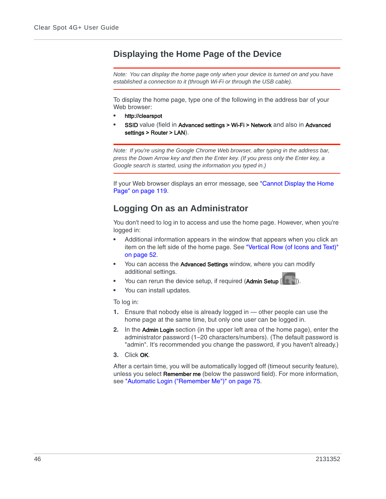## **Displaying the Home Page of the Device**

*Note: You can display the home page only when your device is turned on and you have established a connection to it (through Wi-Fi or through the USB cable).*

To display the home page, type one of the following in the address bar of your Web browser:

- **•** http://clearspot
- **SSID** value (field in Advanced settings > Wi-Fi > Network and also in Advanced settings > Router > LAN).

*Note: If you're using the Google Chrome Web browser, after typing in the address bar, press the Down Arrow key and then the Enter key. (If you press only the Enter key, a Google search is started, using the information you typed in.)*

If your Web browser displays an error message, see "Cannot Display the Home [Page" on page 119.](#page-118-0)

## <span id="page-45-0"></span>**Logging On as an Administrator**

You don't need to log in to access and use the home page. However, when you're logged in:

- **•** Additional information appears in the window that appears when you click an item on the left side of the home page. See ["Vertical Row \(of Icons and Text\)"](#page-51-1)  [on page 52.](#page-51-1)
- **•** You can access the Advanced Settings window, where you can modify additional settings.
- You can rerun the device setup, if required (Admin Setup
- **•** You can install updates.

To log in:

- **1.** Ensure that nobody else is already logged in other people can use the home page at the same time, but only one user can be logged in.
- **2.** In the Admin Login section (in the upper left area of the home page), enter the administrator password (1–20 characters/numbers). (The default password is "admin". It's recommended you change the password, if you haven't already.)
- **3.** Click OK.

After a certain time, you will be automatically logged off (timeout security feature), unless you select Remember me (below the password field). For more information, see ["Automatic Login \("Remember Me"\)" on page 75.](#page-74-0)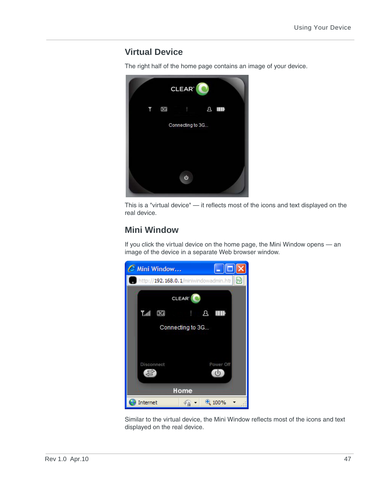## <span id="page-46-0"></span>**Virtual Device**

The right half of the home page contains an image of your device.



This is a "virtual device" — it reflects most of the icons and text displayed on the real device.

## <span id="page-46-1"></span>**Mini Window**

If you click the virtual device on the home page, the Mini Window opens — an image of the device in a separate Web browser window.



Similar to the virtual device, the Mini Window reflects most of the icons and text displayed on the real device.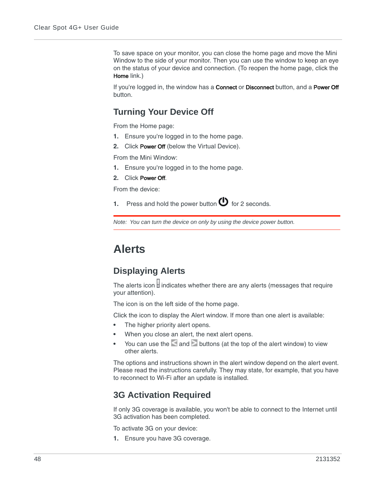To save space on your monitor, you can close the home page and move the Mini Window to the side of your monitor. Then you can use the window to keep an eye on the status of your device and connection. (To reopen the home page, click the Home link.)

If you're logged in, the window has a **Connect** or **Disconnect** button, and a Power Off button.

## **Turning Your Device Off**

From the Home page:

- **1.** Ensure you're logged in to the home page.
- **2.** Click Power Off (below the Virtual Device).

From the Mini Window:

- **1.** Ensure you're logged in to the home page.
- **2.** Click Power Off.

From the device:

**1.** Press and hold the power button  $\bullet$  for 2 seconds.

*Note: You can turn the device on only by using the device power button.*

## <span id="page-47-0"></span>**Alerts**

## **Displaying Alerts**

The alerts icon  $\mathsf H$  indicates whether there are any alerts (messages that require your attention).

The icon is on the left side of the home page.

Click the icon to display the Alert window. If more than one alert is available:

- **•** The higher priority alert opens.
- **•** When you close an alert, the next alert opens.
- **Figure 2** You can use the and buttons (at the top of the alert window) to view other alerts.

The options and instructions shown in the alert window depend on the alert event. Please read the instructions carefully. They may state, for example, that you have to reconnect to Wi-Fi after an update is installed.

### **3G Activation Required**

If only 3G coverage is available, you won't be able to connect to the Internet until 3G activation has been completed.

To activate 3G on your device:

**1.** Ensure you have 3G coverage.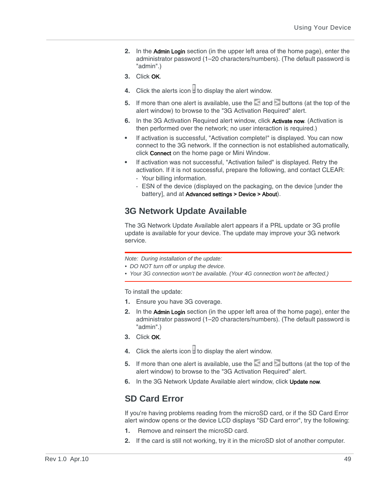- **2.** In the Admin Login section (in the upper left area of the home page), enter the administrator password (1–20 characters/numbers). (The default password is "admin".)
- **3.** Click OK.
- **4.** Click the alerts icon  $\frac{1}{2}$  to display the alert window.
- **5.** If more than one alert is available, use the and buttons (at the top of the alert window) to browse to the "3G Activation Required" alert.
- **6.** In the 3G Activation Required alert window, click Activate now. (Activation is then performed over the network; no user interaction is required.)
- **•** If activation is successful, "Activation complete!" is displayed. You can now connect to the 3G network. If the connection is not established automatically, click Connect on the home page or Mini Window.
- **•** If activation was not successful, "Activation failed" is displayed. Retry the activation. If it is not successful, prepare the following, and contact CLEAR:
	- **·** Your billing information.
	- **·** ESN of the device (displayed on the packaging, on the device [under the battery], and at Advanced settings > Device > About).

## <span id="page-48-0"></span>**3G Network Update Available**

The 3G Network Update Available alert appears if a PRL update or 3G profile update is available for your device. The update may improve your 3G network service.

*Note: During installation of the update:*

*• DO NOT turn off or unplug the device.*

*• Your 3G connection won't be available. (Your 4G connection won't be affected.)*

To install the update:

- **1.** Ensure you have 3G coverage.
- **2.** In the Admin Login section (in the upper left area of the home page), enter the administrator password (1–20 characters/numbers). (The default password is "admin".)
- **3.** Click OK.
- **4.** Click the alerts icon  $\theta$  to display the alert window.
- **5.** If more than one alert is available, use the  $\leq$  and  $\geq$  buttons (at the top of the alert window) to browse to the "3G Activation Required" alert.
- **6.** In the 3G Network Update Available alert window, click Update now.

## **SD Card Error**

If you're having problems reading from the microSD card, or if the SD Card Error alert window opens or the device LCD displays "SD Card error", try the following:

- **1.** Remove and reinsert the microSD card.
- **2.** If the card is still not working, try it in the microSD slot of another computer.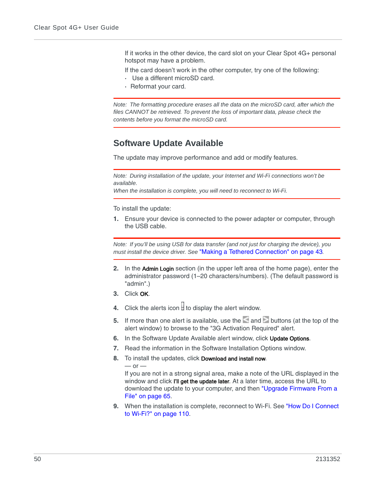If it works in the other device, the card slot on your Clear Spot 4G+ personal hotspot may have a problem.

If the card doesn't work in the other computer, try one of the following:

- **·** Use a different microSD card.
- **·** Reformat your card.

*Note: The formatting procedure erases all the data on the microSD card, after which the*  files CANNOT be retrieved. To prevent the loss of important data, please check the *contents before you format the microSD card.*

## <span id="page-49-0"></span>**Software Update Available**

The update may improve performance and add or modify features.

*Note: During installation of the update, your Internet and Wi-Fi connections won't be available.*

*When the installation is complete, you will need to reconnect to Wi-Fi.*

To install the update:

**1.** Ensure your device is connected to the power adapter or computer, through the USB cable.

*Note: If you'll be using USB for data transfer (and not just for charging the device), you must install the device driver. See* ["Making a Tethered Connection" on page 43](#page-42-1)*.*

- **2.** In the Admin Login section (in the upper left area of the home page), enter the administrator password (1–20 characters/numbers). (The default password is "admin".)
- **3.** Click OK.
- **4.** Click the alerts icon  $\mathbf{F}$  to display the alert window.
- **5.** If more than one alert is available, use the and buttons (at the top of the alert window) to browse to the "3G Activation Required" alert.
- **6.** In the Software Update Available alert window, click Update Options.
- **7.** Read the information in the Software Installation Options window.
- **8.** To install the updates, click Download and install now.

 $-$  or  $-$ 

If you are not in a strong signal area, make a note of the URL displayed in the window and click I'll get the update later. At a later time, access the URL to download the update to your computer, and then ["Upgrade Firmware From a](#page-64-0)  [File" on page 65](#page-64-0).

**9.** When the installation is complete, reconnect to Wi-Fi. See ["How Do I Connect](#page-109-0)  [to Wi-Fi?" on page 110.](#page-109-0)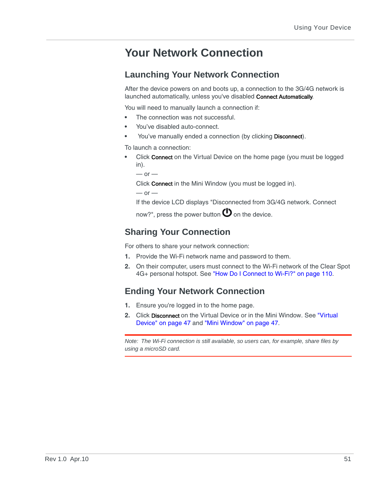## **Your Network Connection**

## **Launching Your Network Connection**

After the device powers on and boots up, a connection to the 3G/4G network is launched automatically, unless you've disabled Connect Automatically.

You will need to manually launch a connection if:

- **•** The connection was not successful.
- **•** You've disabled auto-connect.
- **•** You've manually ended a connection (by clicking Disconnect).

To launch a connection:

**•** Click Connect on the Virtual Device on the home page (you must be logged in).

```
- or -
```
Click Connect in the Mini Window (you must be logged in).

```
- or -
```
If the device LCD displays "Disconnected from 3G/4G network. Connect

now?", press the power button  $\mathbf \Theta$  on the device.

## **Sharing Your Connection**

For others to share your network connection:

- **1.** Provide the Wi-Fi network name and password to them.
- **2.** On their computer, users must connect to the Wi-Fi network of the Clear Spot 4G+ personal hotspot. See ["How Do I Connect to Wi-Fi?" on page 110](#page-109-0).

## **Ending Your Network Connection**

- **1.** Ensure you're logged in to the home page.
- **2.** Click Disconnect on the Virtual Device or in the Mini Window. See ["Virtual](#page-46-0)  [Device" on page 47](#page-46-0) and ["Mini Window" on page 47](#page-46-1).

*Note: The Wi-Fi connection is still available, so users can, for example, share files by using a microSD card.*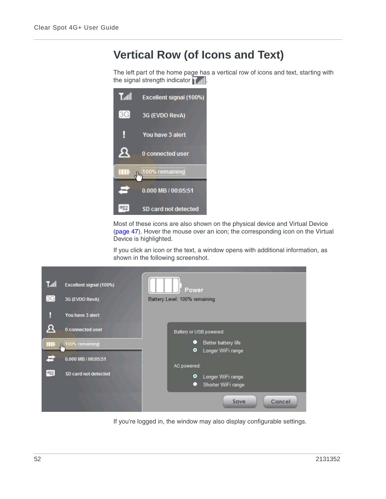## <span id="page-51-1"></span>**Vertical Row (of Icons and Text)**

The left part of the home page has a vertical row of icons and text, starting with the signal strength indicator  $\mathbf{r}_{\text{all}}$ .



Most of these icons are also shown on the physical device and Virtual Device [\(page 47](#page-46-0)). Hover the mouse over an icon; the corresponding icon on the Virtual Device is highlighted.

<span id="page-51-0"></span>If you click an icon or the text, a window opens with additional information, as shown in the following screenshot.



If you're logged in, the window may also display configurable settings.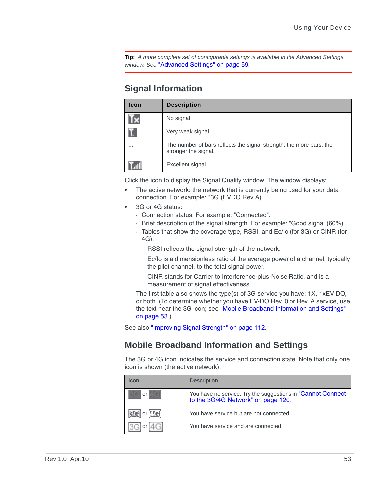**Tip:** *A more complete set of configurable settings is available in the Advanced Settings window. See* ["Advanced Settings" on page 59](#page-58-1)*.*

## **Signal Information**

| Icon | <b>Description</b>                                                                          |
|------|---------------------------------------------------------------------------------------------|
|      | No signal                                                                                   |
|      | Very weak signal                                                                            |
|      | The number of bars reflects the signal strength: the more bars, the<br>stronger the signal. |
|      | Excellent signal                                                                            |

Click the icon to display the Signal Quality window. The window displays:

- **•** The active network: the network that is currently being used for your data connection. For example: "3G (EVDO Rev A)".
- **•** 3G or 4G status:
	- **·** Connection status. For example: "Connected".
	- **·** Brief description of the signal strength. For example: "Good signal (60%)".
	- **·** Tables that show the coverage type, RSSI, and Ec/Io (for 3G) or CINR (for 4G).

RSSI reflects the signal strength of the network.

Ec/Io is a dimensionless ratio of the average power of a channel, typically the pilot channel, to the total signal power.

CINR stands for Carrier to Interference-plus-Noise Ratio, and is a measurement of signal effectiveness.

The first table also shows the type(s) of 3G service you have: 1X, 1xEV-DO, or both. (To determine whether you have EV-DO Rev. 0 or Rev. A service, use the text near the 3G icon; see ["Mobile Broadband Information and Settings"](#page-52-0)  [on page 53](#page-52-0).)

See also ["Improving Signal Strength" on page 112.](#page-111-0)

### <span id="page-52-0"></span>**Mobile Broadband Information and Settings**

The 3G or 4G icon indicates the service and connection state. Note that only one icon is shown (the active network).

| Icon        | <b>Description</b>                                                                                 |
|-------------|----------------------------------------------------------------------------------------------------|
| or          | You have no service. Try the suggestions in "Cannot Connect"<br>to the 3G/4G Network" on page 120. |
| <b>Krei</b> | You have service but are not connected.                                                            |
|             | You have service and are connected.                                                                |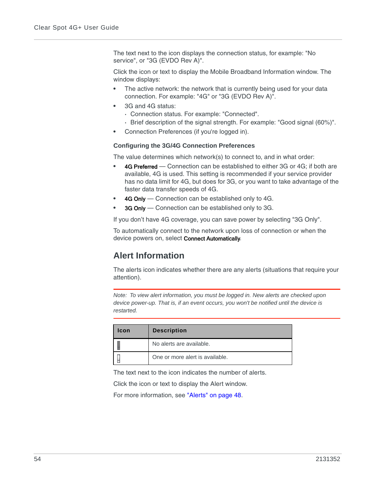The text next to the icon displays the connection status, for example: "No service", or "3G (EVDO Rev A)".

Click the icon or text to display the Mobile Broadband Information window. The window displays:

- **•** The active network: the network that is currently being used for your data connection. For example: "4G" or "3G (EVDO Rev A)".
- **•** 3G and 4G status:
	- **·** Connection status. For example: "Connected".
	- **·** Brief description of the signal strength. For example: "Good signal (60%)".
- **•** Connection Preferences (if you're logged in).

#### **Configuring the 3G/4G Connection Preferences**

The value determines which network(s) to connect to, and in what order:

- **•** 4G Preferred Connection can be established to either 3G or 4G; if both are available, 4G is used. This setting is recommended if your service provider has no data limit for 4G, but does for 3G, or you want to take advantage of the faster data transfer speeds of 4G.
- **•** 4G Only Connection can be established only to 4G.
- **3G Only** Connection can be established only to 3G.

If you don't have 4G coverage, you can save power by selecting "3G Only".

To automatically connect to the network upon loss of connection or when the device powers on, select Connect Automatically.

## <span id="page-53-0"></span>**Alert Information**

The alerts icon indicates whether there are any alerts (situations that require your attention).

*Note: To view alert information, you must be logged in. New alerts are checked upon device power-up. That is, if an event occurs, you won't be notified until the device is restarted.*

| <b>Icon</b> | <b>Description</b>              |
|-------------|---------------------------------|
|             | No alerts are available.        |
|             | One or more alert is available. |

The text next to the icon indicates the number of alerts.

Click the icon or text to display the Alert window.

For more information, see ["Alerts" on page 48.](#page-47-0)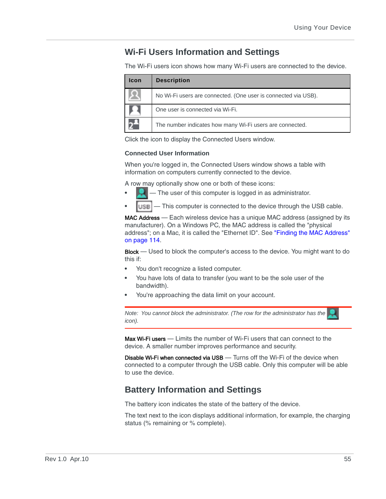## **Wi-Fi Users Information and Settings**

The Wi-Fi users icon shows how many Wi-Fi users are connected to the device.

| <b>Icon</b> | <b>Description</b>                                             |
|-------------|----------------------------------------------------------------|
|             | No Wi-Fi users are connected. (One user is connected via USB). |
|             | One user is connected via Wi-Fi.                               |
|             | The number indicates how many Wi-Fi users are connected.       |

Click the icon to display the Connected Users window.

#### **Connected User Information**

When you're logged in, the Connected Users window shows a table with information on computers currently connected to the device.

A row may optionally show one or both of these icons:

- **•** The user of this computer is logged in as administrator.
- **USB**  $-$  This computer is connected to the device through the USB cable.

MAC Address — Each wireless device has a unique MAC address (assigned by its manufacturer). On a Windows PC, the MAC address is called the "physical address"; on a Mac, it is called the "Ethernet ID". See ["Finding the MAC Address"](#page-113-0)  [on page 114.](#page-113-0)

Block — Used to block the computer's access to the device. You might want to do this if:

- **•** You don't recognize a listed computer.
- **•** You have lots of data to transfer (you want to be the sole user of the bandwidth).
- **•** You're approaching the data limit on your account.

*Note: You cannot block the administrator. (The row for the administrator has the icon).*

Max Wi-Fi users  $-$  Limits the number of Wi-Fi users that can connect to the device. A smaller number improves performance and security.

**Disable Wi-Fi when connected via USB** — Turns off the Wi-Fi of the device when connected to a computer through the USB cable. Only this computer will be able to use the device.

## **Battery Information and Settings**

The battery icon indicates the state of the battery of the device.

The text next to the icon displays additional information, for example, the charging status (% remaining or % complete).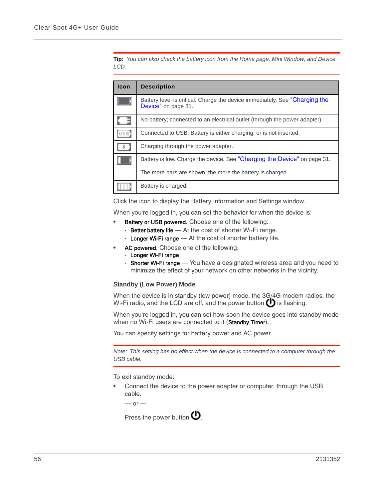**Tip:** *You can also check the battery icon from the Home page, Mini Window, and Device LCD.*

| <b>Icon</b>     | <b>Description</b>                                                                                 |
|-----------------|----------------------------------------------------------------------------------------------------|
|                 | Battery level is critical. Charge the device immediately. See "Charging the<br>Device" on page 31. |
|                 | No battery; connected to an electrical outlet (through the power adapter).                         |
|                 | Connected to USB. Battery is either charging, or is not inserted.                                  |
| $\frac{p}{p}$ . | Charging through the power adapter.                                                                |
|                 | Battery is low. Charge the device. See "Charging the Device" on page 31.                           |
| $\cdots$        | The more bars are shown, the more the battery is charged.                                          |
|                 | Battery is charged.                                                                                |

Click the icon to display the Battery Information and Settings window.

When you're logged in, you can set the behavior for when the device is:

- **Battery or USB powered.** Choose one of the following:
	- **·** Better battery life At the cost of shorter Wi-Fi range.
	- **·** Longer Wi-Fi range At the cost of shorter battery life.
	- **•** AC powered. Choose one of the following:
	- **·** Longer Wi-Fi range
	- **·** Shorter Wi-Fi range You have a designated wireless area and you need to minimize the effect of your network on other networks in the vicinity.

#### **Standby (Low Power) Mode**

When the device is in standby (low power) mode, the 3G/4G modem radios, the Wi-Fi radio, and the LCD are off, and the power button  $\bigoplus$  is flashing.

When you're logged in, you can set how soon the device goes into standby mode when no Wi-Fi users are connected to it (Standby Timer).

You can specify settings for battery power and AC power.

*Note: This setting has no effect when the device is connected to a computer through the USB cable.*

To exit standby mode:

**•** Connect the device to the power adapter or computer, through the USB cable.

 $-$  or  $-$ 

Press the power button  $\mathbf{\mathbf{\mathsf{U}}}$ .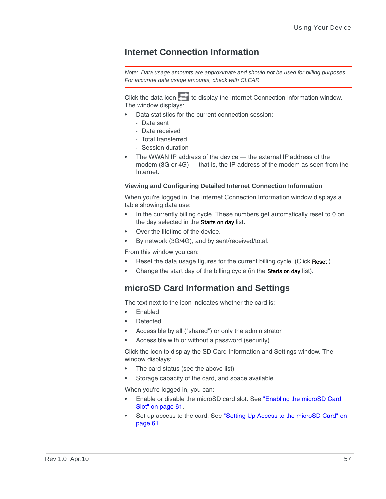## **Internet Connection Information**

*Note: Data usage amounts are approximate and should not be used for billing purposes. For accurate data usage amounts, check with CLEAR.*

Click the data icon  $\Box$  to display the Internet Connection Information window. The window displays:

- **•** Data statistics for the current connection session:
	- **·** Data sent
	- **·** Data received
	- **·** Total transferred
	- **·** Session duration
- **•** The WWAN IP address of the device the external IP address of the modem (3G or 4G) — that is, the IP address of the modem as seen from the Internet.

#### **Viewing and Configuring Detailed Internet Connection Information**

When you're logged in, the Internet Connection Information window displays a table showing data use:

- **•** In the currently billing cycle. These numbers get automatically reset to 0 on the day selected in the Starts on day list.
- **•** Over the lifetime of the device.
- **•** By network (3G/4G), and by sent/received/total.

From this window you can:

- **•** Reset the data usage figures for the current billing cycle. (Click Reset.)
- **•** Change the start day of the billing cycle (in the Starts on day list).

## <span id="page-56-0"></span>**microSD Card Information and Settings**

The text next to the icon indicates whether the card is:

- **•** Enabled
- **•** Detected
- **•** Accessible by all ("shared") or only the administrator
- **•** Accessible with or without a password (security)

Click the icon to display the SD Card Information and Settings window. The window displays:

- **•** The card status (see the above list)
- **•** Storage capacity of the card, and space available

When you're logged in, you can:

- **•** Enable or disable the microSD card slot. See ["Enabling the microSD Card](#page-60-0)  [Slot" on page 61.](#page-60-0)
- **•** Set up access to the card. See ["Setting Up Access to the microSD Card" on](#page-60-1)  [page 61](#page-60-1).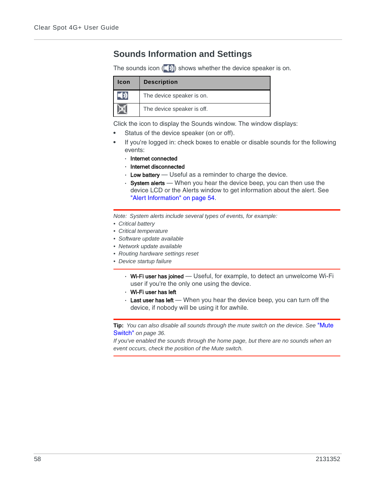## **Sounds Information and Settings**

The sounds icon  $(\Box)$  shows whether the device speaker is on.

| <b>Icon</b> | <b>Description</b>         |
|-------------|----------------------------|
|             | The device speaker is on.  |
|             | The device speaker is off. |

Click the icon to display the Sounds window. The window displays:

- **•** Status of the device speaker (on or off).
- **•** If you're logged in: check boxes to enable or disable sounds for the following events:
	- **·** Internet connected
	- **·** Internet disconnected
	- **·** Low battery Useful as a reminder to charge the device.
	- **·** System alerts When you hear the device beep, you can then use the device LCD or the Alerts window to get information about the alert. See ["Alert Information" on page 54.](#page-53-0)

*Note: System alerts include several types of events, for example:*

- *Critical battery*
- *Critical temperature*
- *Software update available*
- *Network update available*
- *Routing hardware settings reset*
- *Device startup failure*
	- **·** Wi-Fi user has joined Useful, for example, to detect an unwelcome Wi-Fi user if you're the only one using the device.
	- **·** Wi-Fi user has left
	- **·** Last user has left When you hear the device beep, you can turn off the device, if nobody will be using it for awhile.

**Tip:** *You can also disable all sounds through the mute switch on the device. See* ["Mute](#page-35-0)  Switch" *[on page 36](#page-35-0).*

*If you've enabled the sounds through the home page, but there are no sounds when an event occurs, check the position of the Mute switch.*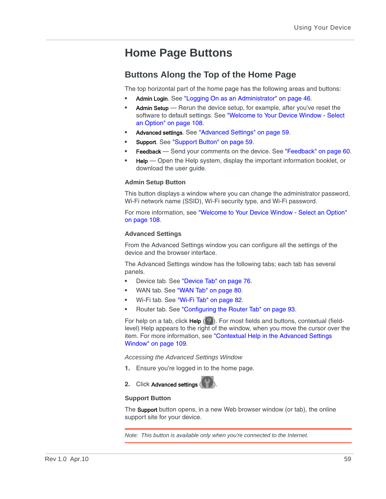## **Home Page Buttons**

## <span id="page-58-0"></span>**Buttons Along the Top of the Home Page**

The top horizontal part of the home page has the following areas and buttons:

- **•** Admin Login. See ["Logging On as an Administrator" on page 46](#page-45-0).
- **•** Admin Setup Rerun the device setup, for example, after you've reset the software to default settings. See ["Welcome to Your Device Window - Select](#page-107-0)  [an Option" on page 108](#page-107-0).
- **•** Advanced settings. See ["Advanced Settings" on page 59](#page-58-1).
- **•** Support. See ["Support Button" on page 59.](#page-58-2)
- **Feedback** Send your comments on the device. See ["Feedback" on page 60](#page-59-0).
- **•** Help Open the Help system, display the important information booklet, or download the user guide.

#### **Admin Setup Button**

This button displays a window where you can change the administrator password, Wi-Fi network name (SSID), Wi-Fi security type, and Wi-Fi password.

For more information, see ["Welcome to Your Device Window - Select an Option"](#page-107-0)  [on page 108.](#page-107-0)

#### <span id="page-58-1"></span>**Advanced Settings**

From the Advanced Settings window you can configure all the settings of the device and the browser interface.

The Advanced Settings window has the following tabs; each tab has several panels.

- **•** Device tab. See ["Device Tab" on page 76.](#page-75-0)
- **•** WAN tab. See ["WAN Tab" on page 80.](#page-79-0)
- **•** Wi-Fi tab. See ["Wi-Fi Tab" on page 82.](#page-81-0)
- **•** Router tab. See ["Configuring the Router Tab" on page 93.](#page-92-0)

For help on a tab, click **Help**  $(\Box)$ . For most fields and buttons, contextual (fieldlevel) Help appears to the right of the window, when you move the cursor over the item. For more information, see "Contextual Help in the Advanced Settings [Window" on page 109](#page-108-1).

*Accessing the Advanced Settings Window*

- **1.** Ensure you're logged in to the home page.
- **2.** Click Advanced settings (

#### <span id="page-58-2"></span>**Support Button**

The **Support** button opens, in a new Web browser window (or tab), the online support site for your device.

*Note: This button is available only when you're connected to the Internet.*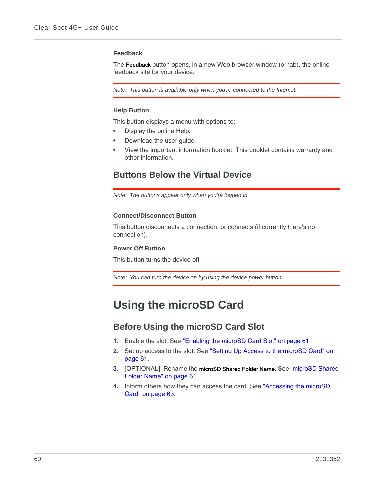#### <span id="page-59-0"></span>**Feedback**

The Feedback button opens, in a new Web browser window (or tab), the online feedback site for your device.

*Note: This button is available only when you're connected to the Internet.*

#### **Help Button**

This button displays a menu with options to:

- **•** Display the online Help.
- **•** Download the user guide.
- **•** View the important information booklet. This booklet contains warranty and other information.

### **Buttons Below the Virtual Device**

*Note: The buttons appear only when you're logged in.*

#### **Connect/Disconnect Button**

This button disconnects a connection, or connects (if currently there's no connection).

#### **Power Off Button**

This button turns the device off.

*Note: You can turn the device on by using the device power button.*

## **Using the microSD Card**

### **Before Using the microSD Card Slot**

- **1.** Enable the slot. See ["Enabling the microSD Card Slot" on page 61.](#page-60-0)
- **2.** Set up access to the slot. See ["Setting Up Access to the microSD Card" on](#page-60-1)  [page 61](#page-60-1).
- **3.** [OPTIONAL]: Rename the microSD Shared Folder Name. See ["microSD Shared](#page-60-2)  [Folder Name" on page 61.](#page-60-2)
- **4.** Inform others how they can access the card. See ["Accessing the microSD](#page-62-0)  [Card" on page 63](#page-62-0).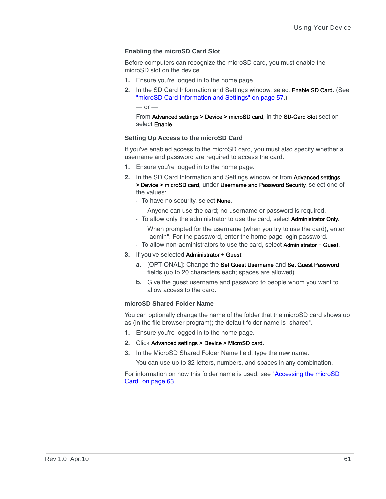#### <span id="page-60-0"></span>**Enabling the microSD Card Slot**

Before computers can recognize the microSD card, you must enable the microSD slot on the device.

- **1.** Ensure you're logged in to the home page.
- **2.** In the SD Card Information and Settings window, select Enable SD Card. (See ["microSD Card Information and Settings" on page 57.](#page-56-0))

 $-$  or  $-$ 

From Advanced settings > Device > microSD card, in the SD-Card Slot section select Enable.

#### <span id="page-60-1"></span>**Setting Up Access to the microSD Card**

If you've enabled access to the microSD card, you must also specify whether a username and password are required to access the card.

- **1.** Ensure you're logged in to the home page.
- **2.** In the SD Card Information and Settings window or from Advanced settings > Device > microSD card, under Username and Password Security, select one of the values:
	- **·** To have no security, select None.

Anyone can use the card; no username or password is required.

**·** To allow only the administrator to use the card, select Administrator Only.

When prompted for the username (when you try to use the card), enter "admin". For the password, enter the home page login password.

- **·** To allow non-administrators to use the card, select Administrator + Guest.
- **3.** If you've selected Administrator + Guest:
	- **a.** [OPTIONAL]: Change the Set Guest Username and Set Guest Password fields (up to 20 characters each; spaces are allowed).
	- **b.** Give the guest username and password to people whom you want to allow access to the card.

#### <span id="page-60-2"></span>**microSD Shared Folder Name**

You can optionally change the name of the folder that the microSD card shows up as (in the file browser program); the default folder name is "shared".

- **1.** Ensure you're logged in to the home page.
- **2.** Click Advanced settings > Device > MicroSD card.
- **3.** In the MicroSD Shared Folder Name field, type the new name.

You can use up to 32 letters, numbers, and spaces in any combination.

For information on how this folder name is used, see ["Accessing the microSD](#page-62-0)  [Card" on page 63.](#page-62-0)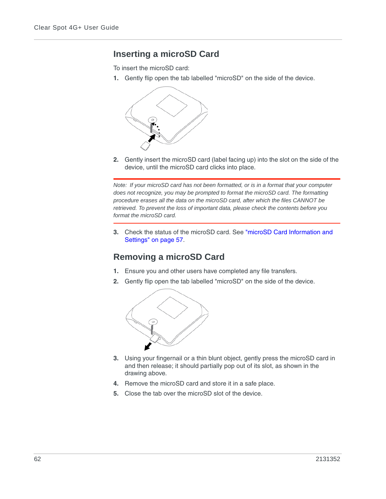## **Inserting a microSD Card**

To insert the microSD card:

**1.** Gently flip open the tab labelled "microSD" on the side of the device.



**2.** Gently insert the microSD card (label facing up) into the slot on the side of the device, until the microSD card clicks into place.

*Note: If your microSD card has not been formatted, or is in a format that your computer does not recognize, you may be prompted to format the microSD card. The formatting procedure erases all the data on the microSD card, after which the files CANNOT be retrieved. To prevent the loss of important data, please check the contents before you format the microSD card.*

**3.** Check the status of the microSD card. See ["microSD Card Information and](#page-56-0)  [Settings" on page 57](#page-56-0).

## **Removing a microSD Card**

- **1.** Ensure you and other users have completed any file transfers.
- **2.** Gently flip open the tab labelled "microSD" on the side of the device.



- **3.** Using your fingernail or a thin blunt object, gently press the microSD card in and then release; it should partially pop out of its slot, as shown in the drawing above.
- **4.** Remove the microSD card and store it in a safe place.
- **5.** Close the tab over the microSD slot of the device.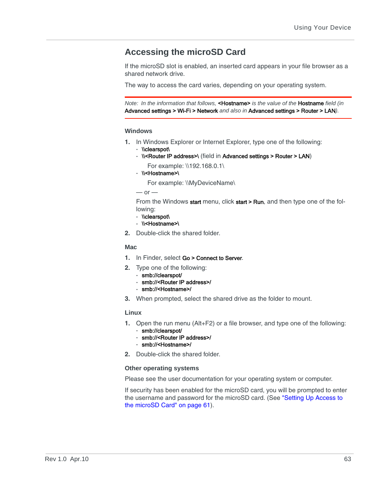## <span id="page-62-0"></span>**Accessing the microSD Card**

If the microSD slot is enabled, an inserted card appears in your file browser as a shared network drive.

The way to access the card varies, depending on your operating system.

*Note: In the information that follows,* <Hostname> *is the value of the* Hostname *field (in*  Advanced settings > Wi-Fi > Network *and also in* Advanced settings > Router > LAN*).*

#### **Windows**

- **1.** In Windows Explorer or Internet Explorer, type one of the following:
	- **·** \\clearspot\
	- **·** \\<Router IP address>\ (field in Advanced settings > Router > LAN)
		- For example: \\192.168.0.1\
	- **·** \\<Hostname>\

For example: \\MyDeviceName\

 $-$  or  $-$ 

From the Windows start menu, click start > Run, and then type one of the following:

- **·** \\clearspot\
- **·** \\<Hostname>\
- **2.** Double-click the shared folder.

#### **Mac**

- **1.** In Finder, select Go > Connect to Server.
- **2.** Type one of the following:
	- **·** smb://clearspot/
	- **·** smb://<Router IP address>/
	- **·** smb://<Hostname>/
- **3.** When prompted, select the shared drive as the folder to mount.

#### **Linux**

- **1.** Open the run menu (Alt+F2) or a file browser, and type one of the following: **·** smb://clearspot/
	- **·** smb://<Router IP address>/
	- **·** smb://<Hostname>/
- **2.** Double-click the shared folder.

#### **Other operating systems**

Please see the user documentation for your operating system or computer.

If security has been enabled for the microSD card, you will be prompted to enter the username and password for the microSD card. (See ["Setting Up Access to](#page-60-1)  [the microSD Card" on page 61\)](#page-60-1).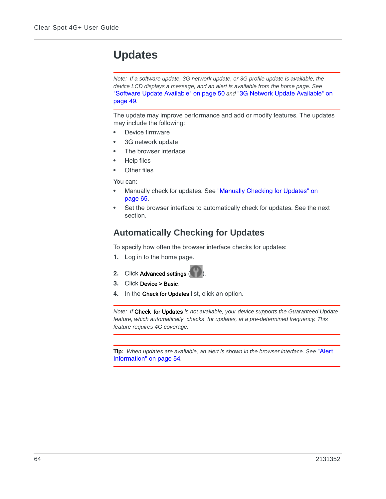## **Updates**

*Note: If a software update, 3G network update, or 3G profile update is available, the device LCD displays a message, and an alert is available from the home page. See*  ["Software Update Available" on page 50](#page-49-0) *and* ["3G Network Update Available" on](#page-48-0)  [page 49](#page-48-0)*.*

The update may improve performance and add or modify features. The updates may include the following:

- **•** Device firmware
- **•** 3G network update
- **•** The browser interface
- **•** Help files
- **•** Other files

You can:

- **•** Manually check for updates. See ["Manually Checking for Updates" on](#page-64-1)  [page 65](#page-64-1).
- **•** Set the browser interface to automatically check for updates. See the next section.

## **Automatically Checking for Updates**

To specify how often the browser interface checks for updates:

- **1.** Log in to the home page.
- **2.** Click Advanced settings (
- **3.** Click Device > Basic.
- **4.** In the Check for Updates list, click an option.

*Note: If* Check for Updates *is not available, your device supports the Guaranteed Update feature, which automatically checks for updates, at a pre-determined frequency. This feature requires 4G coverage.*

**Tip:** *When updates are available, an alert is shown in the browser interface. See* ["Alert](#page-53-0)  [Information" on page 54](#page-53-0)*.*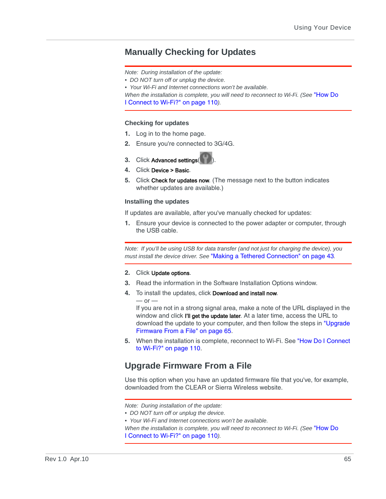### <span id="page-64-1"></span>**Manually Checking for Updates**

*Note: During installation of the update:*

*• DO NOT turn off or unplug the device.*

*• Your Wi-Fi and Internet connections won't be available.*

*When the installation is complete, you will need to reconnect to Wi-Fi. (See* "How Do [I Connect to Wi-Fi?" on page 110](#page-109-0)*).*

#### **Checking for updates**

- **1.** Log in to the home page.
- **2.** Ensure you're connected to 3G/4G.
- **3.** Click Advanced settings(
- **4.** Click Device > Basic.
- **5.** Click Check for updates now. (The message next to the button indicates whether updates are available.)

#### **Installing the updates**

If updates are available, after you've manually checked for updates:

**1.** Ensure your device is connected to the power adapter or computer, through the USB cable.

*Note: If you'll be using USB for data transfer (and not just for charging the device), you must install the device driver. See* ["Making a Tethered Connection" on page 43](#page-42-1)*.*

#### **2.** Click Update options.

 $-$  or  $-$ 

- **3.** Read the information in the Software Installation Options window.
- **4.** To install the updates, click Download and install now.

If you are not in a strong signal area, make a note of the URL displayed in the window and click I'll get the update later. At a later time, access the URL to download the update to your computer, and then follow the steps in ["Upgrade](#page-64-0)  [Firmware From a File" on page 65.](#page-64-0)

**5.** When the installation is complete, reconnect to Wi-Fi. See ["How Do I Connect](#page-109-0)  [to Wi-Fi?" on page 110.](#page-109-0)

## <span id="page-64-0"></span>**Upgrade Firmware From a File**

Use this option when you have an updated firmware file that you've, for example, downloaded from the CLEAR or Sierra Wireless website.

*Note: During installation of the update:*

- *DO NOT turn off or unplug the device.*
- *Your Wi-Fi and Internet connections won't be available.*

*When the installation is complete, you will need to reconnect to Wi-Fi. (See* ["How Do](#page-109-0)  [I Connect to Wi-Fi?" on page 110](#page-109-0)*).*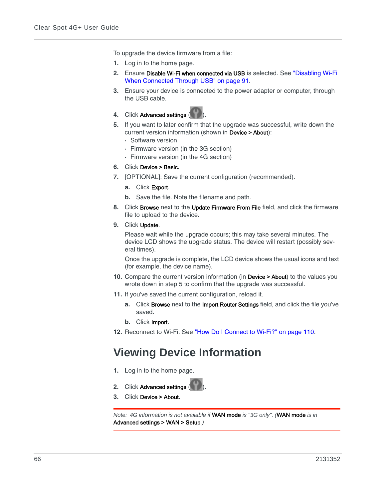To upgrade the device firmware from a file:

- **1.** Log in to the home page.
- **2.** Ensure Disable Wi-Fi when connected via USB is selected. See ["Disabling Wi-Fi](#page-90-0)  [When Connected Through USB" on page 91.](#page-90-0)
- **3.** Ensure your device is connected to the power adapter or computer, through the USB cable.



- **5.** If you want to later confirm that the upgrade was successful, write down the current version information (shown in Device > About):
	- **·** Software version
	- **·** Firmware version (in the 3G section)
	- **·** Firmware version (in the 4G section)
- **6.** Click Device > Basic.
- **7.** [OPTIONAL]: Save the current configuration (recommended).
	- **a.** Click Export.
	- **b.** Save the file. Note the filename and path.
- **8.** Click Browse next to the Update Firmware From File field, and click the firmware file to upload to the device.
- **9.** Click Update.

Please wait while the upgrade occurs; this may take several minutes. The device LCD shows the upgrade status. The device will restart (possibly several times).

Once the upgrade is complete, the LCD device shows the usual icons and text (for example, the device name).

- **10.** Compare the current version information (in Device > About) to the values you wrote down in step 5 to confirm that the upgrade was successful.
- **11.** If you've saved the current configuration, reload it.
	- **a.** Click Browse next to the Import Router Settings field, and click the file you've saved.
	- **b.** Click Import.
- **12.** Reconnect to Wi-Fi. See ["How Do I Connect to Wi-Fi?" on page 110](#page-109-0).

## **Viewing Device Information**

- **1.** Log in to the home page.
- **2.** Click Advanced settings (
- **3.** Click Device > About.

*Note: 4G information is not available if* WAN mode *is "3G only". (*WAN mode *is in*  Advanced settings > WAN > Setup*.)*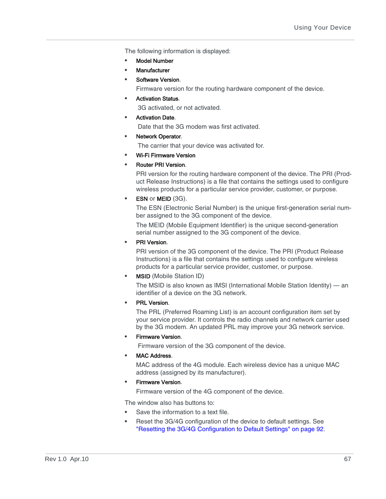The following information is displayed:

- **•** Model Number
- **•** Manufacturer
- **•** Software Version.

Firmware version for the routing hardware component of the device.

**•** Activation Status.

3G activated, or not activated.

**•** Activation Date.

Date that the 3G modem was first activated.

**•** Network Operator.

The carrier that your device was activated for.

- **•** Wi-Fi Firmware Version
- **•** Router PRI Version.

PRI version for the routing hardware component of the device. The PRI (Product Release Instructions) is a file that contains the settings used to configure wireless products for a particular service provider, customer, or purpose.

**ESN or MEID (3G).** 

The ESN (Electronic Serial Number) is the unique first-generation serial number assigned to the 3G component of the device.

The MEID (Mobile Equipment Identifier) is the unique second-generation serial number assigned to the 3G component of the device.

**•** PRI Version.

PRI version of the 3G component of the device. The PRI (Product Release Instructions) is a file that contains the settings used to configure wireless products for a particular service provider, customer, or purpose.

**•** MSID (Mobile Station ID)

The MSID is also known as IMSI (International Mobile Station Identity) — an identifier of a device on the 3G network.

**•** PRL Version.

The PRL (Preferred Roaming List) is an account configuration item set by your service provider. It controls the radio channels and network carrier used by the 3G modem. An updated PRL may improve your 3G network service.

**•** Firmware Version.

Firmware version of the 3G component of the device.

**•** MAC Address.

MAC address of the 4G module. Each wireless device has a unique MAC address (assigned by its manufacturer).

**•** Firmware Version.

Firmware version of the 4G component of the device.

The window also has buttons to:

- **•** Save the information to a text file.
- **•** Reset the 3G/4G configuration of the device to default settings. See ["Resetting the 3G/4G Configuration to Default Settings" on page 92](#page-91-0).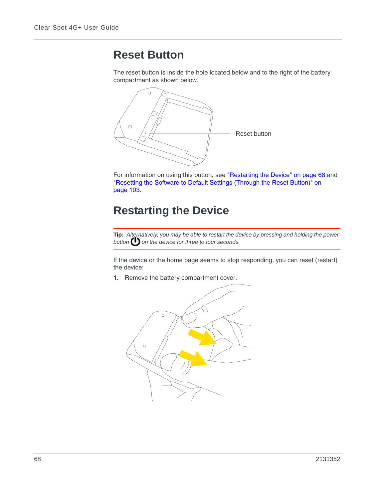## **Reset Button**

The reset button is inside the hole located below and to the right of the battery compartment as shown below.



For information on using this button, see ["Restarting the Device" on page 68](#page-67-0) and ["Resetting the Software to Default Settings \(Through the Reset Button\)" on](#page-102-0)  [page 103.](#page-102-0)

## <span id="page-67-0"></span>**Restarting the Device**

**Tip:** *Alternatively, you may be able to restart the device by pressing and holding the power*  button **b** on the device for three to four seconds.

If the device or the home page seems to stop responding, you can reset (restart) the device:

**1.** Remove the battery compartment cover.

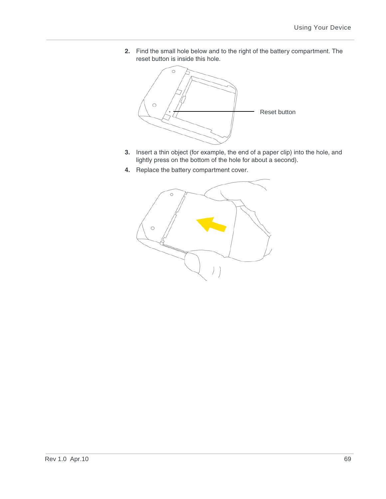**2.** Find the small hole below and to the right of the battery compartment. The reset button is inside this hole.



- **3.** Insert a thin object (for example, the end of a paper clip) into the hole, and lightly press on the bottom of the hole for about a second).
- **4.** Replace the battery compartment cover.

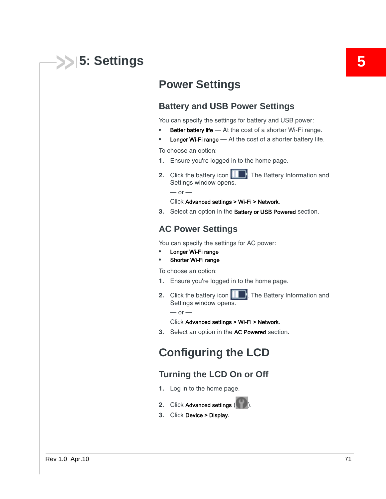# **5: Settings 5**

## **Power Settings**

## **Battery and USB Power Settings**

You can specify the settings for battery and USB power:

- **Better battery life** At the cost of a shorter Wi-Fi range.
- **Longer Wi-Fi range** At the cost of a shorter battery life.

To choose an option:

- **1.** Ensure you're logged in to the home page.
- **2.** Click the battery icon **10 B**. The Battery Information and Settings window opens.

 $-$  or  $-$ 

#### Click Advanced settings > Wi-Fi > Network.

**3.** Select an option in the Battery or USB Powered section.

### **AC Power Settings**

You can specify the settings for AC power:

- **•** Longer Wi-Fi range
- **•** Shorter Wi-Fi range

To choose an option:

- **1.** Ensure you're logged in to the home page.
- **2.** Click the battery icon **1** The Battery Information and Settings window opens.

 $-$  or  $-$ 

#### Click Advanced settings > Wi-Fi > Network.

**3.** Select an option in the AC Powered section.

## **Configuring the LCD**

## <span id="page-70-0"></span>**Turning the LCD On or Off**

- **1.** Log in to the home page.
- **2.** Click Advanced settings (
- **3.** Click Device > Display.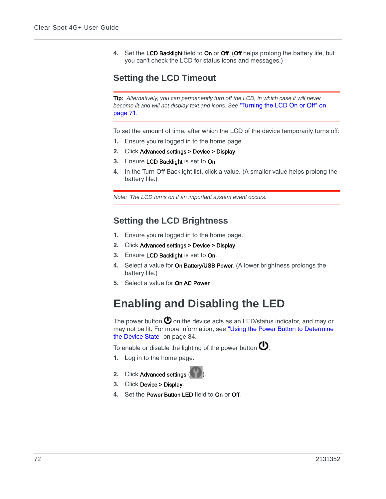**4.** Set the LCD Backlight field to On or Off. (Off helps prolong the battery life, but you can't check the LCD for status icons and messages.)

## **Setting the LCD Timeout**

**Tip:** *Alternatively, you can permanently turn off the LCD, in which case it will never become lit and will not display text and icons. See* ["Turning the LCD On or Off" on](#page-70-0)  [page 71](#page-70-0)*.*

To set the amount of time, after which the LCD of the device temporarily turns off:

- **1.** Ensure you're logged in to the home page.
- **2.** Click Advanced settings > Device > Display.
- **3.** Ensure LCD Backlight is set to On.
- **4.** In the Turn Off Backlight list, click a value. (A smaller value helps prolong the battery life.)

*Note: The LCD turns on if an important system event occurs.*

## **Setting the LCD Brightness**

- **1.** Ensure you're logged in to the home page.
- **2.** Click Advanced settings > Device > Display.
- **3.** Ensure LCD Backlight is set to On.
- **4.** Select a value for On Battery/USB Power. (A lower brightness prolongs the battery life.)
- **5.** Select a value for On AC Power.

## **Enabling and Disabling the LED**

The power button  $\mathbf 0$  on the device acts as an LED/status indicator, and may or may not be lit. For more information, see ["Using the Power Button to Determine](#page-33-0)  [the Device State" on page 34](#page-33-0).

To enable or disable the lighting of the power button  $\mathbf{\mathbf{\mathbb{O}}}.$ 

- **1.** Log in to the home page.
- **2.** Click Advanced settings
- **3.** Click Device > Display.
- **4.** Set the Power Button LED field to On or Off.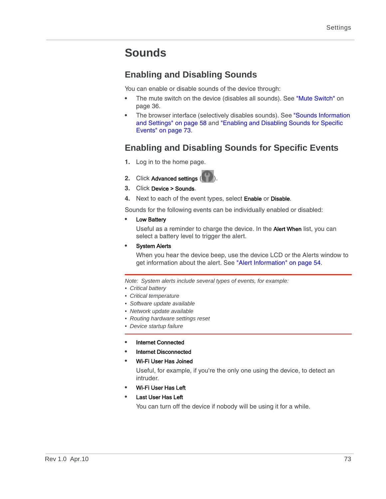# **Sounds**

# **Enabling and Disabling Sounds**

You can enable or disable sounds of the device through:

- **•** The mute switch on the device (disables all sounds). See ["Mute Switch" on](#page-35-0)  [page 36](#page-35-0).
- **•** The browser interface (selectively disables sounds). See ["Sounds Information](#page-57-0)  [and Settings" on page 58](#page-57-0) and ["Enabling and Disabling Sounds for Specific](#page-72-0)  [Events" on page 73.](#page-72-0)

# <span id="page-72-0"></span>**Enabling and Disabling Sounds for Specific Events**

- **1.** Log in to the home page.
- **2.** Click Advanced settings (
- **3.** Click Device > Sounds.
- **4.** Next to each of the event types, select Enable or Disable.

Sounds for the following events can be individually enabled or disabled:

**•** Low Battery

Useful as a reminder to charge the device. In the Alert When list, you can select a battery level to trigger the alert.

**•** System Alerts

When you hear the device beep, use the device LCD or the Alerts window to get information about the alert. See ["Alert Information" on page 54.](#page-53-0)

*Note: System alerts include several types of events, for example:*

- *Critical battery*
- *Critical temperature*
- *Software update available*
- *Network update available*
- *Routing hardware settings reset*
- *Device startup failure*
- **•** Internet Connected
- **•** Internet Disconnected
- **•** Wi-Fi User Has Joined

Useful, for example, if you're the only one using the device, to detect an intruder.

- **•** Wi-Fi User Has Left
- **•** Last User Has Left

You can turn off the device if nobody will be using it for a while.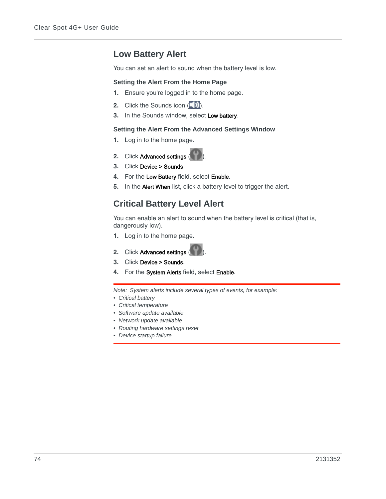# **Low Battery Alert**

You can set an alert to sound when the battery level is low.

### **Setting the Alert From the Home Page**

- **1.** Ensure you're logged in to the home page.
- **2.** Click the Sounds icon (
- **3.** In the Sounds window, select Low battery.

### **Setting the Alert From the Advanced Settings Window**

- **1.** Log in to the home page.
- **2.** Click Advanced settings (
- **3.** Click Device > Sounds.
- **4.** For the Low Battery field, select Enable.
- **5.** In the Alert When list, click a battery level to trigger the alert.

# **Critical Battery Level Alert**

You can enable an alert to sound when the battery level is critical (that is, dangerously low).

- **1.** Log in to the home page.
- **2.** Click Advanced settings (
- **3.** Click Device > Sounds.
- **4.** For the System Alerts field, select Enable.

*Note: System alerts include several types of events, for example:*

- *Critical battery*
- *Critical temperature*
- *Software update available*
- *Network update available*
- *Routing hardware settings reset*
- *Device startup failure*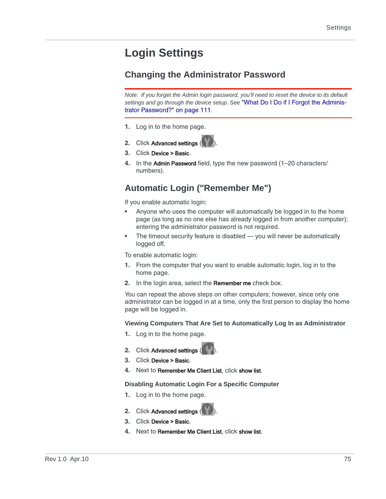# **Login Settings**

# <span id="page-74-0"></span>**Changing the Administrator Password**

*Note: If you forget the Admin login password, you'll need to reset the device to its default settings and go through the device setup. See* ["What Do I Do if I Forgot the Adminis](#page-110-0)[trator Password?" on page 111](#page-110-0)*.*

- **1.** Log in to the home page.
- **2.** Click Advanced settings (
- **3.** Click Device > Basic.
- **4.** In the Admin Password field, type the new password (1–20 characters/ numbers).

# <span id="page-74-1"></span>**Automatic Login ("Remember Me")**

If you enable automatic login:

- **•** Anyone who uses the computer will automatically be logged in to the home page (as long as no one else has already logged in from another computer); entering the administrator password is not required.
- **•** The timeout security feature is disabled you will never be automatically logged off.

To enable automatic login:

- **1.** From the computer that you want to enable automatic login, log in to the home page.
- **2.** In the login area, select the Remember me check box.

You can repeat the above steps on other computers; however, since only one administrator can be logged in at a time, only the first person to display the home page will be logged in.

## **Viewing Computers That Are Set to Automatically Log In as Administrator**

- **1.** Log in to the home page.
- **2.** Click Advanced settings
- **3.** Click Device > Basic.
- **4.** Next to Remember Me Client List, click show list.

**Disabling Automatic Login For a Specific Computer**

- **1.** Log in to the home page.
- **2.** Click Advanced settings
- **3.** Click Device > Basic.
- **4.** Next to Remember Me Client List, click show list.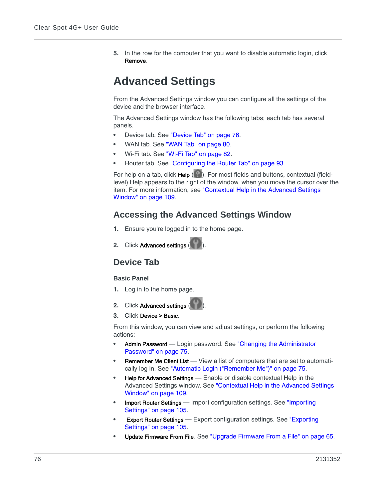**5.** In the row for the computer that you want to disable automatic login, click Remove.

# **Advanced Settings**

From the Advanced Settings window you can configure all the settings of the device and the browser interface.

The Advanced Settings window has the following tabs; each tab has several panels.

- **•** Device tab. See ["Device Tab" on page 76.](#page-75-0)
- **•** WAN tab. See ["WAN Tab" on page 80.](#page-79-0)
- **•** Wi-Fi tab. See ["Wi-Fi Tab" on page 82.](#page-81-0)
- **•** Router tab. See ["Configuring the Router Tab" on page 93.](#page-92-0)

For help on a tab, click Help  $(2)$ . For most fields and buttons, contextual (fieldlevel) Help appears to the right of the window, when you move the cursor over the item. For more information, see ["Contextual Help in the Advanced Settings](#page-108-0)  [Window" on page 109](#page-108-0).

# **Accessing the Advanced Settings Window**

- **1.** Ensure you're logged in to the home page.
- **2.** Click Advanced settings (

# <span id="page-75-0"></span>**Device Tab**

## **Basic Panel**

- **1.** Log in to the home page.
- **2.** Click Advanced settings ( ).
- **3.** Click Device > Basic.

From this window, you can view and adjust settings, or perform the following actions:

- **•** Admin Password Login password. See ["Changing the Administrator](#page-74-0)  [Password" on page 75](#page-74-0).
- **Remember Me Client List** View a list of computers that are set to automatically log in. See ["Automatic Login \("Remember Me"\)" on page 75.](#page-74-1)
- **•** Help for Advanced Settings Enable or disable contextual Help in the Advanced Settings window. See ["Contextual Help in the Advanced Settings](#page-108-0)  [Window" on page 109](#page-108-0).
- **Import Router Settings** Import configuration settings. See "Importing [Settings" on page 105.](#page-104-0)
- **Export Router Settings** Export configuration settings. See "Exporting [Settings" on page 105.](#page-104-1)
- **•** Update Firmware From File. See ["Upgrade Firmware From a File" on page 65.](#page-64-0)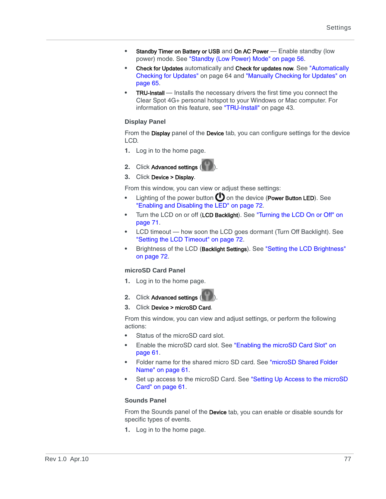- Standby Timer on Battery or USB and On AC Power Enable standby (low power) mode. See ["Standby \(Low Power\) Mode" on page 56](#page-55-0).
- **•** Check for Updates automatically and Check for updates now. See ["Automatically](#page-63-0)  [Checking for Updates" on page 64](#page-63-0) and ["Manually Checking for Updates" on](#page-64-1)  [page 65](#page-64-1).
- **TRU-Install** Installs the necessary drivers the first time you connect the Clear Spot 4G+ personal hotspot to your Windows or Mac computer. For information on this feature, see ["TRU-Install" on page 43.](#page-42-0)

### **Display Panel**

From the Display panel of the Device tab, you can configure settings for the device LCD.

- **1.** Log in to the home page.
- **2.** Click Advanced settings ( ).
- **3.** Click Device > Display.

From this window, you can view or adjust these settings:

- Lighting of the power button  $\bigoplus$  on the device (Power Button LED). See ["Enabling and Disabling the LED" on page 72.](#page-71-0)
- **•** Turn the LCD on or off (LCD Backlight). See ["Turning the LCD On or Off" on](#page-70-0)  [page 71](#page-70-0).
- **•** LCD timeout how soon the LCD goes dormant (Turn Off Backlight). See ["Setting the LCD Timeout" on page 72](#page-71-1).
- **•** Brightness of the LCD (Backlight Settings). See ["Setting the LCD Brightness"](#page-71-2)  [on page 72](#page-71-2).

### **microSD Card Panel**

- **1.** Log in to the home page.
- **2.** Click Advanced settings
- **3.** Click Device > microSD Card.

From this window, you can view and adjust settings, or perform the following actions:

- **•** Status of the microSD card slot.
- **•** Enable the microSD card slot. See ["Enabling the microSD Card Slot" on](#page-60-0)  [page 61](#page-60-0).
- **•** Folder name for the shared micro SD card. See ["microSD Shared Folder](#page-60-1)  [Name" on page 61.](#page-60-1)
- **•** Set up access to the microSD Card. See ["Setting Up Access to the microSD](#page-60-2)  [Card" on page 61.](#page-60-2)

### **Sounds Panel**

From the Sounds panel of the Device tab, you can enable or disable sounds for specific types of events.

**1.** Log in to the home page.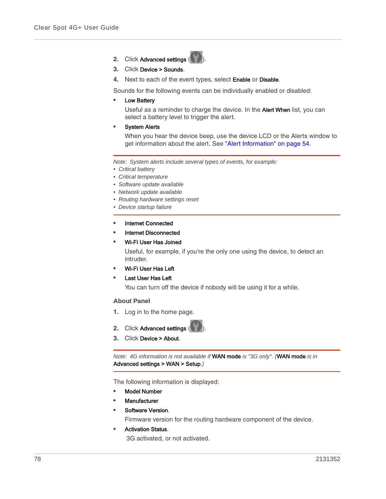- **2.** Click Advanced settings (**12.** )
- **3.** Click Device > Sounds.
- **4.** Next to each of the event types, select Enable or Disable.

Sounds for the following events can be individually enabled or disabled:

**•** Low Battery

Useful as a reminder to charge the device. In the Alert When list, you can select a battery level to trigger the alert.

**•** System Alerts

When you hear the device beep, use the device LCD or the Alerts window to get information about the alert. See ["Alert Information" on page 54.](#page-53-0)

*Note: System alerts include several types of events, for example:*

- *Critical battery*
- *Critical temperature*
- *Software update available*
- *Network update available*
- *Routing hardware settings reset*
- *Device startup failure*
- **•** Internet Connected
- **•** Internet Disconnected
- **•** Wi-Fi User Has Joined

Useful, for example, if you're the only one using the device, to detect an intruder.

- **•** Wi-Fi User Has Left
- **•** Last User Has Left

You can turn off the device if nobody will be using it for a while.

#### **About Panel**

- **1.** Log in to the home page.
- **2.** Click Advanced settings (
- **3.** Click Device > About.

*Note: 4G information is not available if* WAN mode *is "3G only". (*WAN mode *is in*  Advanced settings > WAN > Setup*.)*

The following information is displayed:

- **•** Model Number
- **•** Manufacturer
- **•** Software Version.

Firmware version for the routing hardware component of the device.

**•** Activation Status. 3G activated, or not activated.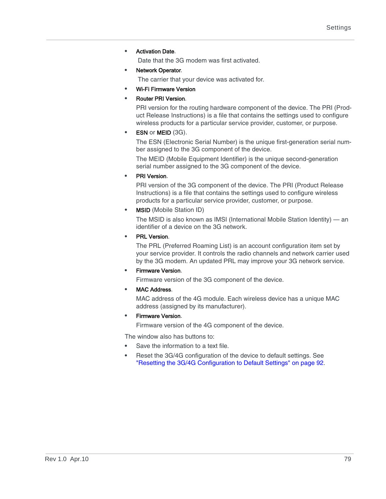**•** Activation Date.

Date that the 3G modem was first activated.

**•** Network Operator.

The carrier that your device was activated for.

- **•** Wi-Fi Firmware Version
- **•** Router PRI Version.

PRI version for the routing hardware component of the device. The PRI (Product Release Instructions) is a file that contains the settings used to configure wireless products for a particular service provider, customer, or purpose.

**ESN or MEID (3G).** 

The ESN (Electronic Serial Number) is the unique first-generation serial number assigned to the 3G component of the device.

The MEID (Mobile Equipment Identifier) is the unique second-generation serial number assigned to the 3G component of the device.

**•** PRI Version.

PRI version of the 3G component of the device. The PRI (Product Release Instructions) is a file that contains the settings used to configure wireless products for a particular service provider, customer, or purpose.

**•** MSID (Mobile Station ID)

The MSID is also known as IMSI (International Mobile Station Identity) — an identifier of a device on the 3G network.

**•** PRL Version.

The PRL (Preferred Roaming List) is an account configuration item set by your service provider. It controls the radio channels and network carrier used by the 3G modem. An updated PRL may improve your 3G network service.

**•** Firmware Version.

Firmware version of the 3G component of the device.

**•** MAC Address.

MAC address of the 4G module. Each wireless device has a unique MAC address (assigned by its manufacturer).

**•** Firmware Version.

Firmware version of the 4G component of the device.

The window also has buttons to:

- **•** Save the information to a text file.
- **•** Reset the 3G/4G configuration of the device to default settings. See ["Resetting the 3G/4G Configuration to Default Settings" on page 92](#page-91-0).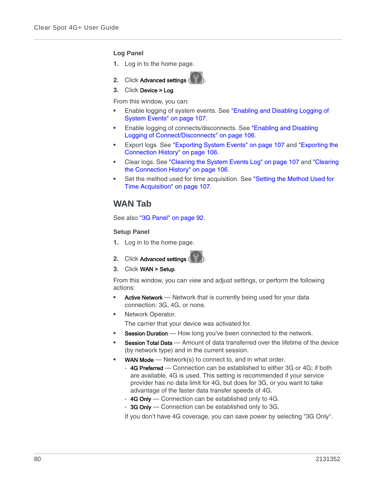### **Log Panel**

- **1.** Log in to the home page.
- **2.** Click Advanced settings (
- **3.** Click Device > Log.

From this window, you can:

- **•** Enable logging of system events. See ["Enabling and Disabling Logging of](#page-106-0)  [System Events" on page 107](#page-106-0).
- **•** Enable logging of connects/disconnects. See ["Enabling and Disabling](#page-105-0)  [Logging of Connect/Disconnects" on page 106.](#page-105-0)
- **•** Export logs. See ["Exporting System Events" on page 107](#page-106-1) and ["Exporting the](#page-105-1)  [Connection History" on page 106.](#page-105-1)
- **•** Clear logs. See ["Clearing the System Events Log" on page 107](#page-106-2) and ["Clearing](#page-105-2)  [the Connection History" on page 106](#page-105-2).
- **•** Set the method used for time acquisition. See ["Setting the Method Used for](#page-106-3)  [Time Acquisition" on page 107](#page-106-3).

# <span id="page-79-0"></span>**WAN Tab**

See also ["3G Panel" on page 92.](#page-91-1)

### **Setup Panel**

- **1.** Log in to the home page.
- **2.** Click Advanced settings (
- **3.** Click WAN > Setup.

From this window, you can view and adjust settings, or perform the following actions:

- **•** Active Network Network that is currently being used for your data connection: 3G, 4G, or none.
- **•** Network Operator.

The carrier that your device was activated for.

- **Session Duration** How long you've been connected to the network.
- **Session Total Data** Amount of data transferred over the lifetime of the device (by network type) and in the current session.
- **WAN Mode** Network(s) to connect to, and in what order.
	- **·** 4G Preferred Connection can be established to either 3G or 4G; if both are available, 4G is used. This setting is recommended if your service provider has no data limit for 4G, but does for 3G, or you want to take advantage of the faster data transfer speeds of 4G.
	- **·** 4G Only Connection can be established only to 4G.
	- **·** 3G Only Connection can be established only to 3G.

If you don't have 4G coverage, you can save power by selecting "3G Only".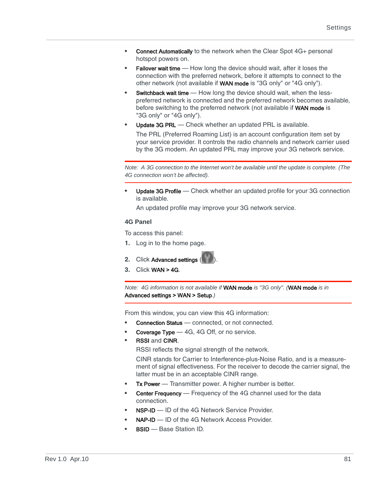- **Connect Automatically** to the network when the Clear Spot 4G+ personal hotspot powers on.
- **Failover wait time** How long the device should wait, after it loses the connection with the preferred network, before it attempts to connect to the other network (not available if WAN mode is "3G only" or "4G only").
- **Switchback wait time** How long the device should wait, when the lesspreferred network is connected and the preferred network becomes available, before switching to the preferred network (not available if WAN mode is "3G only" or "4G only").
- Update 3G PRL Check whether an updated PRL is available.

The PRL (Preferred Roaming List) is an account configuration item set by your service provider. It controls the radio channels and network carrier used by the 3G modem. An updated PRL may improve your 3G network service.

*Note: A 3G connection to the Internet won't be available until the update is complete. (The 4G connection won't be affected).*

**•** Update 3G Profile — Check whether an updated profile for your 3G connection is available.

An updated profile may improve your 3G network service.

### **4G Panel**

To access this panel:

- **1.** Log in to the home page.
- **2.** Click Advanced settings
- **3.** Click WAN > 4G.

*Note: 4G information is not available if* WAN mode *is "3G only". (*WAN mode *is in*  Advanced settings > WAN > Setup*.)*

From this window, you can view this 4G information:

- **Connection Status** connected, or not connected.
- **Coverage Type** 4G, 4G Off, or no service.
- **•** RSSI and CINR.

RSSI reflects the signal strength of the network.

CINR stands for Carrier to Interference-plus-Noise Ratio, and is a measurement of signal effectiveness. For the receiver to decode the carrier signal, the latter must be in an acceptable CINR range.

- **Tx Power** Transmitter power. A higher number is better.
- **Center Frequency** Frequency of the 4G channel used for the data connection.
- **NSP-ID** ID of the 4G Network Service Provider.
- **NAP-ID** ID of the 4G Network Access Provider.
- **•** BSID Base Station ID.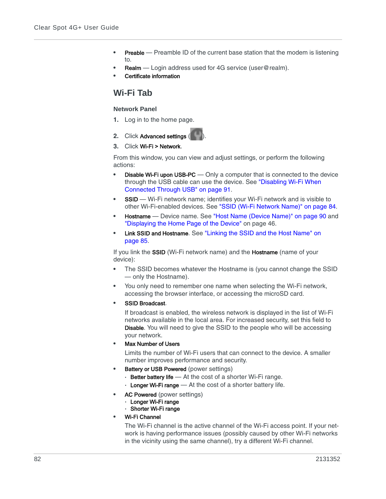- **Preable** Preamble ID of the current base station that the modem is listening to.
- **Realm** Login address used for 4G service (user@realm).
- **•** Certificate information

# <span id="page-81-0"></span>**Wi-Fi Tab**

## <span id="page-81-1"></span>**Network Panel**

- **1.** Log in to the home page.
- **2.** Click Advanced settings (
- **3.** Click Wi-Fi > Network.

From this window, you can view and adjust settings, or perform the following actions:

- **Disable Wi-Fi upon USB-PC** Only a computer that is connected to the device through the USB cable can use the device. See "Disabling Wi-Fi When [Connected Through USB" on page 91](#page-90-0).
- **SSID** Wi-Fi network name; identifies your Wi-Fi network and is visible to other Wi-Fi-enabled devices. See ["SSID \(Wi-Fi Network Name\)" on page 84.](#page-83-0)
- **Hostname** Device name. See ["Host Name \(Device Name\)" on page 90](#page-89-0) and ["Displaying the Home Page of the Device" on page 46](#page-45-0).
- **•** Link SSID and Hostname. See ["Linking the SSID and the Host Name" on](#page-84-0)  [page 85](#page-84-0).

If you link the SSID (Wi-Fi network name) and the Hostname (name of your device):

- **•** The SSID becomes whatever the Hostname is (you cannot change the SSID — only the Hostname).
- **•** You only need to remember one name when selecting the Wi-Fi network, accessing the browser interface, or accessing the microSD card.
- **•** SSID Broadcast.

If broadcast is enabled, the wireless network is displayed in the list of Wi-Fi networks available in the local area. For increased security, set this field to **Disable**. You will need to give the SSID to the people who will be accessing your network.

**•** Max Number of Users

Limits the number of Wi-Fi users that can connect to the device. A smaller number improves performance and security.

- **Battery or USB Powered** (power settings)
	- **·** Better battery life At the cost of a shorter Wi-Fi range.
	- **·** Longer Wi-Fi range At the cost of a shorter battery life.
- **•** AC Powered (power settings)
	- **·** Longer Wi-Fi range
	- **·** Shorter Wi-Fi range
- **•** Wi-Fi Channel

The Wi-Fi channel is the active channel of the Wi-Fi access point. If your network is having performance issues (possibly caused by other Wi-Fi networks in the vicinity using the same channel), try a different Wi-Fi channel.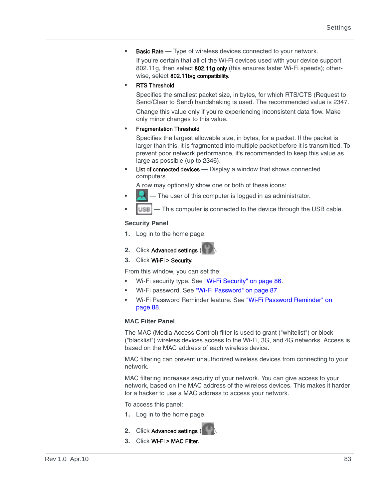**•** Basic Rate — Type of wireless devices connected to your network.

If you're certain that all of the Wi-Fi devices used with your device support 802.11g, then select 802.11g only (this ensures faster Wi-Fi speeds); otherwise, select 802.11b/g compatibility.

**•** RTS Threshold

Specifies the smallest packet size, in bytes, for which RTS/CTS (Request to Send/Clear to Send) handshaking is used. The recommended value is 2347.

Change this value only if you're experiencing inconsistent data flow. Make only minor changes to this value.

**•** Fragmentation Threshold

Specifies the largest allowable size, in bytes, for a packet. If the packet is larger than this, it is fragmented into multiple packet before it is transmitted. To prevent poor network performance, it's recommended to keep this value as large as possible (up to 2346).

**List of connected devices** — Display a window that shows connected computers.

A row may optionally show one or both of these icons:

- The user of this computer is logged in as administrator.
- **•** This computer is connected to the device through the USB cable.

### **Security Panel**

- **1.** Log in to the home page.
- **2.** Click Advanced settings (
- **3.** Click Wi-Fi > Security.

From this window, you can set the:

- **•** Wi-Fi security type. See ["Wi-Fi Security" on page 86.](#page-85-0)
- **•** Wi-Fi password. See ["Wi-Fi Password" on page 87.](#page-86-0)
- **•** Wi-Fi Password Reminder feature. See ["Wi-Fi Password Reminder" on](#page-87-0)  [page 88](#page-87-0).

## **MAC Filter Panel**

The MAC (Media Access Control) filter is used to grant ("whitelist") or block ("blacklist") wireless devices access to the Wi-Fi, 3G, and 4G networks. Access is based on the MAC address of each wireless device.

MAC filtering can prevent unauthorized wireless devices from connecting to your network.

MAC filtering increases security of your network. You can give access to your network, based on the MAC address of the wireless devices. This makes it harder for a hacker to use a MAC address to access your network.

To access this panel:

- **1.** Log in to the home page.
- **2.** Click Advanced settings
- **3.** Click Wi-Fi > MAC Filter.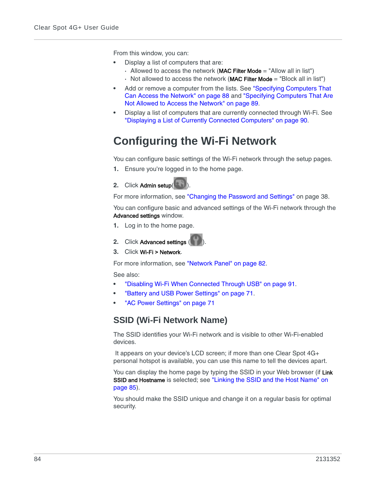From this window, you can:

- **•** Display a list of computers that are:
	- **·** Allowed to access the network (MAC Filter Mode = "Allow all in list")
	- **·** Not allowed to access the network (MAC Filter Mode = "Block all in list")
- **•** Add or remove a computer from the lists. See ["Specifying Computers That](#page-87-1)  [Can Access the Network" on page 88](#page-87-1) and ["Specifying Computers That Are](#page-88-0)  [Not Allowed to Access the Network" on page 89.](#page-88-0)
- **•** Display a list of computers that are currently connected through Wi-Fi. See ["Displaying a List of Currently Connected Computers" on page 90.](#page-89-1)

# **Configuring the Wi-Fi Network**

You can configure basic settings of the Wi-Fi network through the setup pages.

- **1.** Ensure you're logged in to the home page.
- **2.** Click Admin setup(

For more information, see ["Changing the Password and Settings" on page 38](#page-37-0).

You can configure basic and advanced settings of the Wi-Fi network through the Advanced settings window.

- **1.** Log in to the home page.
- **2.** Click Advanced settings (
- **3.** Click Wi-Fi > Network.

For more information, see ["Network Panel" on page 82](#page-81-1).

See also:

- **•** ["Disabling Wi-Fi When Connected Through USB" on page 91](#page-90-0).
- **•** ["Battery and USB Power Settings" on page 71.](#page-70-1)
- **•** ["AC Power Settings" on page 71](#page-70-2)

# <span id="page-83-0"></span>**SSID (Wi-Fi Network Name)**

The SSID identifies your Wi-Fi network and is visible to other Wi-Fi-enabled devices.

 It appears on your device's LCD screen; if more than one Clear Spot 4G+ personal hotspot is available, you can use this name to tell the devices apart.

You can display the home page by typing the SSID in your Web browser (if Link SSID and Hostname is selected; see "Linking the SSID and the Host Name" on [page 85](#page-84-0)).

You should make the SSID unique and change it on a regular basis for optimal security.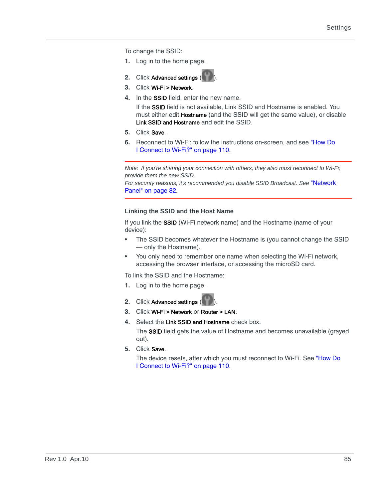To change the SSID:

- **1.** Log in to the home page.
- **2.** Click Advanced settings (
- **3.** Click Wi-Fi > Network.
- **4.** In the SSID field, enter the new name.

If the SSID field is not available, Link SSID and Hostname is enabled. You must either edit **Hostname** (and the SSID will get the same value), or disable Link SSID and Hostname and edit the SSID.

- **5.** Click Save.
- **6.** Reconnect to Wi-Fi: follow the instructions on-screen, and see ["How Do](#page-109-0)  [I Connect to Wi-Fi?" on page 110](#page-109-0).

*Note: If you're sharing your connection with others, they also must reconnect to Wi-Fi; provide them the new SSID. For security reasons, it's recommended you disable SSID Broadcast. See* ["Network](#page-81-1)  [Panel" on page 82](#page-81-1)*.*

## <span id="page-84-0"></span>**Linking the SSID and the Host Name**

If you link the SSID (Wi-Fi network name) and the Hostname (name of your device):

- **•** The SSID becomes whatever the Hostname is (you cannot change the SSID — only the Hostname).
- **•** You only need to remember one name when selecting the Wi-Fi network, accessing the browser interface, or accessing the microSD card.

To link the SSID and the Hostname:

- **1.** Log in to the home page.
- **2.** Click Advanced settings (
- **3.** Click Wi-Fi > Network or Router > LAN.
- **4.** Select the Link SSID and Hostname check box.

The SSID field gets the value of Hostname and becomes unavailable (grayed out).

**5.** Click Save.

The device resets, after which you must reconnect to Wi-Fi. See ["How Do](#page-109-0)  [I Connect to Wi-Fi?" on page 110](#page-109-0).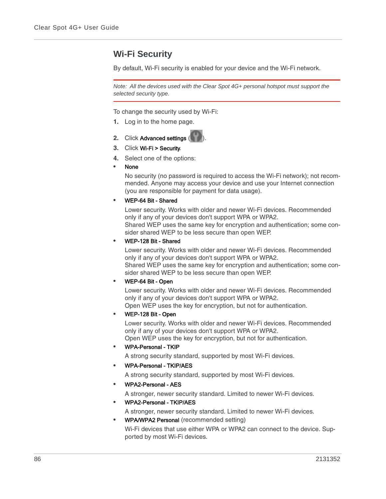# <span id="page-85-0"></span>**Wi-Fi Security**

By default, Wi-Fi security is enabled for your device and the Wi-Fi network.

*Note: All the devices used with the Clear Spot 4G+ personal hotspot must support the selected security type.* 

To change the security used by Wi-Fi:

- **1.** Log in to the home page.
- **2.** Click Advanced settings
- **3.** Click Wi-Fi > Security.
- **4.** Select one of the options:
- **•** None

No security (no password is required to access the Wi-Fi network); not recommended. Anyone may access your device and use your Internet connection (you are responsible for payment for data usage).

### **•** WEP-64 Bit - Shared

Lower security. Works with older and newer Wi-Fi devices. Recommended only if any of your devices don't support WPA or WPA2. Shared WEP uses the same key for encryption and authentication; some con-

sider shared WEP to be less secure than open WEP.

### **•** WEP-128 Bit - Shared

Lower security. Works with older and newer Wi-Fi devices. Recommended only if any of your devices don't support WPA or WPA2. Shared WEP uses the same key for encryption and authentication; some consider shared WEP to be less secure than open WEP.

**•** WEP-64 Bit - Open

Lower security. Works with older and newer Wi-Fi devices. Recommended only if any of your devices don't support WPA or WPA2. Open WEP uses the key for encryption, but not for authentication.

**•** WEP-128 Bit - Open

Lower security. Works with older and newer Wi-Fi devices. Recommended only if any of your devices don't support WPA or WPA2. Open WEP uses the key for encryption, but not for authentication.

**•** WPA-Personal - TKIP

A strong security standard, supported by most Wi-Fi devices.

**•** WPA-Personal - TKIP/AES

A strong security standard, supported by most Wi-Fi devices.

**•** WPA2-Personal - AES

A stronger, newer security standard. Limited to newer Wi-Fi devices.

**•** WPA2-Personal - TKIP/AES

A stronger, newer security standard. Limited to newer Wi-Fi devices.

**•** WPA/WPA2 Personal (recommended setting)

Wi-Fi devices that use either WPA or WPA2 can connect to the device. Supported by most Wi-Fi devices.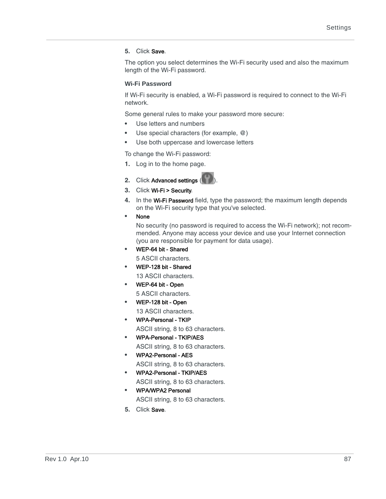### **5.** Click Save.

The option you select determines the Wi-Fi security used and also the maximum length of the Wi-Fi password.

### <span id="page-86-0"></span>**Wi-Fi Password**

If Wi-Fi security is enabled, a Wi-Fi password is required to connect to the Wi-Fi network.

Some general rules to make your password more secure:

- **•** Use letters and numbers
- Use special characters (for example,  $@)$
- **•** Use both uppercase and lowercase letters

To change the Wi-Fi password:

- **1.** Log in to the home page.
- **2.** Click Advanced settings (
- **3.** Click Wi-Fi > Security.
- **4.** In the Wi-Fi Password field, type the password; the maximum length depends on the Wi-Fi security type that you've selected.
- **•** None

No security (no password is required to access the Wi-Fi network); not recommended. Anyone may access your device and use your Internet connection (you are responsible for payment for data usage).

- **•** WEP-64 bit Shared 5 ASCII characters.
- **•** WEP-128 bit Shared

13 ASCII characters.

- **•** WEP-64 bit Open 5 ASCII characters.
- **•** WEP-128 bit Open 13 ASCII characters.
- **•** WPA-Personal TKIP ASCII string, 8 to 63 characters.
- **•** WPA-Personal TKIP/AES ASCII string, 8 to 63 characters.
- **•** WPA2-Personal AES ASCII string, 8 to 63 characters.
- **•** WPA2-Personal TKIP/AES
	- ASCII string, 8 to 63 characters. **•** WPA/WPA2 Personal
	- ASCII string, 8 to 63 characters.
- **5.** Click Save.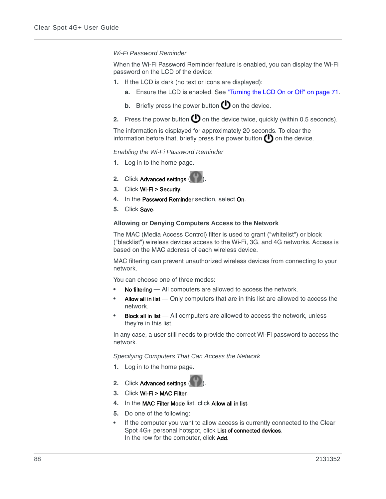### <span id="page-87-0"></span>*Wi-Fi Password Reminder*

When the Wi-Fi Password Reminder feature is enabled, you can display the Wi-Fi password on the LCD of the device:

- **1.** If the LCD is dark (no text or icons are displayed):
	- **a.** Ensure the LCD is enabled. See ["Turning the LCD On or Off" on page 71](#page-70-0).
	- **b.** Briefly press the power button  $\bullet$  on the device.
- **2.** Press the power button  $\bigcirc$  on the device twice, quickly (within 0.5 seconds).

The information is displayed for approximately 20 seconds. To clear the information before that, briefly press the power button  $\bigcup$  on the device.

#### *Enabling the Wi-Fi Password Reminder*

- **1.** Log in to the home page.
- **2.** Click Advanced settings
- **3.** Click Wi-Fi > Security.
- **4.** In the Password Reminder section, select On.
- **5.** Click Save.

### **Allowing or Denying Computers Access to the Network**

The MAC (Media Access Control) filter is used to grant ("whitelist") or block ("blacklist") wireless devices access to the Wi-Fi, 3G, and 4G networks. Access is based on the MAC address of each wireless device.

MAC filtering can prevent unauthorized wireless devices from connecting to your network.

You can choose one of three modes:

- **No filtering** All computers are allowed to access the network.
- **•** Allow all in list Only computers that are in this list are allowed to access the network.
- **Block all in list** All computers are allowed to access the network, unless they're in this list.

In any case, a user still needs to provide the correct Wi-Fi password to access the network.

<span id="page-87-1"></span>*Specifying Computers That Can Access the Network*

- **1.** Log in to the home page.
- **2.** Click Advanced settings
- **3.** Click Wi-Fi > MAC Filter.
- **4.** In the MAC Filter Mode list, click Allow all in list.
- **5.** Do one of the following:
- **•** If the computer you want to allow access is currently connected to the Clear Spot 4G+ personal hotspot, click List of connected devices. In the row for the computer, click Add.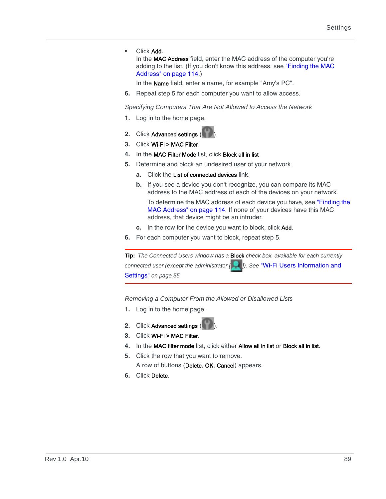**•** Click Add.

In the MAC Address field, enter the MAC address of the computer you're adding to the list. (If you don't know this address, see ["Finding the MAC](#page-113-0)  [Address" on page 114.](#page-113-0))

In the Name field, enter a name, for example "Amy's PC".

**6.** Repeat step 5 for each computer you want to allow access.

<span id="page-88-0"></span>*Specifying Computers That Are Not Allowed to Access the Network*

- **1.** Log in to the home page.
- **2.** Click Advanced settings (
- **3.** Click Wi-Fi > MAC Filter.
- **4.** In the MAC Filter Mode list, click Block all in list.
- **5.** Determine and block an undesired user of your network.
	- **a.** Click the List of connected devices link.
	- **b.** If you see a device you don't recognize, you can compare its MAC address to the MAC address of each of the devices on your network.

To determine the MAC address of each device you have, see ["Finding the](#page-113-0)  [MAC Address" on page 114](#page-113-0). If none of your devices have this MAC address, that device might be an intruder.

- **c.** In the row for the device you want to block, click Add.
- **6.** For each computer you want to block, repeat step 5.



*Removing a Computer From the Allowed or Disallowed Lists*

- **1.** Log in to the home page.
- **2.** Click Advanced settings
- **3.** Click Wi-Fi > MAC Filter.
- **4.** In the MAC filter mode list, click either Allow all in list or Block all in list.
- **5.** Click the row that you want to remove.

A row of buttons (Delete, OK, Cancel) appears.

**6.** Click Delete.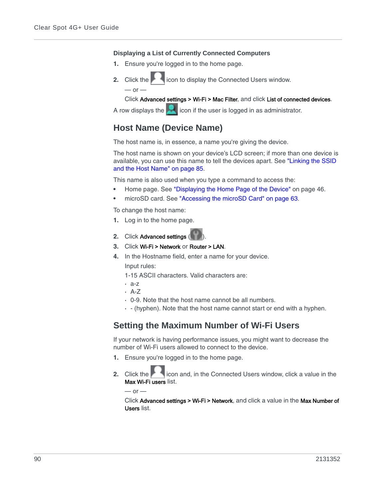#### <span id="page-89-1"></span>**Displaying a List of Currently Connected Computers**

- **1.** Ensure you're logged in to the home page.
- **2.** Click the **inclusive inconductable values** icon to display the Connected Users window.  $-$  or  $-$

Click Advanced settings > Wi-Fi > Mac Filter, and click List of connected devices.

A row displays the  $\blacksquare$  icon if the user is logged in as administrator.

# <span id="page-89-0"></span>**Host Name (Device Name)**

The host name is, in essence, a name you're giving the device.

The host name is shown on your device's LCD screen; if more than one device is available, you can use this name to tell the devices apart. See ["Linking the SSID](#page-84-0)  [and the Host Name" on page 85](#page-84-0).

This name is also used when you type a command to access the:

- **•** Home page. See ["Displaying the Home Page of the Device" on page 46](#page-45-0).
- **•** microSD card. See ["Accessing the microSD Card" on page 63](#page-62-0).

To change the host name:

- **1.** Log in to the home page.
- **2.** Click Advanced settings (
- **3.** Click Wi-Fi > Network or Router > LAN.
- **4.** In the Hostname field, enter a name for your device. Input rules:
	- 1-15 ASCII characters. Valid characters are:
	- **·** a-z
	- **·** A-Z
	- **·** 0-9. Note that the host name cannot be all numbers.
	- **·** (hyphen). Note that the host name cannot start or end with a hyphen.

## **Setting the Maximum Number of Wi-Fi Users**

If your network is having performance issues, you might want to decrease the number of Wi-Fi users allowed to connect to the device.

- **1.** Ensure you're logged in to the home page.
- **2.** Click the incon and, in the Connected Users window, click a value in the Max Wi-Fi users list.

 $-$  or  $-$ 

Click Advanced settings > Wi-Fi > Network, and click a value in the Max Number of Users list.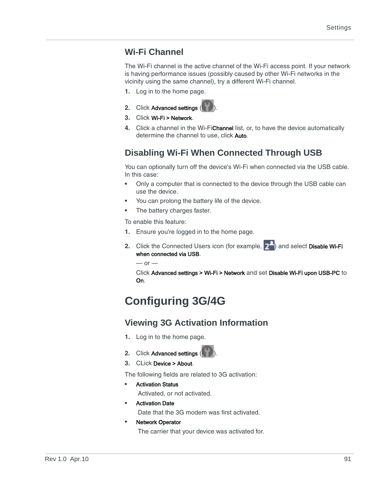# **Wi-Fi Channel**

The Wi-Fi channel is the active channel of the Wi-Fi access point. If your network is having performance issues (possibly caused by other Wi-Fi networks in the vicinity using the same channel), try a different Wi-Fi channel.

- **1.** Log in to the home page.
- **2.** Click Advanced settings (
- **3.** Click Wi-Fi > Network.
- **4.** Click a channel in the Wi-FiChannel list, or, to have the device automatically determine the channel to use, click Auto.

# <span id="page-90-0"></span>**Disabling Wi-Fi When Connected Through USB**

You can optionally turn off the device's Wi-Fi when connected via the USB cable. In this case:

- **•** Only a computer that is connected to the device through the USB cable can use the device.
- **•** You can prolong the battery life of the device.
- **•** The battery charges faster.

To enable this feature:

- **1.** Ensure you're logged in to the home page.
- **2.** Click the Connected Users icon (for example,  $2^{\frac{1}{2}}$ ) and select Disable Wi-Fi when connected via USB.

 $-$  or  $-$ 

Click Advanced settings > Wi-Fi > Network and set Disable Wi-Fi upon USB-PC to On.

# **Configuring 3G/4G**

# **Viewing 3G Activation Information**

- **1.** Log in to the home page.
- **2.** Click Advanced settings (
- **3.** CLick Device > About.

The following fields are related to 3G activation:

- **•** Activation Status
	- Activated, or not activated.
- **•** Activation Date Date that the 3G modem was first activated.
- **•** Network Operator

The carrier that your device was activated for.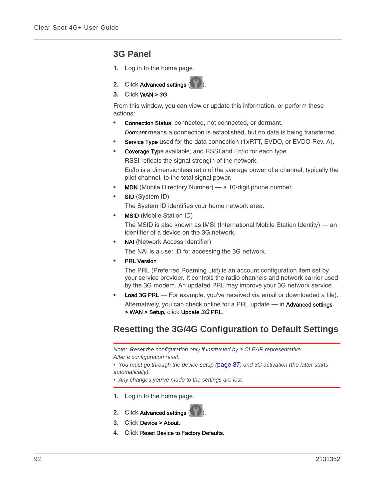# <span id="page-91-1"></span>**3G Panel**

- **1.** Log in to the home page.
- **2.** Click Advanced settings
- **3.** Click WAN > *3G*.

From this window, you can view or update this information, or perform these actions:

- **Connection Status: connected, not connected, or dormant.** *Dormant* means a connection is established, but no data is being transferred.
- **Service Type** used for the data connection (1xRTT, EVDO, or EVDO Rev. A).
- **•** Coverage Type available, and RSSI and Ec/Io for each type. RSSI reflects the signal strength of the network.

Ec/Io is a dimensionless ratio of the average power of a channel, typically the pilot channel, to the total signal power.

- **•** MDN (Mobile Directory Number) a 10-digit phone number.
- **•** SID (System ID)

The System ID identifies your home network area.

**•** MSID (Mobile Station ID)

The MSID is also known as IMSI (International Mobile Station Identity) — an identifier of a device on the 3G network.

**•** NAI (Network Access Identifier)

The NAI is a user ID for accessing the 3G network.

**•** PRL Version

The PRL (Preferred Roaming List) is an account configuration item set by your service provider. It controls the radio channels and network carrier used by the 3G modem. An updated PRL may improve your 3G network service.

**Load 3G PRL** — For example, you've received via email or downloaded a file). Alternatively, you can check online for a PRL update - in Advanced settings > WAN > Setup, click Update *3G* PRL.

# <span id="page-91-0"></span>**Resetting the 3G/4G Configuration to Default Settings**

*Note: Reset the configuration only if instructed by a CLEAR representative. After a configuration reset:*

*• You must go through the device setup (*[page 37](#page-36-0)*) and 3G activation (the latter starts automatically).*

- *Any changes you've made to the settings are lost.*
- **1.** Log in to the home page.
- **2.** Click Advanced settings
- **3.** Click Device > About.
- **4.** Click Reset Device to Factory Defaults.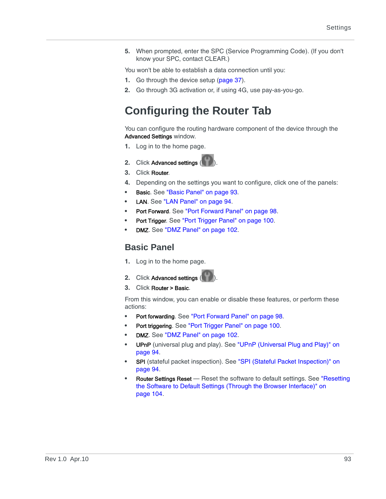**5.** When prompted, enter the SPC (Service Programming Code). (If you don't know your SPC, contact CLEAR.)

You won't be able to establish a data connection until you:

- **1.** Go through the device setup [\(page 37\)](#page-36-0).
- **2.** Go through 3G activation or, if using 4G, use pay-as-you-go.

# <span id="page-92-0"></span>**Configuring the Router Tab**

You can configure the routing hardware component of the device through the Advanced Settings window.

- **1.** Log in to the home page.
- **2.** Click Advanced settings (
- **3.** Click Router.
- **4.** Depending on the settings you want to configure, click one of the panels:
- **•** Basic. See ["Basic Panel" on page 93](#page-92-1).
- LAN. See ["LAN Panel" on page 94.](#page-93-0)
- **•** Port Forward. See ["Port Forward Panel" on page 98](#page-97-0).
- **•** Port Trigger. See ["Port Trigger Panel" on page 100](#page-99-0).
- **DMZ**. See ["DMZ Panel" on page 102.](#page-101-0)

## <span id="page-92-1"></span>**Basic Panel**

- **1.** Log in to the home page.
- **2.** Click Advanced settings (
- **3.** Click Router > Basic.

From this window, you can enable or disable these features, or perform these actions:

- **•** Port forwarding. See ["Port Forward Panel" on page 98](#page-97-0).
- **•** Port triggering. See ["Port Trigger Panel" on page 100.](#page-99-0)
- **DMZ**. See ["DMZ Panel" on page 102.](#page-101-0)
- **•** UPnP (universal plug and play). See ["UPnP \(Universal Plug and Play\)" on](#page-93-1)  [page 94](#page-93-1).
- **SPI** (stateful packet inspection). See "SPI (Stateful Packet Inspection)" on [page 94](#page-93-2).
- **Router Settings Reset** Reset the software to default settings. See "Resetting" [the Software to Default Settings \(Through the Browser Interface\)" on](#page-103-0)  [page 104.](#page-103-0)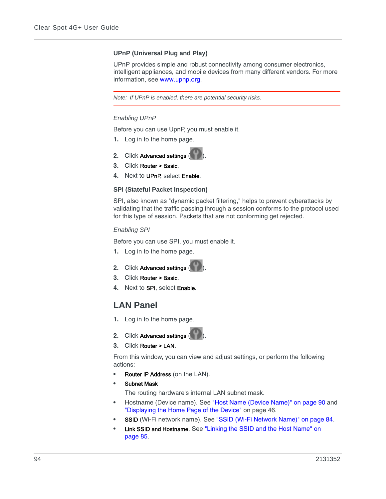### <span id="page-93-1"></span>**UPnP (Universal Plug and Play)**

UPnP provides simple and robust connectivity among consumer electronics, intelligent appliances, and mobile devices from many different vendors. For more information, see [www.upnp.org.](http://www.upnp.org/)

*Note: If UPnP is enabled, there are potential security risks.*

### *Enabling UPnP*

Before you can use UpnP, you must enable it.

- **1.** Log in to the home page.
- **2.** Click Advanced settings (
- **3.** Click Router > Basic.
- **4.** Next to UPnP, select Enable.

### <span id="page-93-2"></span>**SPI (Stateful Packet Inspection)**

SPI, also known as "dynamic packet filtering," helps to prevent cyberattacks by validating that the traffic passing through a session conforms to the protocol used for this type of session. Packets that are not conforming get rejected.

#### *Enabling SPI*

Before you can use SPI, you must enable it.

- **1.** Log in to the home page.
- **2.** Click Advanced settings
- **3.** Click Router > Basic.
- **4.** Next to SPI, select Enable.

## <span id="page-93-0"></span>**LAN Panel**

- **1.** Log in to the home page.
- **2.** Click Advanced settings ( ).
- **3.** Click Router > LAN.

From this window, you can view and adjust settings, or perform the following actions:

- **Router IP Address** (on the LAN).
- **•** Subnet Mask

The routing hardware's internal LAN subnet mask.

- **•** Hostname (Device name). See ["Host Name \(Device Name\)" on page 90](#page-89-0) and ["Displaying the Home Page of the Device" on page 46](#page-45-0).
- **SSID** (Wi-Fi network name). See ["SSID \(Wi-Fi Network Name\)" on page 84](#page-83-0).
- **•** Link SSID and Hostname. See ["Linking the SSID and the Host Name" on](#page-84-0)  [page 85](#page-84-0).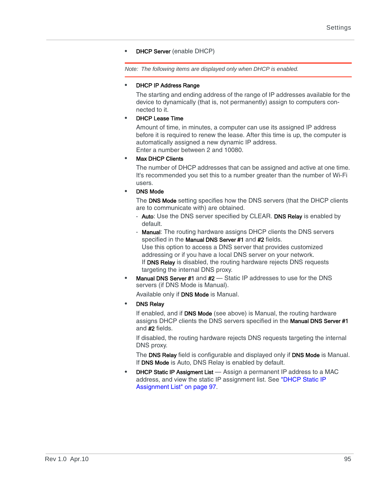## **DHCP Server** (enable DHCP)

*Note: The following items are displayed only when DHCP is enabled.*

### **•** DHCP IP Address Range

The starting and ending address of the range of IP addresses available for the device to dynamically (that is, not permanently) assign to computers connected to it.

### **•** DHCP Lease Time

Amount of time, in minutes, a computer can use its assigned IP address before it is required to renew the lease. After this time is up, the computer is automatically assigned a new dynamic IP address. Enter a number between 2 and 10080.

### **•** Max DHCP Clients

The number of DHCP addresses that can be assigned and active at one time. It's recommended you set this to a number greater than the number of Wi-Fi users.

## **•** DNS Mode

The DNS Mode setting specifies how the DNS servers (that the DHCP clients are to communicate with) are obtained.

- **·** Auto: Use the DNS server specified by CLEAR. DNS Relay is enabled by default.
- **·** Manual: The routing hardware assigns DHCP clients the DNS servers specified in the Manual DNS Server #1 and #2 fields. Use this option to access a DNS server that provides customized addressing or if you have a local DNS server on your network. If DNS Relay is disabled, the routing hardware rejects DNS requests targeting the internal DNS proxy.
- **•** Manual DNS Server #1 and #2 Static IP addresses to use for the DNS servers (if DNS Mode is Manual).

Available only if DNS Mode is Manual.

**•** DNS Relay

If enabled, and if **DNS Mode** (see above) is Manual, the routing hardware assigns DHCP clients the DNS servers specified in the **Manual DNS Server #1** and #2 fields.

If disabled, the routing hardware rejects DNS requests targeting the internal DNS proxy.

The DNS Relay field is configurable and displayed only if DNS Mode is Manual. If DNS Mode is Auto, DNS Relay is enabled by default.

**DHCP Static IP Assigment List** — Assign a permanent IP address to a MAC address, and view the static IP assignment list. See ["DHCP Static IP](#page-96-0)  [Assignment List" on page 97.](#page-96-0)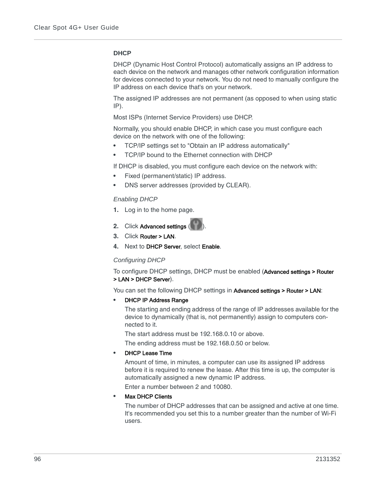### **DHCP**

DHCP (Dynamic Host Control Protocol) automatically assigns an IP address to each device on the network and manages other network configuration information for devices connected to your network. You do not need to manually configure the IP address on each device that's on your network.

The assigned IP addresses are not permanent (as opposed to when using static IP).

Most ISPs (Internet Service Providers) use DHCP.

Normally, you should enable DHCP, in which case you must configure each device on the network with one of the following:

- **•** TCP/IP settings set to "Obtain an IP address automatically"
- **•** TCP/IP bound to the Ethernet connection with DHCP

If DHCP is disabled, you must configure each device on the network with:

- **•** Fixed (permanent/static) IP address.
- **•** DNS server addresses (provided by CLEAR).

### *Enabling DHCP*

- **1.** Log in to the home page.
- **2.** Click Advanced settings (
- **3.** Click Router > LAN.
- **4.** Next to DHCP Server, select Enable.

### *Configuring DHCP*

To configure DHCP settings, DHCP must be enabled (Advanced settings > Router > LAN > DHCP Server).

You can set the following DHCP settings in Advanced settings > Router > LAN:

### **•** DHCP IP Address Range

The starting and ending address of the range of IP addresses available for the device to dynamically (that is, not permanently) assign to computers connected to it.

The start address must be 192.168.0.10 or above.

The ending address must be 192.168.0.50 or below.

### **•** DHCP Lease Time

Amount of time, in minutes, a computer can use its assigned IP address before it is required to renew the lease. After this time is up, the computer is automatically assigned a new dynamic IP address.

Enter a number between 2 and 10080.

### **•** Max DHCP Clients

The number of DHCP addresses that can be assigned and active at one time. It's recommended you set this to a number greater than the number of Wi-Fi users.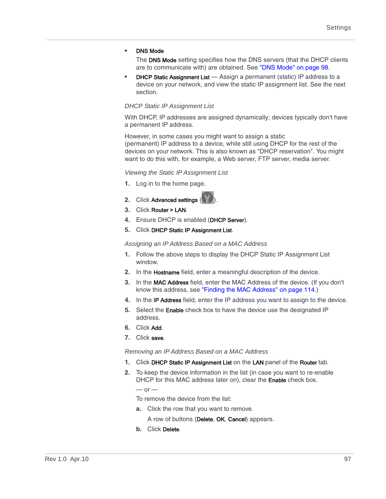### **•** DNS Mode

The DNS Mode setting specifies how the DNS servers (that the DHCP clients are to communicate with) are obtained. See ["DNS Mode" on page 98.](#page-97-1)

**DHCP Static Assignment List** — Assign a permanent (static) IP address to a device on your network, and view the static IP assignment list. See the next section.

### <span id="page-96-0"></span>*DHCP Static IP Assignment List*

With DHCP, IP addresses are assigned dynamically; devices typically don't have a permanent IP address.

However, in some cases you might want to assign a static (permanent) IP address to a device, while still using DHCP for the rest of the devices on your network. This is also known as "DHCP reservation". You might want to do this with, for example, a Web server, FTP server, media server.

### *Viewing the Static IP Assignment List*

- **1.** Log in to the home page.
- **2.** Click Advanced settings (
- **3.** Click Router > LAN.
- **4.** Ensure DHCP is enabled (DHCP Server).
- **5.** Click DHCP Static IP Assignment List.

<span id="page-96-1"></span>*Assigning an IP Address Based on a MAC Address*

- **1.** Follow the above steps to display the DHCP Static IP Assignment List window.
- **2.** In the Hostname field, enter a meaningful description of the device.
- **3.** In the MAC Address field, enter the MAC Address of the device. (If you don't know this address, see ["Finding the MAC Address" on page 114](#page-113-0).)
- **4.** In the IP Address field, enter the IP address you want to assign to the device.
- **5.** Select the **Enable** check box to have the device use the designated IP address.
- **6.** Click Add.
- **7.** Click save.

*Removing an IP Address Based on a MAC Address*

- **1.** Click DHCP Static IP Assignment List on the LAN panel of the Router tab.
- **2.** To keep the device information in the list (in case you want to re-enable DHCP for this MAC address later on), clear the **Enable** check box.

 $-$  or  $-$ 

To remove the device from the list:

**a.** Click the row that you want to remove.

A row of buttons (Delete, OK, Cancel) appears.

**b.** Click Delete.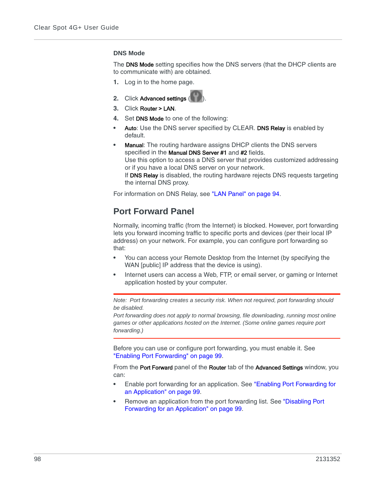#### <span id="page-97-1"></span>**DNS Mode**

The DNS Mode setting specifies how the DNS servers (that the DHCP clients are to communicate with) are obtained.

**1.** Log in to the home page.



- **3.** Click Router > LAN.
- **4.** Set DNS Mode to one of the following:
- **•** Auto: Use the DNS server specified by CLEAR. DNS Relay is enabled by default.
- **Manual:** The routing hardware assigns DHCP clients the DNS servers specified in the Manual DNS Server #1 and #2 fields. Use this option to access a DNS server that provides customized addressing or if you have a local DNS server on your network. If DNS Relay is disabled, the routing hardware rejects DNS requests targeting the internal DNS proxy.

For information on DNS Relay, see ["LAN Panel" on page 94](#page-93-0).

# <span id="page-97-0"></span>**Port Forward Panel**

Normally, incoming traffic (from the Internet) is blocked. However, port forwarding lets you forward incoming traffic to specific ports and devices (per their local IP address) on your network. For example, you can configure port forwarding so that:

- **•** You can access your Remote Desktop from the Internet (by specifying the WAN [public] IP address that the device is using).
- **•** Internet users can access a Web, FTP, or email server, or gaming or Internet application hosted by your computer.

*Note: Port forwarding creates a security risk. When not required, port forwarding should be disabled.*

*Port forwarding does not apply to normal browsing, file downloading, running most online games or other applications hosted on the Internet. (Some online games require port forwarding.)*

Before you can use or configure port forwarding, you must enable it. See ["Enabling Port Forwarding" on page 99.](#page-98-0)

From the Port Forward panel of the Router tab of the Advanced Settings window, you can:

- **•** Enable port forwarding for an application. See ["Enabling Port Forwarding for](#page-98-1)  [an Application" on page 99](#page-98-1).
- **•** Remove an application from the port forwarding list. See ["Disabling Port](#page-98-2)  [Forwarding for an Application" on page 99.](#page-98-2)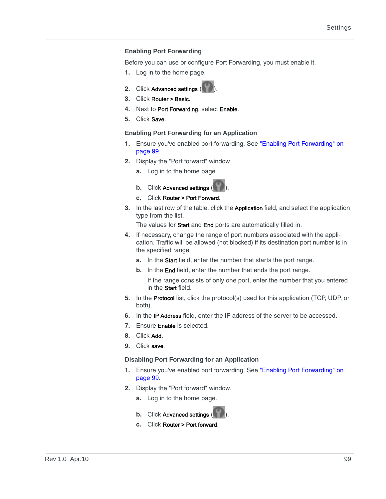### <span id="page-98-0"></span>**Enabling Port Forwarding**

Before you can use or configure Port Forwarding, you must enable it.

- **1.** Log in to the home page.
- **2.** Click Advanced settings (
- **3.** Click Router > Basic.
- **4.** Next to Port Forwarding, select Enable.
- **5.** Click Save.

### <span id="page-98-1"></span>**Enabling Port Forwarding for an Application**

- **1.** Ensure you've enabled port forwarding. See ["Enabling Port Forwarding" on](#page-98-0)  [page 99](#page-98-0).
- **2.** Display the "Port forward" window.
	- **a.** Log in to the home page.
	- **b.** Click Advanced settings
	- **c.** Click Router > Port Forward.
- **3.** In the last row of the table, click the Application field, and select the application type from the list.

The values for Start and End ports are automatically filled in.

- **4.** If necessary, change the range of port numbers associated with the application. Traffic will be allowed (not blocked) if its destination port number is in the specified range.
	- **a.** In the Start field, enter the number that starts the port range.
	- **b.** In the End field, enter the number that ends the port range.

If the range consists of only one port, enter the number that you entered in the Start field.

- **5.** In the Protocol list, click the protocol(s) used for this application (TCP, UDP, or both).
- **6.** In the IP Address field, enter the IP address of the server to be accessed.
- **7.** Ensure Enable is selected.
- **8.** Click Add.
- **9.** Click save.

### <span id="page-98-2"></span>**Disabling Port Forwarding for an Application**

- **1.** Ensure you've enabled port forwarding. See ["Enabling Port Forwarding" on](#page-98-0)  [page 99](#page-98-0).
- **2.** Display the "Port forward" window.
	- **a.** Log in to the home page.
	- **b.** Click Advanced settings
	- **c.** Click Router > Port forward.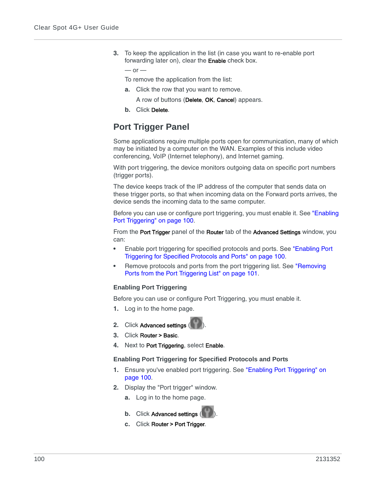**3.** To keep the application in the list (in case you want to re-enable port forwarding later on), clear the Enable check box.

 $-$  or  $-$ 

To remove the application from the list:

**a.** Click the row that you want to remove.

A row of buttons (Delete, OK, Cancel) appears.

**b.** Click Delete.

# <span id="page-99-0"></span>**Port Trigger Panel**

Some applications require multiple ports open for communication, many of which may be initiated by a computer on the WAN. Examples of this include video conferencing, VoIP (Internet telephony), and Internet gaming.

With port triggering, the device monitors outgoing data on specific port numbers (trigger ports).

The device keeps track of the IP address of the computer that sends data on these trigger ports, so that when incoming data on the Forward ports arrives, the device sends the incoming data to the same computer.

Before you can use or configure port triggering, you must enable it. See ["Enabling](#page-99-1)  [Port Triggering" on page 100](#page-99-1).

From the Port Trigger panel of the Router tab of the Advanced Settings window, you can:

- **•** Enable port triggering for specified protocols and ports. See ["Enabling Port](#page-99-2)  [Triggering for Specified Protocols and Ports" on page 100.](#page-99-2)
- **•** Remove protocols and ports from the port triggering list. See ["Removing](#page-100-0)  [Ports from the Port Triggering List" on page 101.](#page-100-0)

### <span id="page-99-1"></span>**Enabling Port Triggering**

Before you can use or configure Port Triggering, you must enable it.

- **1.** Log in to the home page.
- **2.** Click Advanced settings (
- **3.** Click Router > Basic.
- **4.** Next to Port Triggering, select Enable.

#### <span id="page-99-2"></span>**Enabling Port Triggering for Specified Protocols and Ports**

- **1.** Ensure you've enabled port triggering. See ["Enabling Port Triggering" on](#page-99-1)  [page 100.](#page-99-1)
- **2.** Display the "Port trigger" window.
	- **a.** Log in to the home page.
	- **b.** Click Advanced settings (
	- **c.** Click Router > Port Trigger.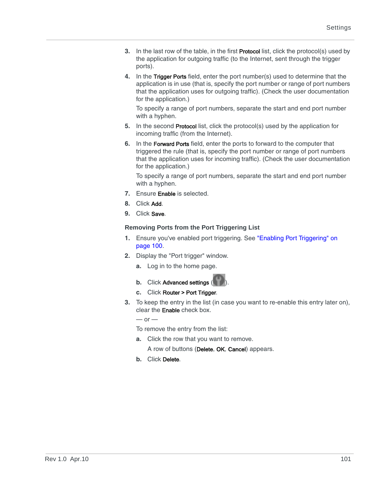- **3.** In the last row of the table, in the first Protocol list, click the protocol(s) used by the application for outgoing traffic (to the Internet, sent through the trigger ports).
- **4.** In the Trigger Ports field, enter the port number(s) used to determine that the application is in use (that is, specify the port number or range of port numbers that the application uses for outgoing traffic). (Check the user documentation for the application.)

To specify a range of port numbers, separate the start and end port number with a hyphen.

- **5.** In the second Protocol list, click the protocol(s) used by the application for incoming traffic (from the Internet).
- **6.** In the Forward Ports field, enter the ports to forward to the computer that triggered the rule (that is, specify the port number or range of port numbers that the application uses for incoming traffic). (Check the user documentation for the application.)

To specify a range of port numbers, separate the start and end port number with a hyphen.

- **7.** Ensure Enable is selected.
- **8.** Click Add.
- **9.** Click Save.

### <span id="page-100-0"></span>**Removing Ports from the Port Triggering List**

- **1.** Ensure you've enabled port triggering. See ["Enabling Port Triggering" on](#page-99-1)  [page 100.](#page-99-1)
- **2.** Display the "Port trigger" window.
	- **a.** Log in to the home page.
	- **b.** Click Advanced settings (
	- **c.** Click Router > Port Trigger.
- **3.** To keep the entry in the list (in case you want to re-enable this entry later on), clear the Enable check box.

 $-$  or  $-$ 

To remove the entry from the list:

**a.** Click the row that you want to remove.

A row of buttons (Delete, OK, Cancel) appears.

**b.** Click Delete.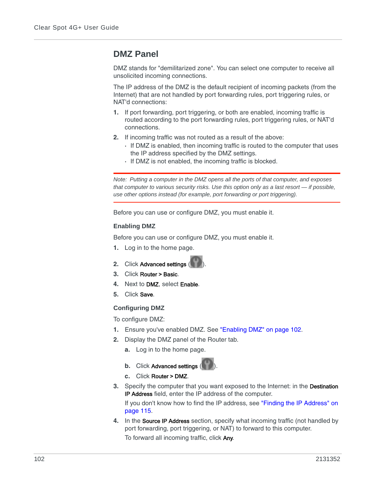# <span id="page-101-0"></span>**DMZ Panel**

DMZ stands for "demilitarized zone". You can select one computer to receive all unsolicited incoming connections.

The IP address of the DMZ is the default recipient of incoming packets (from the Internet) that are not handled by port forwarding rules, port triggering rules, or NAT'd connections:

- **1.** If port forwarding, port triggering, or both are enabled, incoming traffic is routed according to the port forwarding rules, port triggering rules, or NAT'd connections.
- **2.** If incoming traffic was not routed as a result of the above:
	- **·** If DMZ is enabled, then incoming traffic is routed to the computer that uses the IP address specified by the DMZ settings.
	- **·** If DMZ is not enabled, the incoming traffic is blocked.

*Note: Putting a computer in the DMZ opens all the ports of that computer, and exposes that computer to various security risks. Use this option only as a last resort — if possible, use other options instead (for example, port forwarding or port triggering).*

Before you can use or configure DMZ, you must enable it.

### <span id="page-101-1"></span>**Enabling DMZ**

Before you can use or configure DMZ, you must enable it.

- **1.** Log in to the home page.
- **2.** Click Advanced settings (
- **3.** Click Router > Basic.
- **4.** Next to DMZ, select Enable.
- **5.** Click Save.

## **Configuring DMZ**

To configure DMZ:

- **1.** Ensure you've enabled DMZ. See ["Enabling DMZ" on page 102.](#page-101-1)
- **2.** Display the DMZ panel of the Router tab.
	- **a.** Log in to the home page.
	- **b.** Click Advanced settings (
	- **c.** Click Router > DMZ.
- **3.** Specify the computer that you want exposed to the Internet: in the Destination IP Address field, enter the IP address of the computer.

If you don't know how to find the IP address, see ["Finding the IP Address" on](#page-114-0)  [page 115.](#page-114-0)

**4.** In the Source IP Address section, specify what incoming traffic (not handled by port forwarding, port triggering, or NAT) to forward to this computer. To forward all incoming traffic, click Any.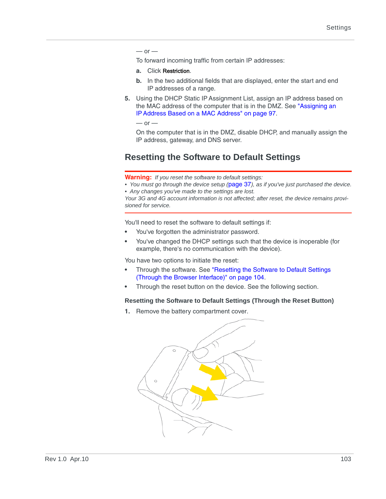#### $-$  or  $-$

To forward incoming traffic from certain IP addresses:

#### **a.** Click Restriction.

- **b.** In the two additional fields that are displayed, enter the start and end IP addresses of a range.
- **5.** Using the DHCP Static IP Assignment List, assign an IP address based on the MAC address of the computer that is in the DMZ. See ["Assigning an](#page-96-1)  [IP Address Based on a MAC Address" on page 97.](#page-96-1)

 $-$  or  $-$ 

On the computer that is in the DMZ, disable DHCP, and manually assign the IP address, gateway, and DNS server.

# **Resetting the Software to Default Settings**

**Warning:** *If you reset the software to default settings:*

*• You must go through the device setup (*[page 37](#page-36-0)*), as if you've just purchased the device. • Any changes you've made to the settings are lost.*

*Your 3G and 4G account information is not affected; after reset, the device remains provisioned for service.*

You'll need to reset the software to default settings if:

- **•** You've forgotten the administrator password.
- **•** You've changed the DHCP settings such that the device is inoperable (for example, there's no communication with the device).

You have two options to initiate the reset:

- **•** Through the software. See ["Resetting the Software to Default Settings](#page-103-0)  [\(Through the Browser Interface\)" on page 104](#page-103-0).
- **•** Through the reset button on the device. See the following section.

### **Resetting the Software to Default Settings (Through the Reset Button)**

**1.** Remove the battery compartment cover.

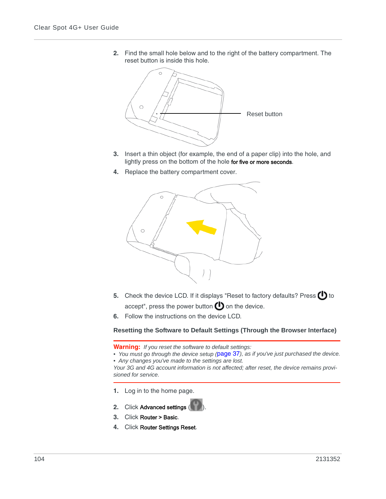**2.** Find the small hole below and to the right of the battery compartment. The reset button is inside this hole.



- **3.** Insert a thin object (for example, the end of a paper clip) into the hole, and lightly press on the bottom of the hole for five or more seconds.
- **4.** Replace the battery compartment cover.



- **5.** Check the device LCD. If it displays "Reset to factory defaults? Press  $\bigcup$  to accept", press the power button  $\bigcirc$  on the device.
- **6.** Follow the instructions on the device LCD.

<span id="page-103-0"></span>**Resetting the Software to Default Settings (Through the Browser Interface)**

**Warning:** *If you reset the software to default settings:*

*• You must go through the device setup (*[page 37](#page-36-0)*), as if you've just purchased the device.*

*• Any changes you've made to the settings are lost.*

*Your 3G and 4G account information is not affected; after reset, the device remains provisioned for service.*

- **1.** Log in to the home page.
- **2.** Click Advanced settings (
- **3.** Click Router > Basic.
- **4.** Click Router Settings Reset.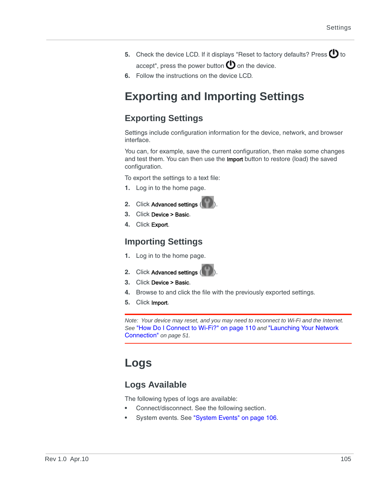- **5.** Check the device LCD. If it displays "Reset to factory defaults? Press  $\bigcirc$  to accept", press the power button  $\mathbf \Theta$  on the device.
- **6.** Follow the instructions on the device LCD.

# **Exporting and Importing Settings**

# <span id="page-104-1"></span>**Exporting Settings**

Settings include configuration information for the device, network, and browser interface.

You can, for example, save the current configuration, then make some changes and test them. You can then use the Import button to restore (load) the saved configuration.

To export the settings to a text file:

- **1.** Log in to the home page.
- **2.** Click Advanced settings
- **3.** Click Device > Basic.
- **4.** Click Export.

# <span id="page-104-0"></span>**Importing Settings**

- **1.** Log in to the home page.
- **2.** Click Advanced settings (
- **3.** Click Device > Basic.
- **4.** Browse to and click the file with the previously exported settings.
- **5.** Click Import.

*Note: Your device may reset, and you may need to reconnect to Wi-Fi and the Internet. See* ["How Do I Connect to Wi-Fi?" on page 110](#page-109-0) *and* ["Launching Your Network](#page-50-0)  [Connection"](#page-50-0) *on page 51.*

# **Logs**

# **Logs Available**

The following types of logs are available:

- **•** Connect/disconnect. See the following section.
- **•** System events. See ["System Events" on page 106.](#page-105-3)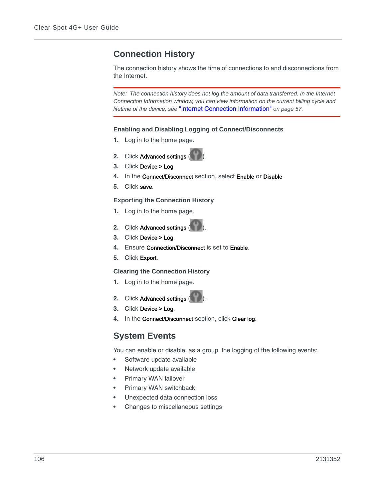# **Connection History**

The connection history shows the time of connections to and disconnections from the Internet.

*Note: The connection history does not log the amount of data transferred. In the Internet Connection Information window, you can view information on the current billing cycle and lifetime of the device; see* ["Internet Connection Information"](#page-56-0) *on page 57.*

### <span id="page-105-0"></span>**Enabling and Disabling Logging of Connect/Disconnects**

- **1.** Log in to the home page.
- **2.** Click Advanced settings (
- **3.** Click Device > Log.
- **4.** In the Connect/Disconnect section, select Enable or Disable.
- **5.** Click save.

### <span id="page-105-1"></span>**Exporting the Connection History**

- **1.** Log in to the home page.
- **2.** Click Advanced settings (
- **3.** Click Device > Log.
- **4.** Ensure Connection/Disconnect is set to Enable.
- **5.** Click Export.

### <span id="page-105-2"></span>**Clearing the Connection History**

- **1.** Log in to the home page.
- **2.** Click Advanced settings (
- **3.** Click Device > Log.
- **4.** In the Connect/Disconnect section, click Clear log.

# <span id="page-105-3"></span>**System Events**

You can enable or disable, as a group, the logging of the following events:

- **•** Software update available
- **•** Network update available
- **•** Primary WAN failover
- **•** Primary WAN switchback
- **•** Unexpected data connection loss
- **•** Changes to miscellaneous settings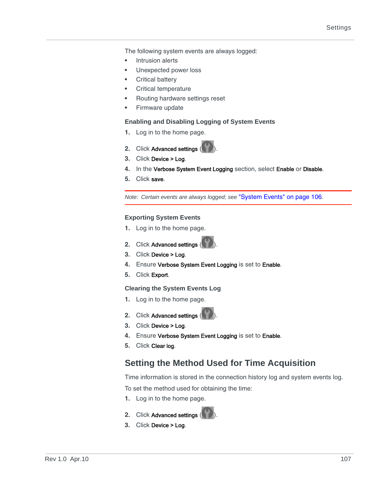The following system events are always logged:

- **•** Intrusion alerts
- **•** Unexpected power loss
- **•** Critical battery
- **•** Critical temperature
- **•** Routing hardware settings reset
- **•** Firmware update

#### <span id="page-106-0"></span>**Enabling and Disabling Logging of System Events**

- **1.** Log in to the home page.
- **2.** Click Advanced settings (
- **3.** Click Device > Log.
- **4.** In the Verbose System Event Logging section, select Enable or Disable.
- **5.** Click save.

*Note: Certain events are always logged; see* ["System Events" on page 106](#page-105-3)*.*

#### <span id="page-106-1"></span>**Exporting System Events**

- **1.** Log in to the home page.
- **2.** Click Advanced settings
- **3.** Click Device > Log.
- **4.** Ensure Verbose System Event Logging is set to Enable.
- **5.** Click Export.

#### <span id="page-106-2"></span>**Clearing the System Events Log**

- **1.** Log in to the home page.
- **2.** Click Advanced settings (
- **3.** Click Device > Log.
- **4.** Ensure Verbose System Event Logging is set to Enable.
- **5.** Click Clear log.

# <span id="page-106-3"></span>**Setting the Method Used for Time Acquisition**

Time information is stored in the connection history log and system events log.

To set the method used for obtaining the time:

- **1.** Log in to the home page.
- **2.** Click Advanced settings (
- **3.** Click Device > Log.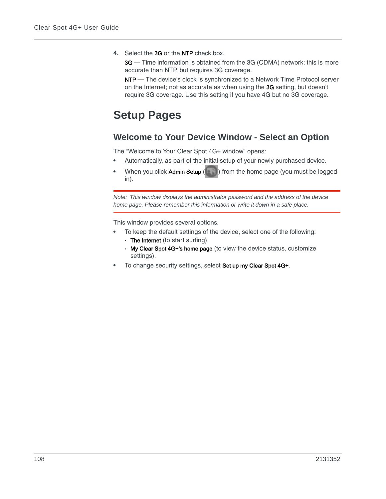**4.** Select the 3G or the NTP check box.

3G — Time information is obtained from the 3G (CDMA) network; this is more accurate than NTP, but requires 3G coverage.

NTP - The device's clock is synchronized to a Network Time Protocol server on the Internet; not as accurate as when using the 3G setting, but doesn't require 3G coverage. Use this setting if you have 4G but no 3G coverage.

# **Setup Pages**

# **Welcome to Your Device Window - Select an Option**

The "Welcome to Your Clear Spot 4G+ window" opens:

- **•** Automatically, as part of the initial setup of your newly purchased device.
- **When you click Admin Setup (<b>a**) from the home page (you must be logged in).

*Note: This window displays the administrator password and the address of the device home page. Please remember this information or write it down in a safe place.*

This window provides several options.

- **•** To keep the default settings of the device, select one of the following:
	- **·** The Internet (to start surfing)
	- **·** My Clear Spot 4G+'s home page (to view the device status, customize settings).
- **•** To change security settings, select Set up my Clear Spot 4G+.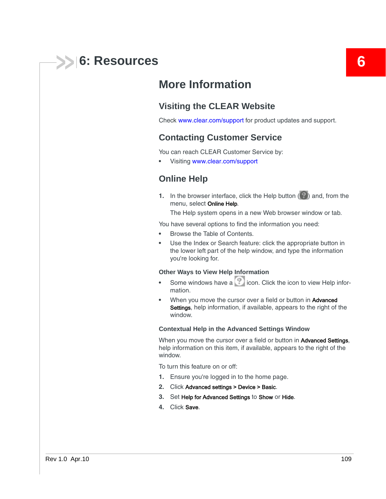

# **More Information**

### **Visiting the CLEAR Website**

<span id="page-108-3"></span>Check [www.clear.com/support](http://www.clear.com/support) for product updates and support.

#### <span id="page-108-1"></span>**Contacting Customer Service**

You can reach CLEAR Customer Service by:

**•** Visiting [www.clear.com/support](http://www.clear.com/support)

#### <span id="page-108-4"></span>**Online Help**

**1.** In the browser interface, click the Help button  $(2)$  and, from the menu, select Online Help.

The Help system opens in a new Web browser window or tab.

You have several options to find the information you need:

- **•** Browse the Table of Contents.
- **•** Use the Index or Search feature: click the appropriate button in the lower left part of the help window, and type the information you're looking for.

#### **Other Ways to View Help Information**

- **•** Some windows have a **interpretate in Click the icon to view Help infor**mation.
- **•** When you move the cursor over a field or button in Advanced Settings, help information, if available, appears to the right of the window.

#### <span id="page-108-0"></span>**Contextual Help in the Advanced Settings Window**

When you move the cursor over a field or button in **Advanced Settings**, help information on this item, if available, appears to the right of the window.

To turn this feature on or off:

- **1.** Ensure you're logged in to the home page.
- <span id="page-108-2"></span>**2.** Click Advanced settings > Device > Basic.
- **3.** Set Help for Advanced Settings to Show or Hide.
- **4.** Click Save.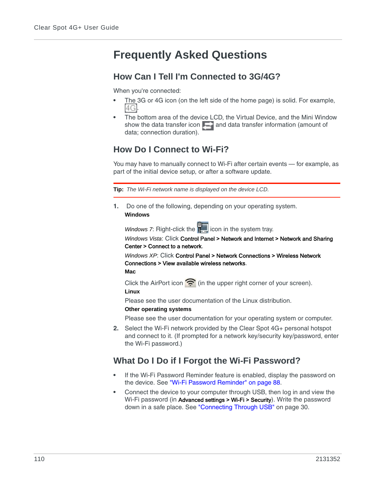# <span id="page-109-3"></span>**Frequently Asked Questions**

### <span id="page-109-1"></span>**How Can I Tell I'm Connected to 3G/4G?**

When you're connected:

- **•** The 3G or 4G icon (on the left side of the home page) is solid. For example, 14GI
- **•** The bottom area of the device LCD, the Virtual Device, and the Mini Window show the data transfer icon  $\Box$  and data transfer information (amount of data; connection duration).

## <span id="page-109-2"></span><span id="page-109-0"></span>**How Do I Connect to Wi-Fi?**

You may have to manually connect to Wi-Fi after certain events — for example, as part of the initial device setup, or after a software update.

**Tip:** *The Wi-Fi network name is displayed on the device LCD.*

**1.** Do one of the following, depending on your operating system. **Windows**

*Windows 7*: Right-click the **interpally** icon in the system tray.

*Windows Vista*: Click Control Panel > Network and Internet > Network and Sharing Center > Connect to a network.

*Windows XP*: Click Control Panel > Network Connections > Wireless Network Connections > View available wireless networks. **Mac**

Click the AirPort icon  $\hat{\mathbf{E}}$  (in the upper right corner of your screen).

#### **Linux**

Please see the user documentation of the Linux distribution.

#### **Other operating systems**

Please see the user documentation for your operating system or computer.

**2.** Select the Wi-Fi network provided by the Clear Spot 4G+ personal hotspot and connect to it. (If prompted for a network key/security key/password, enter the Wi-Fi password.)

## <span id="page-109-4"></span>**What Do I Do if I Forgot the Wi-Fi Password?**

- **•** If the Wi-Fi Password Reminder feature is enabled, display the password on the device. See ["Wi-Fi Password Reminder" on page 88.](#page-87-0)
- **•** Connect the device to your computer through USB, then log in and view the Wi-Fi password (in Advanced settings > Wi-Fi > Security). Write the password down in a safe place. See ["Connecting Through USB" on page 30](#page-29-0).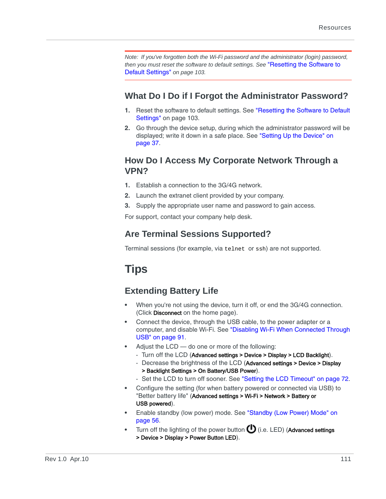*Note: If you've forgotten both the Wi-Fi password and the administrator (login) password, then you must reset the software to default settings. See* ["Resetting the Software to](#page-102-0)  [Default Settings"](#page-102-0) *on page 103.*

### <span id="page-110-0"></span>**What Do I Do if I Forgot the Administrator Password?**

- **1.** Reset the software to default settings. See ["Resetting the Software to Default](#page-102-0)  [Settings" on page 103.](#page-102-0)
- **2.** Go through the device setup, during which the administrator password will be displayed; write it down in a safe place. See ["Setting Up the Device" on](#page-36-0)  [page 37](#page-36-0).

### <span id="page-110-2"></span>**How Do I Access My Corporate Network Through a VPN?**

- **1.** Establish a connection to the 3G/4G network.
- **2.** Launch the extranet client provided by your company.
- **3.** Supply the appropriate user name and password to gain access.

For support, contact your company help desk.

# **Are Terminal Sessions Supported?**

<span id="page-110-4"></span>Terminal sessions (for example, via telnet or ssh) are not supported.

# <span id="page-110-3"></span>**Tips**

# <span id="page-110-1"></span>**Extending Battery Life**

- **•** When you're not using the device, turn it off, or end the 3G/4G connection. (Click Disconnect on the home page).
- **•** Connect the device, through the USB cable, to the power adapter or a computer, and disable Wi-Fi. See ["Disabling Wi-Fi When Connected Through](#page-90-0)  [USB" on page 91.](#page-90-0)
- **•** Adjust the LCD do one or more of the following:
	- **·** Turn off the LCD (Advanced settings > Device > Display > LCD Backlight).
	- **·** Decrease the brightness of the LCD (Advanced settings > Device > Display > Backlight Settings > On Battery/USB Power).
	- **·** Set the LCD to turn off sooner. See ["Setting the LCD Timeout" on page 72.](#page-71-0)
- **•** Configure the setting (for when battery powered or connected via USB) to "Better battery life" (Advanced settings > Wi-Fi > Network > Battery or USB powered).
- **•** Enable standby (low power) mode. See ["Standby \(Low Power\) Mode" on](#page-55-0)  [page 56](#page-55-0).
- Turn off the lighting of the power button  $\bigoplus$  (i.e. LED) (Advanced settings > Device > Display > Power Button LED).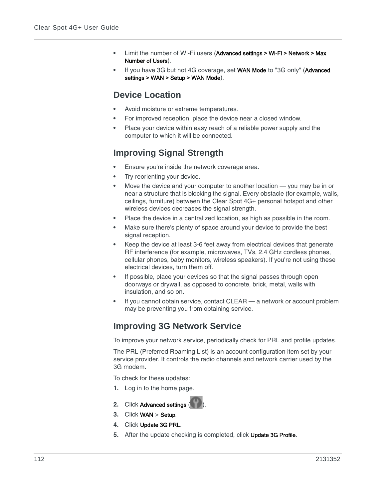- **•** Limit the number of Wi-Fi users (Advanced settings > Wi-Fi > Network > Max Number of Users).
- **•** If you have 3G but not 4G coverage, set WAN Mode to "3G only" (Advanced settings > WAN > Setup > WAN Mode).

### <span id="page-111-4"></span>**Device Location**

- **•** Avoid moisture or extreme temperatures.
- **•** For improved reception, place the device near a closed window.
- **•** Place your device within easy reach of a reliable power supply and the computer to which it will be connected.

# <span id="page-111-3"></span><span id="page-111-0"></span>**Improving Signal Strength**

- **•** Ensure you're inside the network coverage area.
- Try reorienting your device.
- **•** Move the device and your computer to another location you may be in or near a structure that is blocking the signal. Every obstacle (for example, walls, ceilings, furniture) between the Clear Spot 4G+ personal hotspot and other wireless devices decreases the signal strength.
- **•** Place the device in a centralized location, as high as possible in the room.
- **•** Make sure there's plenty of space around your device to provide the best signal reception.
- <span id="page-111-2"></span>**•** Keep the device at least 3-6 feet away from electrical devices that generate RF interference (for example, microwaves, TVs, 2.4 GHz cordless phones, cellular phones, baby monitors, wireless speakers). If you're not using these electrical devices, turn them off.
- **•** If possible, place your devices so that the signal passes through open doorways or drywall, as opposed to concrete, brick, metal, walls with insulation, and so on.
- **•** If you cannot obtain service, contact CLEAR a network or account problem may be preventing you from obtaining service.

## <span id="page-111-1"></span>**Improving 3G Network Service**

To improve your network service, periodically check for PRL and profile updates.

The PRL (Preferred Roaming List) is an account configuration item set by your service provider. It controls the radio channels and network carrier used by the 3G modem.

To check for these updates:

- **1.** Log in to the home page.
- **2.** Click Advanced settings
- **3.** Click WAN > Setup.
- **4.** Click Update 3G PRL.
- **5.** After the update checking is completed, click Update 3G Profile.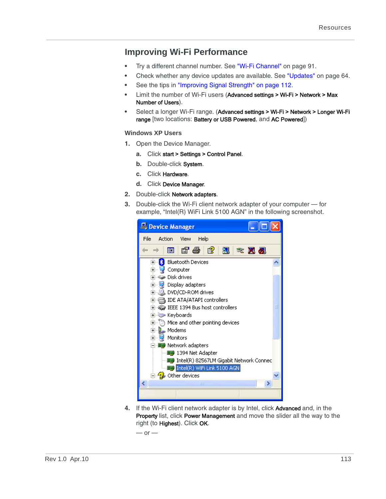### <span id="page-112-0"></span>**Improving Wi-Fi Performance**

- **•** Try a different channel number. See ["Wi-Fi Channel" on page 91.](#page-90-1)
- **•** Check whether any device updates are available. See ["Updates" on page 64.](#page-63-0)
- **•** See the tips in ["Improving Signal Strength" on page 112](#page-111-0).
- **•** Limit the number of Wi-Fi users (Advanced settings > Wi-Fi > Network > Max Number of Users).
- **•** Select a longer Wi-Fi range. (Advanced settings > Wi-Fi > Network > Longer Wi-Fi range [two locations: Battery or USB Powered, and AC Powered])

#### <span id="page-112-1"></span>**Windows XP Users**

- **1.** Open the Device Manager.
	- **a.** Click start > Settings > Control Panel.
	- **b.** Double-click System.
	- **c.** Click Hardware.
	- **d.** Click Device Manager.
- **2.** Double-click Network adapters.
- **3.** Double-click the Wi-Fi client network adapter of your computer for example, "Intel(R) WiFi Link 5100 AGN" in the following screenshot.



**4.** If the Wi-Fi client network adapter is by Intel, click Advanced and, in the Property list, click Power Management and move the slider all the way to the right (to Highest). Click OK.

 $-$  or  $-$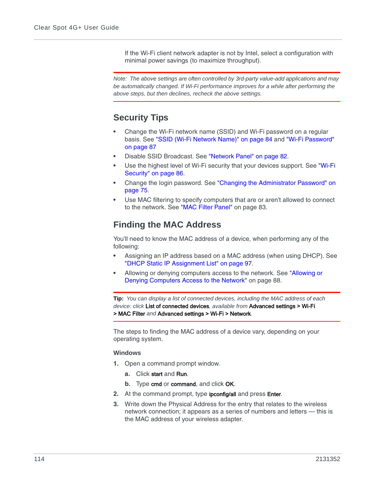If the Wi-Fi client network adapter is not by Intel, select a configuration with minimal power savings (to maximize throughput).

*Note: The above settings are often controlled by 3rd-party value-add applications and may be automatically changed. If Wi-Fi performance improves for a while after performing the above steps, but then declines, recheck the above settings.*

# <span id="page-113-1"></span>**Security Tips**

- **•** Change the Wi-Fi network name (SSID) and Wi-Fi password on a regular basis. See ["SSID \(Wi-Fi Network Name\)" on page 84](#page-83-0) and ["Wi-Fi Password"](#page-86-0)  [on page 87](#page-86-0)
- **•** Disable SSID Broadcast. See ["Network Panel" on page 82.](#page-81-0)
- **•** Use the highest level of Wi-Fi security that your devices support. See ["Wi-Fi](#page-85-0)  [Security" on page 86.](#page-85-0)
- **•** Change the login password. See ["Changing the Administrator Password" on](#page-74-0)  [page 75](#page-74-0).
- **•** Use MAC filtering to specify computers that are or aren't allowed to connect to the network. See ["MAC Filter Panel" on page 83.](#page-82-0)

## <span id="page-113-0"></span>**Finding the MAC Address**

You'll need to know the MAC address of a device, when performing any of the following:

- **•** Assigning an IP address based on a MAC address (when using DHCP). See ["DHCP Static IP Assignment List" on page 97.](#page-96-0)
- **•** Allowing or denying computers access to the network. See ["Allowing or](#page-87-1)  [Denying Computers Access to the Network" on page 88.](#page-87-1)

**Tip:** *You can display a list of connected devices, including the MAC address of each device: click* List of connected devices*, available from* Advanced settings > Wi-Fi > MAC Filter *and* Advanced settings > Wi-Fi > Network*.*

The steps to finding the MAC address of a device vary, depending on your operating system.

#### **Windows**

- **1.** Open a command prompt window.
	- **a.** Click start and Run.
	- **b.** Type cmd or command, and click OK.
- **2.** At the command prompt, type ipconfig/all and press Enter.
- **3.** Write down the Physical Address for the entry that relates to the wireless network connection; it appears as a series of numbers and letters — this is the MAC address of your wireless adapter.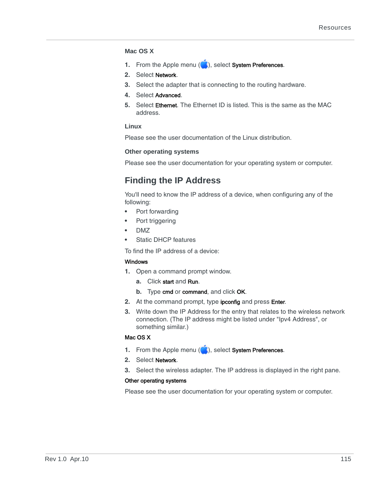#### **Mac OS X**

- **1.** From the Apple menu (**1)**, select **System Preferences**.
- **2.** Select Network.
- **3.** Select the adapter that is connecting to the routing hardware.
- **4.** Select Advanced.
- **5.** Select Ethernet. The Ethernet ID is listed. This is the same as the MAC address.

#### **Linux**

Please see the user documentation of the Linux distribution.

#### **Other operating systems**

Please see the user documentation for your operating system or computer.

## <span id="page-114-0"></span>**Finding the IP Address**

You'll need to know the IP address of a device, when configuring any of the following:

- **•** Port forwarding
- **•** Port triggering
- **•** DMZ
- **•** Static DHCP features

To find the IP address of a device:

#### **Windows**

- **1.** Open a command prompt window.
	- **a.** Click start and Run.
	- **b.** Type cmd or command, and click OK.
- **2.** At the command prompt, type ipconfig and press Enter.
- **3.** Write down the IP Address for the entry that relates to the wireless network connection. (The IP address might be listed under "Ipv4 Address", or something similar.)

#### Mac OS X

- **1.** From the Apple menu (**1)**, select System Preferences.
- **2.** Select Network.
- **3.** Select the wireless adapter. The IP address is displayed in the right pane.

#### Other operating systems

Please see the user documentation for your operating system or computer.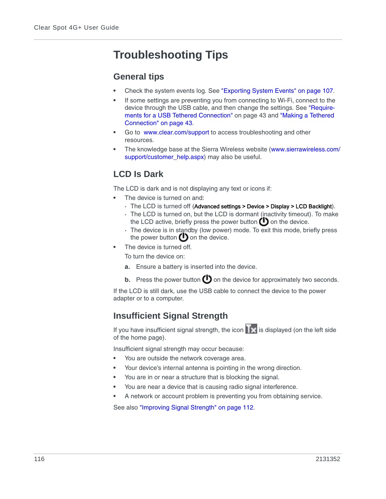# <span id="page-115-1"></span>**Troubleshooting Tips**

### **General tips**

- **•** Check the system events log. See ["Exporting System Events" on page 107](#page-106-0).
- **•** If some settings are preventing you from connecting to Wi-Fi, connect to the device through the USB cable, and then change the settings. See ["Require](#page-42-0)[ments for a USB Tethered Connection" on page 43](#page-42-0) and ["Making a Tethered](#page-42-1)  [Connection" on page 43.](#page-42-1)
- **•** Go to [www.clear.com/support](http://www.clear.com/support) to access troubleshooting and other resources.
- <span id="page-115-2"></span>**•** The knowledge base at the Sierra Wireless website [\(www.sierrawireless.com/](http://www.sierrawireless.com/support/customer_help.aspx) [support/customer\\_help.aspx\)](http://www.sierrawireless.com/support/customer_help.aspx) may also be useful.

# <span id="page-115-3"></span>**LCD Is Dark**

<span id="page-115-0"></span>The LCD is dark and is not displaying any text or icons if:

- **•** The device is turned on and:
	- **·** The LCD is turned off (Advanced settings > Device > Display > LCD Backlight).
	- **·** The LCD is turned on, but the LCD is dormant (inactivity timeout). To make the LCD active, briefly press the power button  $\bigoplus$  on the device.
	- **·** The device is in standby (low power) mode. To exit this mode, briefly press the power button  $\bigcup$  on the device.
- **•** The device is turned off.

To turn the device on:

- **a.** Ensure a battery is inserted into the device.
- **b.** Press the power button  $\bigoplus$  on the device for approximately two seconds.

If the LCD is still dark, use the USB cable to connect the device to the power adapter or to a computer.

# <span id="page-115-4"></span>**Insufficient Signal Strength**

If you have insufficient signal strength, the icon  $\mathbf{X}$  is displayed (on the left side of the home page).

Insufficient signal strength may occur because:

- **•** You are outside the network coverage area.
- **•** Your device's internal antenna is pointing in the wrong direction.
- **•** You are in or near a structure that is blocking the signal.
- **•** You are near a device that is causing radio signal interference.
- **•** A network or account problem is preventing you from obtaining service.

See also ["Improving Signal Strength" on page 112.](#page-111-0)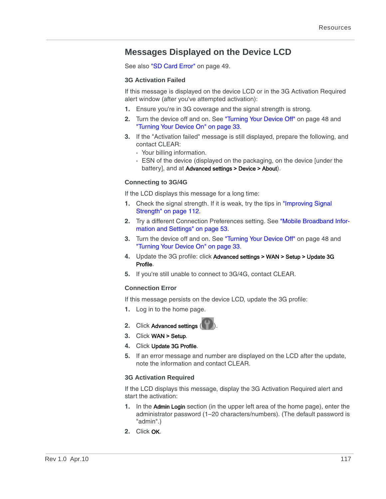## **Messages Displayed on the Device LCD**

See also ["SD Card Error" on page 49.](#page-48-0)

#### <span id="page-116-0"></span>**3G Activation Failed**

If this message is displayed on the device LCD or in the 3G Activation Required alert window (after you've attempted activation):

- **1.** Ensure you're in 3G coverage and the signal strength is strong.
- **2.** Turn the device off and on. See ["Turning Your Device Off" on page 48](#page-47-0) and ["Turning Your Device On" on page 33](#page-32-0).
- **3.** If the "Activation failed" message is still displayed, prepare the following, and contact CLEAR:
	- **·** Your billing information.
	- **·** ESN of the device (displayed on the packaging, on the device [under the battery], and at Advanced settings > Device > About).

#### <span id="page-116-2"></span>**Connecting to 3G/4G**

If the LCD displays this message for a long time:

- **1.** Check the signal strength. If it is weak, try the tips in ["Improving Signal](#page-111-0)  [Strength" on page 112.](#page-111-0)
- **2.** Try a different Connection Preferences setting. See ["Mobile Broadband Infor](#page-52-0)[mation and Settings" on page 53.](#page-52-0)
- **3.** Turn the device off and on. See ["Turning Your Device Off" on page 48](#page-47-0) and ["Turning Your Device On" on page 33](#page-32-0).
- **4.** Update the 3G profile: click Advanced settings > WAN > Setup > Update 3G Profile.
- **5.** If you're still unable to connect to 3G/4G, contact CLEAR.

#### <span id="page-116-3"></span>**Connection Error**

If this message persists on the device LCD, update the 3G profile:

- **1.** Log in to the home page.
- **2.** Click Advanced settings (
- **3.** Click WAN > Setup.
- **4.** Click Update 3G Profile.
- **5.** If an error message and number are displayed on the LCD after the update, note the information and contact CLEAR.

#### <span id="page-116-1"></span>**3G Activation Required**

If the LCD displays this message, display the 3G Activation Required alert and start the activation:

- **1.** In the Admin Login section (in the upper left area of the home page), enter the administrator password (1–20 characters/numbers). (The default password is "admin".)
- **2.** Click OK.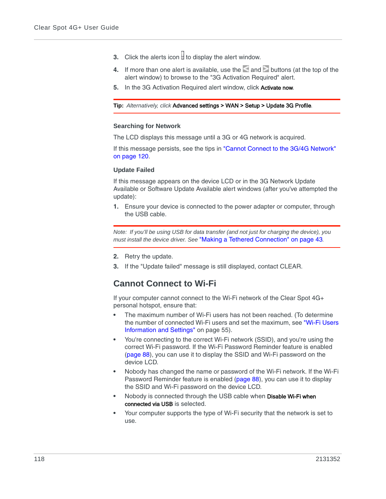- **3.** Click the alerts icon  $\mathbf{I}$  to display the alert window.
- **4.** If more than one alert is available, use the and buttons (at the top of the alert window) to browse to the "3G Activation Required" alert.
- **5.** In the 3G Activation Required alert window, click Activate now.

#### **Tip:** *Alternatively, click* Advanced settings > WAN > Setup > Update 3G Profile*.*

#### <span id="page-117-1"></span>**Searching for Network**

The LCD displays this message until a 3G or 4G network is acquired.

If this message persists, see the tips in ["Cannot Connect to the 3G/4G Network"](#page-119-0)  [on page 120.](#page-119-0)

#### <span id="page-117-2"></span>**Update Failed**

If this message appears on the device LCD or in the 3G Network Update Available or Software Update Available alert windows (after you've attempted the update):

**1.** Ensure your device is connected to the power adapter or computer, through the USB cable.

*Note: If you'll be using USB for data transfer (and not just for charging the device), you must install the device driver. See* ["Making a Tethered Connection" on page 43](#page-42-1)*.*

- **2.** Retry the update.
- **3.** If the "Update failed" message is still displayed, contact CLEAR.

### <span id="page-117-0"></span>**Cannot Connect to Wi-Fi**

If your computer cannot connect to the Wi-Fi network of the Clear Spot 4G+ personal hotspot, ensure that:

- **•** The maximum number of Wi-Fi users has not been reached. (To determine the number of connected Wi-Fi users and set the maximum, see ["Wi-Fi Users](#page-54-0)  [Information and Settings" on page 55\)](#page-54-0).
- **•** You're connecting to the correct Wi-Fi network (SSID), and you're using the correct Wi-Fi password. If the Wi-Fi Password Reminder feature is enabled [\(page 88](#page-87-0)), you can use it to display the SSID and Wi-Fi password on the device LCD.
- **•** Nobody has changed the name or password of the Wi-Fi network. If the Wi-Fi Password Reminder feature is enabled [\(page 88](#page-87-0)), you can use it to display the SSID and Wi-Fi password on the device LCD.
- **•** Nobody is connected through the USB cable when Disable Wi-Fi when connected via USB is selected.
- **•** Your computer supports the type of Wi-Fi security that the network is set to use.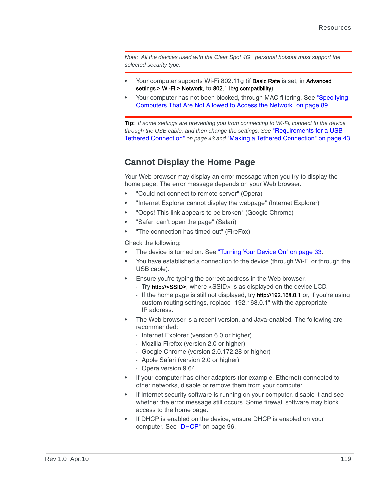*Note: All the devices used with the Clear Spot 4G+ personal hotspot must support the selected security type.* 

- **•** Your computer supports Wi-Fi 802.11g (if Basic Rate is set, in Advanced settings > Wi-Fi > Network, to 802.11b/g compatibility).
- **•** Your computer has not been blocked, through MAC filtering. See ["Specifying](#page-88-0)  [Computers That Are Not Allowed to Access the Network" on page 89](#page-88-0).

**Tip:** *If some settings are preventing you from connecting to Wi-Fi, connect to the device through the USB cable, and then change the settings. See* ["Requirements for a USB](#page-42-0)  [Tethered Connection"](#page-42-0) *on page 43 and* ["Making a Tethered Connection" on page 43](#page-42-1)*.*

## <span id="page-118-0"></span>**Cannot Display the Home Page**

Your Web browser may display an error message when you try to display the home page. The error message depends on your Web browser.

- <span id="page-118-1"></span>**•** "Could not connect to remote server" (Opera)
- <span id="page-118-4"></span><span id="page-118-3"></span>**•** "Internet Explorer cannot display the webpage" (Internet Explorer)
- **•** "Oops! This link appears to be broken" (Google Chrome)
- <span id="page-118-6"></span><span id="page-118-5"></span>**•** "Safari can't open the page" (Safari)
- **•** "The connection has timed out" (FireFox)

Check the following:

- The device is turned on. See ["Turning Your Device On" on page 33](#page-32-0).
- **•** You have established a connection to the device (through Wi-Fi or through the USB cable).
- **•** Ensure you're typing the correct address in the Web browser.
	- **·** Try http://<SSID>, where <SSID> is as displayed on the device LCD.
	- **·** If the home page is still not displayed, try http://192.168.0.1 or, if you're using custom routing settings, replace "192.168.0.1" with the appropriate IP address.
- **•** The Web browser is a recent version, and Java-enabled. The following are recommended:
	- **·** Internet Explorer (version 6.0 or higher)
	- **·** Mozilla Firefox (version 2.0 or higher)
	- **·** Google Chrome (version 2.0.172.28 or higher)
	- **·** Apple Safari (version 2.0 or higher)
	- **·** Opera version 9.64
- **•** If your computer has other adapters (for example, Ethernet) connected to other networks, disable or remove them from your computer.
- <span id="page-118-2"></span>**•** If Internet security software is running on your computer, disable it and see whether the error message still occurs. Some firewall software may block access to the home page.
- **•** If DHCP is enabled on the device, ensure DHCP is enabled on your computer. See ["DHCP" on page 96](#page-95-0).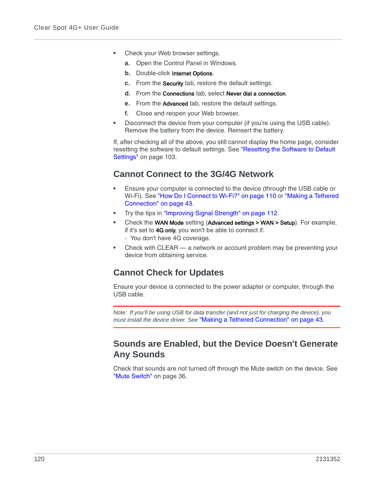- **•** Check your Web browser settings.
	- **a.** Open the Control Panel in Windows.
	- **b.** Double-click Internet Options.
	- **c.** From the Security tab, restore the default settings.
	- **d.** From the Connections tab, select Never dial a connection.
	- **e.** From the Advanced tab, restore the default settings.
	- **f.** Close and reopen your Web browser.
- **•** Disconnect the device from your computer (if you're using the USB cable). Remove the battery from the device. Reinsert the battery.

If, after checking all of the above, you still cannot display the home page, consider resetting the software to default settings. See ["Resetting the Software to Default](#page-102-0)  [Settings" on page 103.](#page-102-0)

## <span id="page-119-1"></span><span id="page-119-0"></span>**Cannot Connect to the 3G/4G Network**

- **•** Ensure your computer is connected to the device (through the USB cable or Wi-Fi). See ["How Do I Connect to Wi-Fi?" on page 110](#page-109-0) or ["Making a Tethered](#page-42-1)  [Connection" on page 43.](#page-42-1)
- **•** Try the tips in ["Improving Signal Strength" on page 112](#page-111-0).
- **•** Check the WAN Mode setting (Advanced settings > WAN > Setup). For example, if it's set to 4G only, you won't be able to connect if: **·** You don't have 4G coverage.
- **•** Check with CLEAR a network or account problem may be preventing your device from obtaining service.

## <span id="page-119-2"></span>**Cannot Check for Updates**

Ensure your device is connected to the power adapter or computer, through the USB cable.

*Note: If you'll be using USB for data transfer (and not just for charging the device), you must install the device driver. See* ["Making a Tethered Connection" on page 43](#page-42-1)*.*

### **Sounds are Enabled, but the Device Doesn't Generate Any Sounds**

Check that sounds are not turned off through the Mute switch on the device. See ["Mute Switch" on page 36](#page-35-0).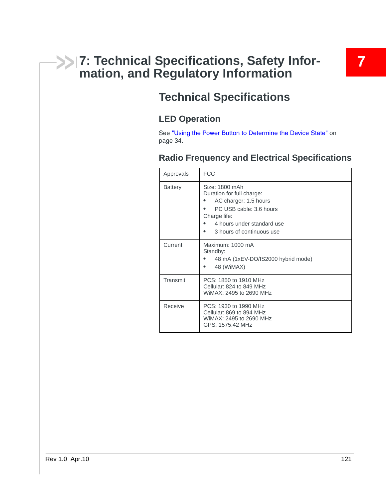# **7: Technical Specifications, Safety Infor- 7 mation, and Regulatory Information**

# **Technical Specifications**

# **LED Operation**

See ["Using the Power Button to Determine the Device State" on](#page-33-0)  [page 34](#page-33-0).

# <span id="page-120-3"></span>**Radio Frequency and Electrical Specifications**

<span id="page-120-5"></span><span id="page-120-4"></span><span id="page-120-2"></span><span id="page-120-1"></span><span id="page-120-0"></span>

| Approvals      | <b>FCC</b>                                                                                                                                                                 |
|----------------|----------------------------------------------------------------------------------------------------------------------------------------------------------------------------|
| <b>Battery</b> | Size: 1800 mAh<br>Duration for full charge:<br>AC charger: 1.5 hours<br>PC USB cable: 3.6 hours<br>Charge life:<br>4 hours under standard use<br>3 hours of continuous use |
| Current        | Maximum: 1000 mA<br>Standby:<br>48 mA (1xEV-DO/IS2000 hybrid mode)<br>48 (WiMAX)                                                                                           |
| Transmit       | PCS: 1850 to 1910 MHz<br>Cellular: 824 to 849 MHz<br>WiMAX: 2495 to 2690 MHz                                                                                               |
| Receive        | PCS: 1930 to 1990 MHz<br>Cellular: 869 to 894 MHz<br>WiMAX: 2495 to 2690 MHz<br>GPS: 1575.42 MHz                                                                           |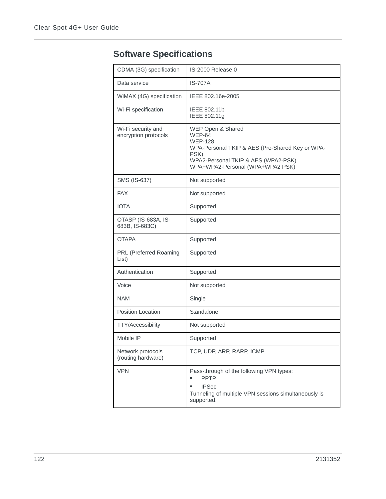<span id="page-121-6"></span>

<span id="page-121-9"></span><span id="page-121-8"></span><span id="page-121-7"></span><span id="page-121-5"></span><span id="page-121-4"></span><span id="page-121-3"></span><span id="page-121-2"></span><span id="page-121-1"></span><span id="page-121-0"></span>

| CDMA (3G) specification                    | IS-2000 Release 0                                                                                                                                                                          |
|--------------------------------------------|--------------------------------------------------------------------------------------------------------------------------------------------------------------------------------------------|
| Data service                               | <b>IS-707A</b>                                                                                                                                                                             |
| WiMAX (4G) specification                   | IEEE 802.16e-2005                                                                                                                                                                          |
| Wi-Fi specification                        | IEEE 802.11b<br>IEEE 802.11g                                                                                                                                                               |
| Wi-Fi security and<br>encryption protocols | WEP Open & Shared<br><b>WEP-64</b><br><b>WEP-128</b><br>WPA-Personal TKIP & AES (Pre-Shared Key or WPA-<br>PSK)<br>WPA2-Personal TKIP & AES (WPA2-PSK)<br>WPA+WPA2-Personal (WPA+WPA2 PSK) |
| SMS (IS-637)                               | Not supported                                                                                                                                                                              |
| <b>FAX</b>                                 | Not supported                                                                                                                                                                              |
| <b>IOTA</b>                                | Supported                                                                                                                                                                                  |
| OTASP (IS-683A, IS-<br>683B, IS-683C)      | Supported                                                                                                                                                                                  |
| <b>OTAPA</b>                               | Supported                                                                                                                                                                                  |
| PRL (Preferred Roaming<br>List)            | Supported                                                                                                                                                                                  |
| Authentication                             | Supported                                                                                                                                                                                  |
| Voice                                      | Not supported                                                                                                                                                                              |
| <b>NAM</b>                                 | Single                                                                                                                                                                                     |
| <b>Position Location</b>                   | Standalone                                                                                                                                                                                 |
| <b>TTY/Accessibility</b>                   | Not supported                                                                                                                                                                              |
| Mobile IP                                  | Supported                                                                                                                                                                                  |
| Network protocols<br>(routing hardware)    | TCP, UDP, ARP, RARP, ICMP                                                                                                                                                                  |
| <b>VPN</b>                                 | Pass-through of the following VPN types:<br><b>PPTP</b><br><b>IPSec</b><br>Tunneling of multiple VPN sessions simultaneously is<br>supported.                                              |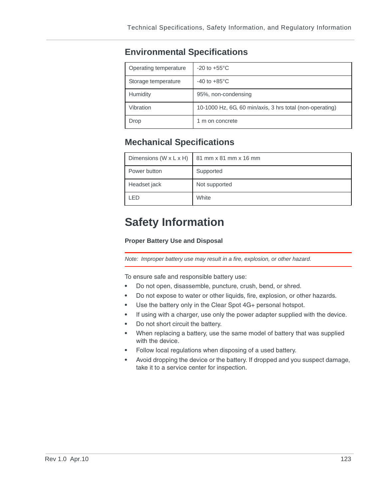# <span id="page-122-3"></span>**Environmental Specifications**

<span id="page-122-7"></span><span id="page-122-6"></span><span id="page-122-4"></span>

| Operating temperature | $-20$ to $+55^{\circ}$ C                                 |
|-----------------------|----------------------------------------------------------|
| Storage temperature   | $-40$ to $+85^{\circ}$ C                                 |
| Humidity              | 95%, non-condensing                                      |
| Vibration             | 10-1000 Hz, 6G, 60 min/axis, 3 hrs total (non-operating) |
| Drop                  | 1 m on concrete                                          |

# <span id="page-122-8"></span><span id="page-122-5"></span><span id="page-122-2"></span>**Mechanical Specifications**

<span id="page-122-1"></span>

|              | Dimensions (W $x$ L $x$ H) $\mid$ 81 mm $x$ 81 mm $x$ 16 mm |
|--------------|-------------------------------------------------------------|
| Power button | Supported                                                   |
| Headset jack | Not supported                                               |
| LED          | White                                                       |

# **Safety Information**

#### <span id="page-122-0"></span>**Proper Battery Use and Disposal**

*Note: Improper battery use may result in a fire, explosion, or other hazard.*

To ensure safe and responsible battery use:

- **•** Do not open, disassemble, puncture, crush, bend, or shred.
- **•** Do not expose to water or other liquids, fire, explosion, or other hazards.
- Use the battery only in the Clear Spot 4G+ personal hotspot.
- **•** If using with a charger, use only the power adapter supplied with the device.
- **•** Do not short circuit the battery.
- **•** When replacing a battery, use the same model of battery that was supplied with the device.
- **•** Follow local regulations when disposing of a used battery.
- **•** Avoid dropping the device or the battery. If dropped and you suspect damage, take it to a service center for inspection.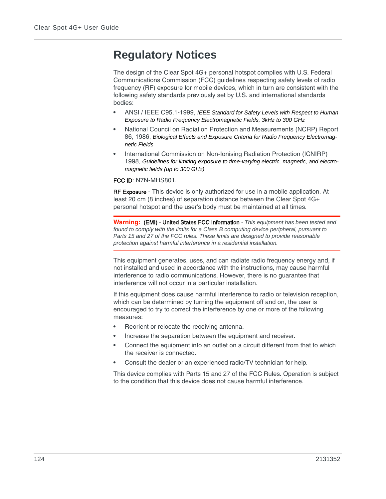# <span id="page-123-0"></span>**Regulatory Notices**

The design of the Clear Spot 4G+ personal hotspot complies with U.S. Federal Communications Commission (FCC) guidelines respecting safety levels of radio frequency (RF) exposure for mobile devices, which in turn are consistent with the following safety standards previously set by U.S. and international standards bodies:

- **•** ANSI / IEEE C95.1-1999, *IEEE Standard for Safety Levels with Respect to Human Exposure to Radio Frequency Electromagnetic Fields, 3kHz to 300 GHz*
- **•** National Council on Radiation Protection and Measurements (NCRP) Report 86, 1986, *Biological Effects and Exposure Criteria for Radio Frequency Electromagnetic Fields*
- **•** International Commission on Non-Ionising Radiation Protection (ICNIRP) 1998, *Guidelines for limiting exposure to time-varying electric, magnetic, and electromagnetic fields (up to 300 GHz)*

<span id="page-123-1"></span>FCC ID: N7N-MHS801.

**RF Exposure** - This device is only authorized for use in a mobile application. At least 20 cm (8 inches) of separation distance between the Clear Spot 4G+ personal hotspot and the user's body must be maintained at all times.

<span id="page-123-2"></span>**Warning:** (EMI) - United States FCC Information *- This equipment has been tested and found to comply with the limits for a Class B computing device peripheral, pursuant to Parts 15 and 27 of the FCC rules. These limits are designed to provide reasonable protection against harmful interference in a residential installation.*

This equipment generates, uses, and can radiate radio frequency energy and, if not installed and used in accordance with the instructions, may cause harmful interference to radio communications. However, there is no guarantee that interference will not occur in a particular installation.

If this equipment does cause harmful interference to radio or television reception, which can be determined by turning the equipment off and on, the user is encouraged to try to correct the interference by one or more of the following measures:

- **•** Reorient or relocate the receiving antenna.
- **•** Increase the separation between the equipment and receiver.
- **•** Connect the equipment into an outlet on a circuit different from that to which the receiver is connected.
- **•** Consult the dealer or an experienced radio/TV technician for help.

This device complies with Parts 15 and 27 of the FCC Rules. Operation is subject to the condition that this device does not cause harmful interference.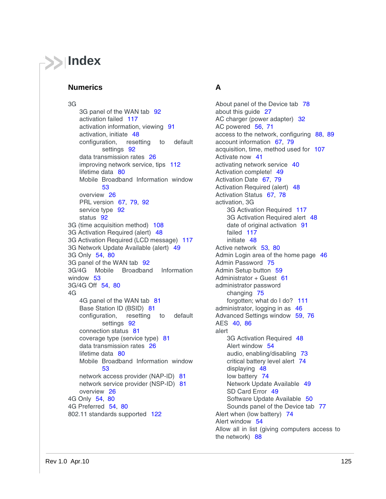# <span id="page-124-0"></span>**Index**

#### **Numerics**

#### 3G

3G panel of the WAN tab [92](#page-91-0) activation failed [117](#page-116-0) activation information, viewing [91](#page-90-2) activation, initiate [48](#page-47-1) configuration, resetting to default settings [92](#page-91-1) data transmission rates [26](#page-25-0) improving network service, tips [112](#page-111-1) lifetime data [80](#page-79-0) Mobile Broadband Information window [53](#page-52-1) overview [26](#page-25-1) PRL version [67](#page-66-0), [79](#page-78-0), [92](#page-91-2) service type [92](#page-91-3) status [92](#page-91-4) 3G (time acquisition method) [108](#page-107-0) 3G Activation Required (alert) [48](#page-47-2) 3G Activation Required (LCD message) [117](#page-116-1) 3G Network Update Available (alert) [49](#page-48-1) 3G Only [54](#page-53-0), [80](#page-79-1) 3G panel of the WAN tab [92](#page-91-0) 3G/4G Mobile Broadband Information window [53](#page-52-1) 3G/4G Off [54](#page-53-0), [80](#page-79-1) 4G 4G panel of the WAN tab [81](#page-80-0) Base Station ID (BSID) [81](#page-80-1) configuration, resetting to default settings [92](#page-91-1) connection status [81](#page-80-2) coverage type (service type) [81](#page-80-3) data transmission rates [26](#page-25-0) lifetime data [80](#page-79-0) Mobile Broadband Information window [53](#page-52-1) network access provider (NAP-ID) [81](#page-80-4) network service provider (NSP-ID) [81](#page-80-5) overview [26](#page-25-1) 4G Only [54](#page-53-0), [80](#page-79-1) 4G Preferred [54](#page-53-0), [80](#page-79-1) 802.11 standards supported [122](#page-121-0)

### **A**

About panel of the Device tab [78](#page-77-0) about this guide [27](#page-26-0) AC charger (power adapter) [32](#page-31-0) AC powered [56](#page-55-1), [71](#page-70-0) access to the network, configuring [88](#page-87-1), [89](#page-88-1) account information [67](#page-66-0), [79](#page-78-0) acquisition, time, method used for [107](#page-106-1) Activate now [41](#page-40-0) activating network service [40](#page-39-0) Activation complete! [49](#page-48-2) Activation Date [67](#page-66-1), [79](#page-78-1) Activation Required (alert) [48](#page-47-2) Activation Status [67](#page-66-2), [78](#page-77-1) activation, 3G 3G Activation Required [117](#page-116-1) 3G Activation Required alert [48](#page-47-1) date of original activation [91](#page-90-3) failed [117](#page-116-0) initiate [48](#page-47-1) Active network [53](#page-52-2), [80](#page-79-2) Admin Login area of the home page [46](#page-45-0) Admin Password [75](#page-74-1) Admin Setup button [59](#page-58-0) Administrator + Guest  $61$ administrator password changing [75](#page-74-0) forgotten; what do I do? [111](#page-110-0) administrator, logging in as [46](#page-45-1) Advanced Settings window [59](#page-58-1), [76](#page-75-0) AES [40](#page-39-1), [86](#page-85-1) alert 3G Activation Required [48](#page-47-2) Alert window [54](#page-53-1) audio, enabling/disabling [73](#page-72-0) critical battery level alert [74](#page-73-0) displaying [48](#page-47-3) low battery [74](#page-73-1) Network Update Available [49](#page-48-1) SD Card Error [49](#page-48-3) Software Update Available [50](#page-49-0) Sounds panel of the Device tab [77](#page-76-0) Alert when (low battery) [74](#page-73-2) Alert window [54](#page-53-1) Allow all in list (giving computers access to the network) [88](#page-87-2)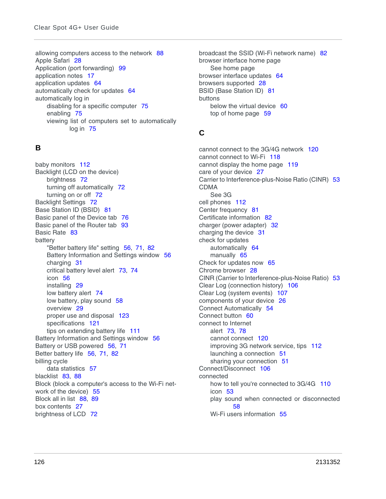allowing computers access to the network [88](#page-87-3) Apple Safari [28](#page-27-0) Application (port forwarding) [99](#page-98-0) application notes [17](#page-16-0) application updates [64](#page-63-1) automatically check for updates [64](#page-63-2) automatically log in disabling for a specific computer [75](#page-74-2) enabling [75](#page-74-3) viewing list of computers set to automatically log in [75](#page-74-4)

#### **B**

baby monitors [112](#page-111-2) Backlight (LCD on the device) brightness [72](#page-71-1) turning off automatically [72](#page-71-2) turning on or off [72](#page-71-3) Backlight Settings [72](#page-71-1) Base Station ID (BSID) [81](#page-80-1) Basic panel of the Device tab [76](#page-75-1) Basic panel of the Router tab [93](#page-92-0) Basic Rate [83](#page-82-1) battery "Better battery life" setting [56](#page-55-2), [71](#page-70-1), [82](#page-81-1) Battery Information and Settings window [56](#page-55-3) charging [31](#page-30-0) critical battery level alert [73](#page-72-0), [74](#page-73-0) icon [56](#page-55-4) installing [29](#page-28-0) low battery alert [74](#page-73-1) low battery, play sound [58](#page-57-0) overview [29](#page-28-1) proper use and disposal [123](#page-122-0) specifications [121](#page-120-0) tips on extending battery life [111](#page-110-1) Battery Information and Settings window [56](#page-55-3) Battery or USB powered [56](#page-55-5), [71](#page-70-2) Better battery life [56](#page-55-2), [71](#page-70-1), [82](#page-81-1) billing cycle data statistics [57](#page-56-0) blacklist [83](#page-82-2), [88](#page-87-4) Block (block a computer's access to the Wi-Fi network of the device) [55](#page-54-1) Block all in list [88](#page-87-5), [89](#page-88-2) box contents [27](#page-26-1) brightness of LCD [72](#page-71-4)

broadcast the SSID (Wi-Fi network name) [82](#page-81-2) browser interface home page [See home page](#page-124-0) browser interface updates [64](#page-63-1) browsers supported [28](#page-27-1) BSID (Base Station ID) [81](#page-80-1) buttons below the virtual device [60](#page-59-0) top of home page [59](#page-58-2)

## **C**

cannot connect to the 3G/4G network [120](#page-119-1) cannot connect to Wi-Fi [118](#page-117-0) cannot display the home page [119](#page-118-0) care of your device [27](#page-26-2) Carrier to Interference-plus-Noise Ratio (CINR) [53](#page-52-3) CDMA [See 3G](#page-124-0) cell phones [112](#page-111-2) Center frequency [81](#page-80-6) Certificate information [82](#page-81-3) charger (power adapter) [32](#page-31-0) charging the device [31](#page-30-0) check for updates automatically [64](#page-63-2) manually [65](#page-64-0) Check for updates now [65](#page-64-1) Chrome browser [28](#page-27-2) CINR (Carrier to Interference-plus-Noise Ratio) [53](#page-52-3) Clear Log (connection history) [106](#page-105-0) Clear Log (system events) [107](#page-106-2) components of your device [26](#page-25-2) Connect Automatically [54](#page-53-2) Connect button [60](#page-59-1) connect to Internet alert [73](#page-72-1), [78](#page-77-2) cannot connect [120](#page-119-1) improving 3G network service, tips [112](#page-111-1) launching a connection [51](#page-50-0) sharing your connection [51](#page-50-1) Connect/Disconnect [106](#page-105-1) connected how to tell you're connected to 3G/4G [110](#page-109-1) icon [53](#page-52-4) play sound when connected or disconnected [58](#page-57-1) Wi-Fi users information [55](#page-54-0)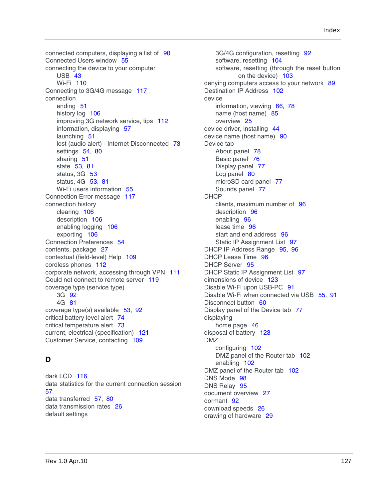connected computers, displaying a list of [90](#page-89-0) Connected Users window [55](#page-54-2) connecting the device to your computer USB [43](#page-42-1) Wi-Fi [110](#page-109-2) Connecting to 3G/4G message [117](#page-116-2) connection ending [51](#page-50-2) history log [106](#page-105-2) improving 3G network service, tips [112](#page-111-1) information, displaying [57](#page-56-1) launching [51](#page-50-0) lost (audio alert) - Internet Disconnected [73](#page-72-2) settings [54](#page-53-0), [80](#page-79-1) sharing [51](#page-50-1) state [53](#page-52-5), [81](#page-80-2) status, 3G [53](#page-52-5) status, 4G [53](#page-52-5), [81](#page-80-0) Wi-Fi users information [55](#page-54-0) Connection Error message [117](#page-116-3) connection history clearing [106](#page-105-3) description [106](#page-105-2) enabling logging [106](#page-105-4) exporting [106](#page-105-5) Connection Preferences [54](#page-53-3) contents, package [27](#page-26-1) contextual (field-level) Help [109](#page-108-0) cordless phones [112](#page-111-2) corporate network, accessing through VPN [111](#page-110-2) Could not connect to remote server [119](#page-118-1) coverage type (service type) 3G [92](#page-91-3) 4G [81](#page-80-3) coverage type(s) available [53](#page-52-6), [92](#page-91-5) critical battery level alert [74](#page-73-0) critical temperature alert [73](#page-72-0) current, electrical (specification) [121](#page-120-1) Customer Service, contacting [109](#page-108-1)

#### **D**

dark LCD [116](#page-115-0) data statistics for the current connection session [57](#page-56-2) data transferred [57](#page-56-2), [80](#page-79-0) data transmission rates [26](#page-25-0) default settings

3G/4G configuration, resetting [92](#page-91-1) software, resetting [104](#page-103-0) software, resetting (through the reset button on the device) [103](#page-102-0) denying computers access to your network [89](#page-88-0) Destination IP Address [102](#page-101-0) device information, viewing [66](#page-65-0), [78](#page-77-3) name (host name) [85](#page-84-0) overview [25](#page-24-0) device driver, installing [44](#page-43-0) device name (host name) [90](#page-89-1) Device tab About panel [78](#page-77-0) Basic panel [76](#page-75-1) Display panel [77](#page-76-1) Log panel [80](#page-79-3) microSD card panel [77](#page-76-2) Sounds panel [77](#page-76-0) DHCP clients, maximum number of [96](#page-95-1) description [96](#page-95-0) enabling [96](#page-95-2) lease time [96](#page-95-3) start and end address [96](#page-95-1) Static IP Assignment List [97](#page-96-0) DHCP IP Address Range [95](#page-94-0), [96](#page-95-1) DHCP Lease Time [96](#page-95-3) DHCP Server [95](#page-94-1) DHCP Static IP Assignment List [97](#page-96-1) dimensions of device [123](#page-122-1) Disable Wi-Fi upon USB-PC [91](#page-90-4) Disable Wi-Fi when connected via USB [55](#page-54-3), [91](#page-90-5) Disconnect button [60](#page-59-1) Display panel of the Device tab [77](#page-76-1) displaying home page [46](#page-45-2) disposal of battery [123](#page-122-0) DMZ configuring [102](#page-101-1) DMZ panel of the Router tab [102](#page-101-2) enabling [102](#page-101-3) DMZ panel of the Router tab [102](#page-101-2) DNS Mode [98](#page-97-0) DNS Relay [95](#page-94-2) document overview [27](#page-26-0) dormant [92](#page-91-6) download speeds [26](#page-25-0) drawing of hardware [29](#page-28-2)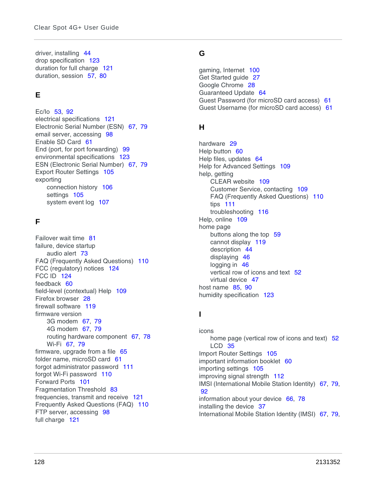driver, installing [44](#page-43-0) drop specification [123](#page-122-2) duration for full charge [121](#page-120-2) duration, session [57](#page-56-3), [80](#page-79-4)

## **E**

Ec/Io [53](#page-52-7), [92](#page-91-5) electrical specifications [121](#page-120-3) Electronic Serial Number (ESN) [67](#page-66-3), [79](#page-78-2) email server, accessing [98](#page-97-1) Enable SD Card [61](#page-60-1) End (port, for port forwarding) [99](#page-98-1) environmental specifications [123](#page-122-3) ESN (Electronic Serial Number) [67](#page-66-3), [79](#page-78-2) Export Router Settings [105](#page-104-0) exporting connection history [106](#page-105-5) settings [105](#page-104-0) system event log [107](#page-106-0)

### **F**

Failover wait time [81](#page-80-7) failure, device startup audio alert [73](#page-72-0) FAQ (Frequently Asked Questions) [110](#page-109-3) FCC (regulatory) notices [124](#page-123-0) FCC ID [124](#page-123-1) feedback [60](#page-59-2) field-level (contextual) Help [109](#page-108-0) Firefox browser [28](#page-27-3) firewall software [119](#page-118-2) firmware version 3G modem [67](#page-66-4), [79](#page-78-3) 4G modem [67](#page-66-5), [79](#page-78-4) routing hardware component [67](#page-66-6), [78](#page-77-4) Wi-Fi [67](#page-66-7), [79](#page-78-5) firmware, upgrade from a file [65](#page-64-2) folder name, microSD card [61](#page-60-2) forgot administrator password [111](#page-110-0) forgot Wi-Fi password [110](#page-109-4) Forward Ports [101](#page-100-0) Fragmentation Threshold [83](#page-82-3) frequencies, transmit and receive [121](#page-120-4) Frequently Asked Questions (FAQ) [110](#page-109-3) FTP server, accessing [98](#page-97-1) full charge [121](#page-120-2)

#### **G**

gaming, Internet [100](#page-99-0) Get Started guide [27](#page-26-3) Google Chrome [28](#page-27-2) Guaranteed Update [64](#page-63-3) Guest Password (for microSD card access) [61](#page-60-3) Guest Username (for microSD card access) [61](#page-60-3)

#### **H**

hardware [29](#page-28-2) Help button [60](#page-59-3) Help files, updates [64](#page-63-1) Help for Advanced Settings [109](#page-108-2) help, getting CLEAR website [109](#page-108-3) Customer Service, contacting [109](#page-108-1) FAQ (Frequently Asked Questions) [110](#page-109-3) tips [111](#page-110-3) troubleshooting [116](#page-115-1) Help, online [109](#page-108-4) home page buttons along the top [59](#page-58-2) cannot display [119](#page-118-0) description [44](#page-43-1) displaying [46](#page-45-2) logging in [46](#page-45-1) vertical row of icons and text [52](#page-51-0) virtual device [47](#page-46-0) host name [85](#page-84-0), [90](#page-89-1) humidity specification [123](#page-122-4)

### **I**

icons home page (vertical row of icons and text) [52](#page-51-0) LCD<sub>35</sub> Import Router Settings [105](#page-104-1) important information booklet [60](#page-59-4) importing settings [105](#page-104-1) improving signal strength [112](#page-111-3) IMSI (International Mobile Station Identity) [67](#page-66-8), [79](#page-78-6),  [92](#page-91-7) information about your device [66](#page-65-0), [78](#page-77-3) installing the device [37](#page-36-0) International Mobile Station Identity (IMSI) [67](#page-66-8), [79](#page-78-6),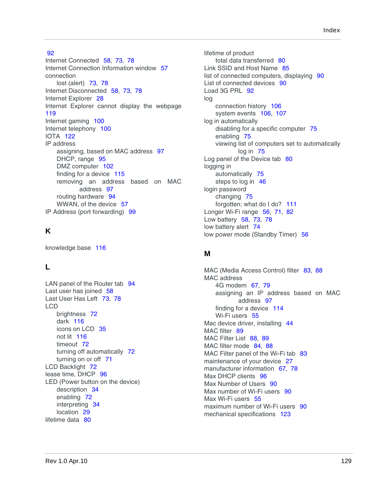#### [92](#page-91-7)

Internet Connected [58](#page-57-1), [73](#page-72-1), [78](#page-77-2) Internet Connection Information window [57](#page-56-1) connection lost (alert) [73](#page-72-2), [78](#page-77-5) Internet Disconnected [58](#page-57-2), [73](#page-72-2), [78](#page-77-5) Internet Explorer [28](#page-27-4) Internet Explorer cannot display the webpage [119](#page-118-3) Internet gaming [100](#page-99-0) Internet telephony [100](#page-99-0) IOTA [122](#page-121-1) IP address assigning, based on MAC address [97](#page-96-2) DHCP, range [95](#page-94-0) DMZ computer [102](#page-101-0) finding for a device [115](#page-114-0) removing an address based on MAC address [97](#page-96-3) routing hardware [94](#page-93-0) WWAN, of the device [57](#page-56-4) IP Address (port forwarding) [99](#page-98-2)

### **K**

knowledge base [116](#page-115-2)

### **L**

LAN panel of the Router tab [94](#page-93-1) Last user has joined [58](#page-57-3) Last User Has Left [73](#page-72-3), [78](#page-77-6) LCD brightness [72](#page-71-4) dark [116](#page-115-0) icons on LCD [35](#page-34-0) not lit [116](#page-115-3) timeout [72](#page-71-0) turning off automatically [72](#page-71-0) turning on or off [71](#page-70-3) LCD Backlight [72](#page-71-3) lease time, DHCP [96](#page-95-3) LED (Power button on the device) description [34](#page-33-1) enabling [72](#page-71-5) interpreting [34](#page-33-0) location [29](#page-28-2) lifetime data [80](#page-79-0)

lifetime of product total data transferred [80](#page-79-0) Link SSID and Host Name [85](#page-84-1) list of connected computers, displaying [90](#page-89-0) List of connected devices [90](#page-89-2) Load 3G PRL [92](#page-91-8) log connection history [106](#page-105-2) system events [106](#page-105-6), [107](#page-106-3) log in automatically disabling for a specific computer [75](#page-74-2) enabling [75](#page-74-3) viewing list of computers set to automatically log in [75](#page-74-4) Log panel of the Device tab [80](#page-79-3) logging in automatically [75](#page-74-3) steps to log in [46](#page-45-1) login password changing [75](#page-74-0) forgotten; what do I do? [111](#page-110-0) Longer Wi-Fi range [56](#page-55-6), [71](#page-70-4), [82](#page-81-4) Low battery [58](#page-57-0), [73](#page-72-4), [78](#page-77-7) low battery alert [74](#page-73-1) low power mode (Standby Timer) [56](#page-55-7)

#### **M**

MAC (Media Access Control) filter [83](#page-82-2), [88](#page-87-4) MAC address 4G modem [67](#page-66-9), [79](#page-78-7) assigning an IP address based on MAC address [97](#page-96-2) finding for a device [114](#page-113-0) Wi-Fi users [55](#page-54-4) Mac device driver, installing [44](#page-43-2) MAC filter [89](#page-88-3) MAC Filter List [88](#page-87-6), [89](#page-88-4) MAC filter mode [84](#page-83-1), [88](#page-87-6) MAC Filter panel of the Wi-Fi tab [83](#page-82-0) maintenance of your device [27](#page-26-2) manufacturer information [67](#page-66-10), [78](#page-77-8) Max DHCP clients [96](#page-95-1) Max Number of Users [90](#page-89-3) Max number of Wi-Fi users [90](#page-89-3) Max Wi-Fi users [55](#page-54-5) maximum number of Wi-Fi users [90](#page-89-4) mechanical specifications [123](#page-122-5)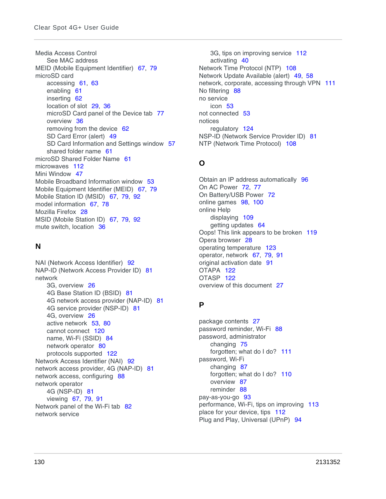Media Access Control [See MAC address](#page-124-0) MEID (Mobile Equipment Identifier) [67](#page-66-3), [79](#page-78-2) microSD card accessing [61](#page-60-4), [63](#page-62-0) enabling [61](#page-60-5) inserting [62](#page-61-0) location of slot [29](#page-28-2), [36](#page-35-1) microSD Card panel of the Device tab [77](#page-76-2) overview [36](#page-35-1) removing from the device [62](#page-61-1) SD Card Error (alert) [49](#page-48-3) SD Card Information and Settings window [57](#page-56-5) shared folder name [61](#page-60-2) microSD Shared Folder Name [61](#page-60-2) microwaves [112](#page-111-2) Mini Window [47](#page-46-1) Mobile Broadband Information window [53](#page-52-1) Mobile Equipment Identifier (MEID) [67](#page-66-3), [79](#page-78-2) Mobile Station ID (MSID) [67](#page-66-11), [79](#page-78-8), [92](#page-91-9) model information [67](#page-66-12), [78](#page-77-9) Mozilla Firefox [28](#page-27-3) MSID (Mobile Station ID) [67](#page-66-11), [79](#page-78-8), [92](#page-91-9) mute switch, location [36](#page-35-0)

### **N**

NAI (Network Access Identifier) [92](#page-91-10) NAP-ID (Network Access Provider ID) [81](#page-80-4) network 3G, overview [26](#page-25-1) 4G Base Station ID (BSID) [81](#page-80-1) 4G network access provider (NAP-ID) [81](#page-80-4) 4G service provider (NSP-ID) [81](#page-80-5) 4G, overview [26](#page-25-1) active network [53](#page-52-2), [80](#page-79-2) cannot connect [120](#page-119-1) name, Wi-Fi (SSID) [84](#page-83-0) network operator [80](#page-79-5) protocols supported [122](#page-121-2) Network Access Identifier (NAI) [92](#page-91-10) network access provider, 4G (NAP-ID) [81](#page-80-4) network access, configuring [88](#page-87-1) network operator 4G (NSP-ID) [81](#page-80-5) viewing [67](#page-66-13), [79](#page-78-9), [91](#page-90-6) Network panel of the Wi-Fi tab [82](#page-81-0) network service

3G, tips on improving service [112](#page-111-1) activating [40](#page-39-0) Network Time Protocol (NTP) [108](#page-107-1) Network Update Available (alert) [49](#page-48-1), [58](#page-57-4) network, corporate, accessing through VPN [111](#page-110-2) No filtering [88](#page-87-7) no service icon [53](#page-52-8) not connected [53](#page-52-9) notices regulatory [124](#page-123-0) NSP-ID (Network Service Provider ID) [81](#page-80-5) NTP (Network Time Protocol) [108](#page-107-1)

# **O**

Obtain an IP address automatically [96](#page-95-4) On AC Power [72](#page-71-6), [77](#page-76-3) On Battery/USB Power [72](#page-71-7) online games [98](#page-97-2), [100](#page-99-0) online Help displaying [109](#page-108-4) getting updates [64](#page-63-1) Oops! This link appears to be broken [119](#page-118-4) Opera browser [28](#page-27-5) operating temperature [123](#page-122-6) operator, network [67](#page-66-13), [79](#page-78-9), [91](#page-90-6) original activation date [91](#page-90-3) OTAPA [122](#page-121-3) OTASP [122](#page-121-4) overview of this document [27](#page-26-0)

### **P**

package contents [27](#page-26-1) password reminder, Wi-Fi [88](#page-87-0) password, administrator changing [75](#page-74-0) forgotten; what do I do? [111](#page-110-0) password, Wi-Fi changing [87](#page-86-0) forgotten; what do I do? [110](#page-109-4) overview [87](#page-86-0) reminder [88](#page-87-0) pay-as-you-go [93](#page-92-1) performance, Wi-Fi, tips on improving [113](#page-112-0) place for your device, tips [112](#page-111-4) Plug and Play, Universal (UPnP) [94](#page-93-2)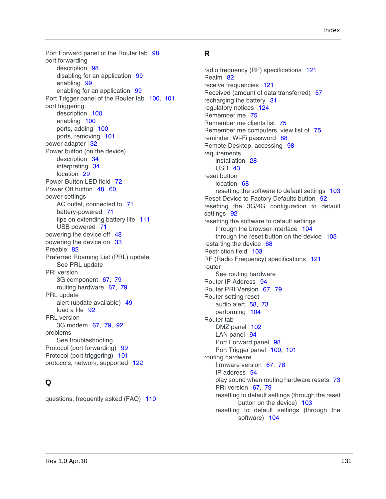Port Forward panel of the Router tab [98](#page-97-3) port forwarding description [98](#page-97-3) disabling for an application [99](#page-98-3) enabling [99](#page-98-4) enabling for an application [99](#page-98-5) Port Trigger panel of the Router tab [100](#page-99-1), [101](#page-100-1) port triggering description [100](#page-99-1) enabling [100](#page-99-2) ports, adding [100](#page-99-3) ports, removing [101](#page-100-1) power adapter [32](#page-31-0) Power button (on the device) description [34](#page-33-1) interpreting [34](#page-33-0) location [29](#page-28-2) Power Button LED field [72](#page-71-8) Power Off button [48](#page-47-4), [60](#page-59-5) power settings AC outlet, connected to [71](#page-70-5) battery-powered [71](#page-70-6) tips on extending battery life [111](#page-110-1) USB powered [71](#page-70-6) powering the device off [48](#page-47-0) powering the device on [33](#page-32-0) Preable [82](#page-81-5) Preferred Roaming List (PRL) update [See PRL update](#page-124-0) PRI version 3G component [67](#page-66-14), [79](#page-78-10) routing hardware [67](#page-66-15), [79](#page-78-11) PRL update alert (update available) [49](#page-48-4) load a file [92](#page-91-8) PRL version 3G modem [67](#page-66-0), [79](#page-78-0), [92](#page-91-2) problems [See troubleshooting](#page-124-0) Protocol (port forwarding) [99](#page-98-6) Protocol (port triggering) [101](#page-100-2) protocols, network, supported [122](#page-121-2)

# **Q**

questions, frequently asked (FAQ) [110](#page-109-3)

### **R**

radio frequency (RF) specifications [121](#page-120-3) Realm [82](#page-81-6) receive frequencies [121](#page-120-5) Received (amount of data transferred) [57](#page-56-2) recharging the battery [31](#page-30-0) regulatory notices [124](#page-123-0) Remember me [75](#page-74-5) Remember me clients list [75](#page-74-6) Remember me computers, view list of [75](#page-74-4) reminder, Wi-Fi password [88](#page-87-0) Remote Desktop, accessing [98](#page-97-4) requirements installation [28](#page-27-6) USB [43](#page-42-0) reset button location [68](#page-67-0) resetting the software to default settings [103](#page-102-0) Reset Device to Factory Defaults button [92](#page-91-11) resetting the 3G/4G configuration to default settings [92](#page-91-1) resetting the software to default settings through the browser interface [104](#page-103-0) through the reset button on the device [103](#page-102-0) restarting the device [68](#page-67-1) Restriction field [103](#page-102-1) RF (Radio Frequency) specifications [121](#page-120-3) router [See routing hardware](#page-124-0) Router IP Address [94](#page-93-0) Router PRI Version [67](#page-66-15), [79](#page-78-11) Router setting reset audio alert [58](#page-57-4), [73](#page-72-0) performing [104](#page-103-1) Router tab DMZ panel [102](#page-101-2) LAN panel [94](#page-93-1) Port Forward panel [98](#page-97-3) Port Trigger panel [100](#page-99-1), [101](#page-100-1) routing hardware firmware version [67](#page-66-6), [78](#page-77-4) IP address [94](#page-93-0) play sound when routing hardware resets [73](#page-72-0) PRI version [67](#page-66-15), [79](#page-78-11) resetting to default settings (through the reset button on the device) [103](#page-102-0) resetting to default settings (through the software) [104](#page-103-0)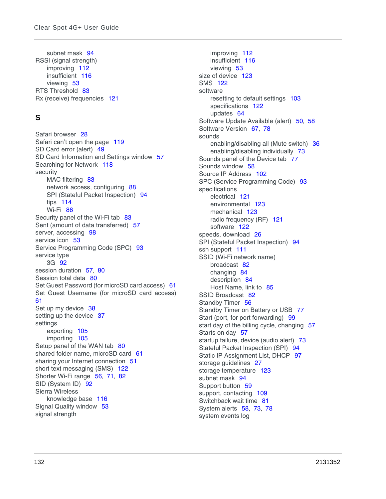subnet mask [94](#page-93-3) RSSI (signal strength) improving [112](#page-111-3) insufficient [116](#page-115-4) viewing [53](#page-52-10) RTS Threshold [83](#page-82-4) Rx (receive) frequencies [121](#page-120-5)

## **S**

Safari browser [28](#page-27-0) Safari can't open the page [119](#page-118-5) SD Card error (alert) [49](#page-48-3) SD Card Information and Settings window [57](#page-56-5) Searching for Network [118](#page-117-1) security MAC filtering [83](#page-82-0) network access, configuring [88](#page-87-1) SPI (Stateful Packet Inspection) [94](#page-93-4) tips [114](#page-113-1) Wi-Fi [86](#page-85-0) Security panel of the Wi-Fi tab [83](#page-82-5) Sent (amount of data transferred) [57](#page-56-2) server, accessing [98](#page-97-1) service icon [53](#page-52-9) Service Programming Code (SPC) [93](#page-92-2) service type 3G [92](#page-91-3) session duration [57](#page-56-3), [80](#page-79-4) Session total data [80](#page-79-0) Set Guest Password (for microSD card access) [61](#page-60-3) Set Guest Username (for microSD card access) [61](#page-60-3) Set up my device [38](#page-37-0) setting up the device [37](#page-36-0) settings exporting [105](#page-104-0) importing [105](#page-104-1) Setup panel of the WAN tab [80](#page-79-6) shared folder name, microSD card [61](#page-60-2) sharing your Internet connection [51](#page-50-1) short text messaging (SMS) [122](#page-121-5) Shorter Wi-Fi range [56](#page-55-1), [71](#page-70-0), [82](#page-81-7) SID (System ID) [92](#page-91-12) Sierra Wireless knowledge base [116](#page-115-2) Signal Quality window [53](#page-52-11) signal strength

improving [112](#page-111-3) insufficient [116](#page-115-4) viewing [53](#page-52-10) size of device [123](#page-122-5) SMS [122](#page-121-5) software resetting to default settings [103](#page-102-0) specifications [122](#page-121-6) updates [64](#page-63-0) Software Update Available (alert) [50](#page-49-0), [58](#page-57-4) Software Version [67](#page-66-6), [78](#page-77-4) sounds enabling/disabling all (Mute switch) [36](#page-35-0) enabling/disabling individually [73](#page-72-0) Sounds panel of the Device tab [77](#page-76-0) Sounds window [58](#page-57-5) Source IP Address [102](#page-101-4) SPC (Service Programming Code) [93](#page-92-2) specifications electrical [121](#page-120-3) environmental [123](#page-122-3) mechanical [123](#page-122-5) radio frequency (RF) [121](#page-120-3) software [122](#page-121-6) speeds, download [26](#page-25-0) SPI (Stateful Packet Inspection) [94](#page-93-4) ssh support [111](#page-110-4) SSID (Wi-Fi network name) broadcast [82](#page-81-2) changing [84](#page-83-0) description [84](#page-83-0) Host Name, link to [85](#page-84-1) SSID Broadcast [82](#page-81-2) Standby Timer [56](#page-55-7) Standby Timer on Battery or USB [77](#page-76-3) Start (port, for port forwarding) [99](#page-98-1) start day of the billing cycle, changing [57](#page-56-6) Starts on day [57](#page-56-6) startup failure, device (audio alert) [73](#page-72-0) Stateful Packet Inspection (SPI) [94](#page-93-4) Static IP Assignment List, DHCP [97](#page-96-0) storage guidelines [27](#page-26-2) storage temperature [123](#page-122-7) subnet mask [94](#page-93-3) Support button [59](#page-58-3) support, contacting [109](#page-108-1) Switchback wait time [81](#page-80-8) System alerts [58](#page-57-4), [73](#page-72-5), [78](#page-77-10) system events log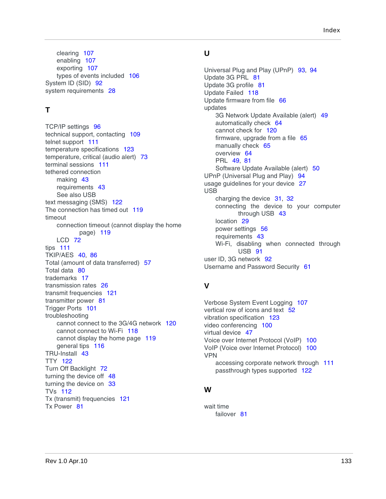clearing [107](#page-106-2) enabling [107](#page-106-3) exporting [107](#page-106-0) types of events included [106](#page-105-6) System ID (SID) [92](#page-91-12) system requirements [28](#page-27-6)

### **T**

TCP/IP settings [96](#page-95-4) technical support, contacting [109](#page-108-1) telnet support [111](#page-110-4) temperature specifications [123](#page-122-6) temperature, critical (audio alert) [73](#page-72-0) terminal sessions [111](#page-110-4) tethered connection making [43](#page-42-1) requirements [43](#page-42-0) [See also USB](#page-124-0) text messaging (SMS) [122](#page-121-5) The connection has timed out [119](#page-118-6) timeout connection timeout (cannot display the home page) [119](#page-118-0) LCD [72](#page-71-0) tips [111](#page-110-3) TKIP/AES [40](#page-39-2), [86](#page-85-2) Total (amount of data transferred) [57](#page-56-2) Total data [80](#page-79-0) trademarks [17](#page-16-1) transmission rates [26](#page-25-0) transmit frequencies [121](#page-120-4) transmitter power [81](#page-80-9) Trigger Ports [101](#page-100-3) troubleshooting cannot connect to the 3G/4G network [120](#page-119-1) cannot connect to Wi-Fi [118](#page-117-0) cannot display the home page [119](#page-118-0) general tips [116](#page-115-1) TRU-Install [43](#page-42-2) TTY [122](#page-121-7) Turn Off Backlight [72](#page-71-9) turning the device off [48](#page-47-0) turning the device on [33](#page-32-0) TVs [112](#page-111-2) Tx (transmit) frequencies [121](#page-120-4) Tx Power [81](#page-80-9)

#### **U**

Universal Plug and Play (UPnP) [93](#page-92-3), [94](#page-93-2) Update 3G PRL [81](#page-80-10) Update 3G profile [81](#page-80-11) Update Failed [118](#page-117-2) Update firmware from file [66](#page-65-1) updates 3G Network Update Available (alert) [49](#page-48-1) automatically check [64](#page-63-2) cannot check for [120](#page-119-2) firmware, upgrade from a file [65](#page-64-2) manually check [65](#page-64-0) overview [64](#page-63-0) PRL [49](#page-48-4), [81](#page-80-10) Software Update Available (alert) [50](#page-49-0) UPnP (Universal Plug and Play) [94](#page-93-2) usage guidelines for your device [27](#page-26-2) USB charging the device [31](#page-30-0), [32](#page-31-0) connecting the device to your computer through USB [43](#page-42-1) location [29](#page-28-2) power settings [56](#page-55-5) requirements [43](#page-42-0) Wi-Fi, disabling when connected through USB [91](#page-90-0) user ID, 3G network [92](#page-91-13) Username and Password Security [61](#page-60-6)

## **V**

Verbose System Event Logging [107](#page-106-4) vertical row of icons and text [52](#page-51-0) vibration specification [123](#page-122-8) video conferencing [100](#page-99-0) virtual device [47](#page-46-0) Voice over Internet Protocol (VoIP) [100](#page-99-0) VoIP (Voice over Internet Protocol) [100](#page-99-0) VPN accessing corporate network through [111](#page-110-2) passthrough types supported [122](#page-121-8)

#### **W**

wait time failover [81](#page-80-7)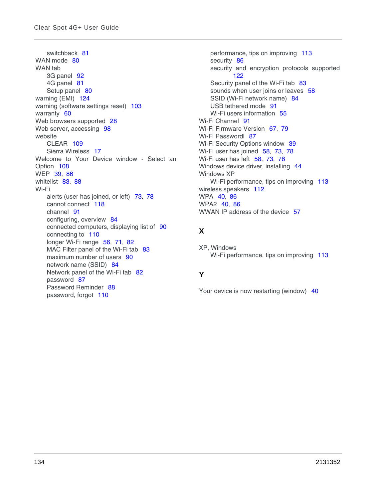switchback [81](#page-80-8) WAN mode [80](#page-79-1) WAN tab 3G panel [92](#page-91-0) 4G panel [81](#page-80-0) Setup panel [80](#page-79-6) warning (EMI) [124](#page-123-2) warning (software settings reset) [103](#page-102-0) warranty [60](#page-59-4) Web browsers supported [28](#page-27-1) Web server, accessing [98](#page-97-1) website CLEAR [109](#page-108-3) Sierra Wireless [17](#page-16-0) Welcome to Your Device window - Select an Option [108](#page-107-2) WEP [39](#page-38-0), [86](#page-85-3) whitelist [83](#page-82-2), [88](#page-87-4) Wi-Fi alerts (user has joined, or left) [73](#page-72-6), [78](#page-77-11) cannot connect [118](#page-117-0) channel [91](#page-90-1) configuring, overview [84](#page-83-2) connected computers, displaying list of [90](#page-89-0) connecting to [110](#page-109-2) longer Wi-Fi range [56](#page-55-6), [71](#page-70-4), [82](#page-81-4) MAC Filter panel of the Wi-Fi tab [83](#page-82-0) maximum number of users [90](#page-89-4) network name (SSID) [84](#page-83-0) Network panel of the Wi-Fi tab [82](#page-81-0) password [87](#page-86-0) Password Reminder [88](#page-87-0) password, forgot [110](#page-109-4)

performance, tips on improving [113](#page-112-0) security [86](#page-85-0) security and encryption protocols supported [122](#page-121-9) Security panel of the Wi-Fi tab [83](#page-82-5) sounds when user joins or leaves [58](#page-57-6) SSID (Wi-Fi network name) [84](#page-83-0) USB tethered mode [91](#page-90-0) Wi-Fi users information [55](#page-54-0) Wi-Fi Channel [91](#page-90-7) Wi-Fi Firmware Version [67](#page-66-7), [79](#page-78-5) Wi-Fi Passwordl [87](#page-86-1) Wi-Fi Security Options window [39](#page-38-1) Wi-Fi user has joined [58](#page-57-6), [73](#page-72-6), [78](#page-77-11) Wi-Fi user has left [58](#page-57-7), [73](#page-72-7), [78](#page-77-12) Windows device driver, installing [44](#page-43-0) Windows XP Wi-Fi performance, tips on improving [113](#page-112-1) wireless speakers [112](#page-111-2) WPA [40](#page-39-2), [86](#page-85-2) WPA2 [40](#page-39-1), [86](#page-85-1) WWAN IP address of the device [57](#page-56-4)

### **X**

XP, Windows Wi-Fi performance, tips on improving [113](#page-112-1)

## **Y**

Your device is now restarting (window) [40](#page-39-3)